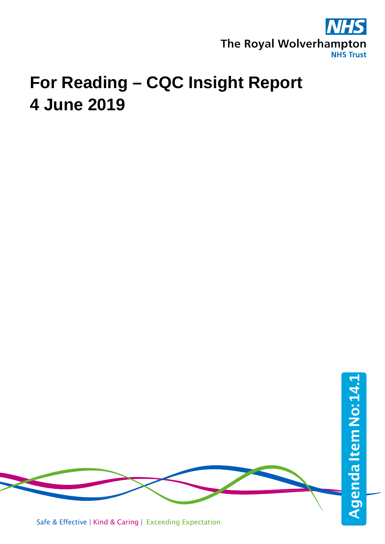

# **For Reading – CQC Insight Report 4 June 2019**



Safe & Effective | Kind & Caring | Exceeding Expectation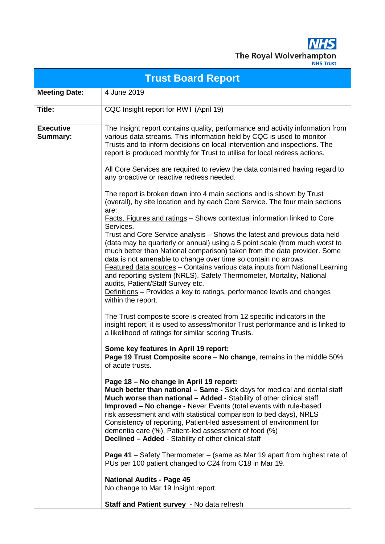**NHS** The Royal Wolverhampton

|                              | <b>Trust Board Report</b>                                                                                                                                                                                                                                                                                                                                                                                                                                                                                                                                                                           |
|------------------------------|-----------------------------------------------------------------------------------------------------------------------------------------------------------------------------------------------------------------------------------------------------------------------------------------------------------------------------------------------------------------------------------------------------------------------------------------------------------------------------------------------------------------------------------------------------------------------------------------------------|
| <b>Meeting Date:</b>         | 4 June 2019                                                                                                                                                                                                                                                                                                                                                                                                                                                                                                                                                                                         |
| Title:                       | CQC Insight report for RWT (April 19)                                                                                                                                                                                                                                                                                                                                                                                                                                                                                                                                                               |
| <b>Executive</b><br>Summary: | The Insight report contains quality, performance and activity information from<br>various data streams. This information held by CQC is used to monitor<br>Trusts and to inform decisions on local intervention and inspections. The<br>report is produced monthly for Trust to utilise for local redress actions.                                                                                                                                                                                                                                                                                  |
|                              | All Core Services are required to review the data contained having regard to<br>any proactive or reactive redress needed.                                                                                                                                                                                                                                                                                                                                                                                                                                                                           |
|                              | The report is broken down into 4 main sections and is shown by Trust<br>(overall), by site location and by each Core Service. The four main sections<br>are:                                                                                                                                                                                                                                                                                                                                                                                                                                        |
|                              | Facts, Figures and ratings - Shows contextual information linked to Core<br>Services.                                                                                                                                                                                                                                                                                                                                                                                                                                                                                                               |
|                              | Trust and Core Service analysis - Shows the latest and previous data held<br>(data may be quarterly or annual) using a 5 point scale (from much worst to<br>much better than National comparison) taken from the data provider. Some<br>data is not amenable to change over time so contain no arrows.<br>Featured data sources - Contains various data inputs from National Learning<br>and reporting system (NRLS), Safety Thermometer, Mortality, National<br>audits, Patient/Staff Survey etc.<br>Definitions - Provides a key to ratings, performance levels and changes<br>within the report. |
|                              | The Trust composite score is created from 12 specific indicators in the<br>insight report; it is used to assess/monitor Trust performance and is linked to<br>a likelihood of ratings for similar scoring Trusts.                                                                                                                                                                                                                                                                                                                                                                                   |
|                              | Some key features in April 19 report:<br><b>Page 19 Trust Composite score – No change, remains in the middle 50%</b><br>of acute trusts.                                                                                                                                                                                                                                                                                                                                                                                                                                                            |
|                              | Page 18 - No change in April 19 report:<br>Much better than national - Same - Sick days for medical and dental staff<br>Much worse than national - Added - Stability of other clinical staff<br><b>Improved - No change - Never Events (total events with rule-based</b><br>risk assessment and with statistical comparison to bed days), NRLS<br>Consistency of reporting, Patient-led assessment of environment for<br>dementia care (%), Patient-led assessment of food (%)<br><b>Declined - Added - Stability of other clinical staff</b>                                                       |
|                              | <b>Page 41</b> – Safety Thermometer – (same as Mar 19 apart from highest rate of<br>PUs per 100 patient changed to C24 from C18 in Mar 19.                                                                                                                                                                                                                                                                                                                                                                                                                                                          |
|                              | <b>National Audits - Page 45</b><br>No change to Mar 19 Insight report.                                                                                                                                                                                                                                                                                                                                                                                                                                                                                                                             |
|                              | Staff and Patient survey - No data refresh                                                                                                                                                                                                                                                                                                                                                                                                                                                                                                                                                          |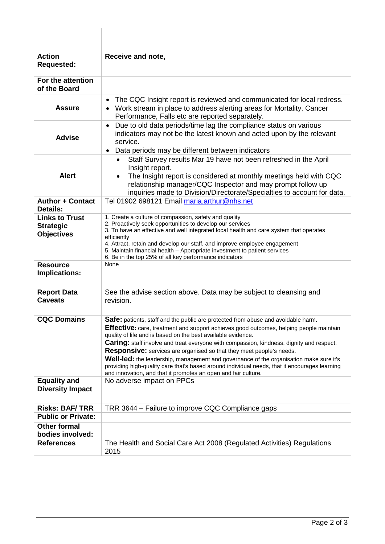| <b>Action</b><br><b>Requested:</b>                             | Receive and note,                                                                                                                                                                                                                                                                                                                                                                                                                                                                                                                                                                                                                                                                          |
|----------------------------------------------------------------|--------------------------------------------------------------------------------------------------------------------------------------------------------------------------------------------------------------------------------------------------------------------------------------------------------------------------------------------------------------------------------------------------------------------------------------------------------------------------------------------------------------------------------------------------------------------------------------------------------------------------------------------------------------------------------------------|
| For the attention<br>of the Board                              |                                                                                                                                                                                                                                                                                                                                                                                                                                                                                                                                                                                                                                                                                            |
| <b>Assure</b>                                                  | The CQC Insight report is reviewed and communicated for local redress.<br>• Work stream in place to address alerting areas for Mortality, Cancer<br>Performance, Falls etc are reported separately.                                                                                                                                                                                                                                                                                                                                                                                                                                                                                        |
| <b>Advise</b>                                                  | Due to old data periods/time lag the compliance status on various<br>$\bullet$<br>indicators may not be the latest known and acted upon by the relevant<br>service.<br>Data periods may be different between indicators                                                                                                                                                                                                                                                                                                                                                                                                                                                                    |
| <b>Alert</b>                                                   | Staff Survey results Mar 19 have not been refreshed in the April<br>Insight report.<br>The Insight report is considered at monthly meetings held with CQC<br>relationship manager/CQC Inspector and may prompt follow up<br>inquiries made to Division/Directorate/Specialties to account for data.                                                                                                                                                                                                                                                                                                                                                                                        |
| <b>Author + Contact</b><br><b>Details:</b>                     | Tel 01902 698121 Email maria.arthur@nhs.net                                                                                                                                                                                                                                                                                                                                                                                                                                                                                                                                                                                                                                                |
| <b>Links to Trust</b><br><b>Strategic</b><br><b>Objectives</b> | 1. Create a culture of compassion, safety and quality<br>2. Proactively seek opportunities to develop our services<br>3. To have an effective and well integrated local health and care system that operates<br>efficiently<br>4. Attract, retain and develop our staff, and improve employee engagement<br>5. Maintain financial health - Appropriate investment to patient services<br>6. Be in the top 25% of all key performance indicators                                                                                                                                                                                                                                            |
| <b>Resource</b><br>Implications:                               | None                                                                                                                                                                                                                                                                                                                                                                                                                                                                                                                                                                                                                                                                                       |
| <b>Report Data</b><br><b>Caveats</b>                           | See the advise section above. Data may be subject to cleansing and<br>revision.                                                                                                                                                                                                                                                                                                                                                                                                                                                                                                                                                                                                            |
| <b>CQC Domains</b>                                             | Safe: patients, staff and the public are protected from abuse and avoidable harm.<br><b>Effective:</b> care, treatment and support achieves good outcomes, helping people maintain<br>quality of life and is based on the best available evidence.<br>Caring: staff involve and treat everyone with compassion, kindness, dignity and respect.<br><b>Responsive:</b> services are organised so that they meet people's needs.<br>Well-led: the leadership, management and governance of the organisation make sure it's<br>providing high-quality care that's based around individual needs, that it encourages learning<br>and innovation, and that it promotes an open and fair culture. |
| <b>Equality and</b><br><b>Diversity Impact</b>                 | No adverse impact on PPCs                                                                                                                                                                                                                                                                                                                                                                                                                                                                                                                                                                                                                                                                  |
| <b>Risks: BAF/TRR</b>                                          | TRR 3644 - Failure to improve CQC Compliance gaps                                                                                                                                                                                                                                                                                                                                                                                                                                                                                                                                                                                                                                          |
| <b>Public or Private:</b>                                      |                                                                                                                                                                                                                                                                                                                                                                                                                                                                                                                                                                                                                                                                                            |
| <b>Other formal</b><br>bodies involved:                        |                                                                                                                                                                                                                                                                                                                                                                                                                                                                                                                                                                                                                                                                                            |
| <b>References</b>                                              | The Health and Social Care Act 2008 (Regulated Activities) Regulations<br>2015                                                                                                                                                                                                                                                                                                                                                                                                                                                                                                                                                                                                             |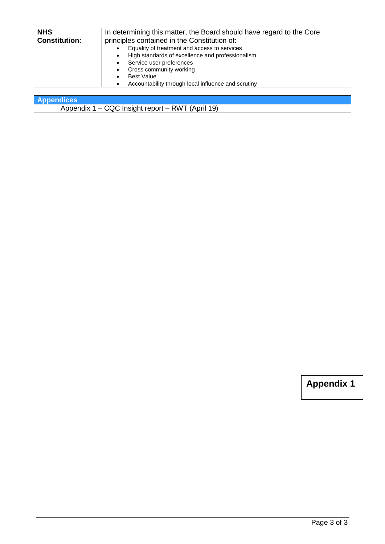| <b>NHS</b><br><b>Constitution:</b> | In determining this matter, the Board should have regard to the Core<br>principles contained in the Constitution of:                                                                                                                                                       |
|------------------------------------|----------------------------------------------------------------------------------------------------------------------------------------------------------------------------------------------------------------------------------------------------------------------------|
|                                    | Equality of treatment and access to services<br>High standards of excellence and professionalism<br>$\bullet$<br>Service user preferences<br>$\bullet$<br>Cross community working<br>$\bullet$<br><b>Best Value</b><br>Accountability through local influence and scrutiny |

**Appendices**

Appendix 1 – CQC Insight report – RWT (April 19)

**Appendix 1**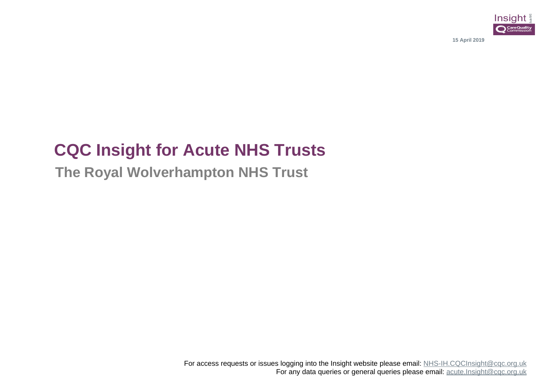

**15 April 2019**

# **CQC Insight for Acute NHS Trusts**

**The Royal Wolverhampton NHS Trust**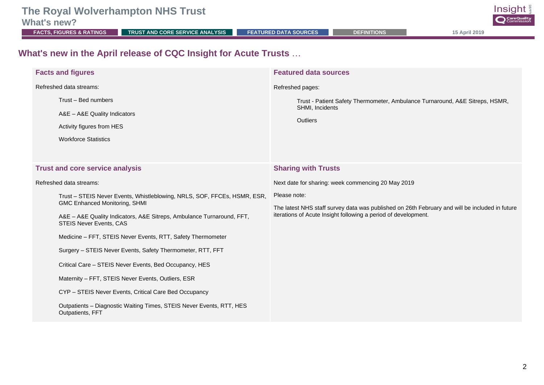**What's new?**<br>**EACTS, FIGURES & RATINGS** 

**FRUST AND CORE SERVICE ANALYSIS [FEATURED DATA SOURCES](#page-43-0) [DEFINITIONS](#page-76-0) 15 April 2019** 

Insight **O** CareQuality

#### **What's new in the April release of CQC Insight for Acute Trusts** …

| <b>Facts and figures</b>                                                                                                                                                                                                                                                                                                                          | <b>Featured data sources</b>                                                                                                                                                     |
|---------------------------------------------------------------------------------------------------------------------------------------------------------------------------------------------------------------------------------------------------------------------------------------------------------------------------------------------------|----------------------------------------------------------------------------------------------------------------------------------------------------------------------------------|
| Refreshed data streams:                                                                                                                                                                                                                                                                                                                           | Refreshed pages:                                                                                                                                                                 |
| Trust - Bed numbers<br>A&E - A&E Quality Indicators<br>Activity figures from HES<br><b>Workforce Statistics</b>                                                                                                                                                                                                                                   | Trust - Patient Safety Thermometer, Ambulance Turnaround, A&E Sitreps, HSMR,<br>SHMI, Incidents<br>Outliers                                                                      |
| <b>Trust and core service analysis</b>                                                                                                                                                                                                                                                                                                            | <b>Sharing with Trusts</b>                                                                                                                                                       |
| Refreshed data streams:                                                                                                                                                                                                                                                                                                                           | Next date for sharing: week commencing 20 May 2019                                                                                                                               |
| Trust - STEIS Never Events, Whistleblowing, NRLS, SOF, FFCEs, HSMR, ESR,<br>GMC Enhanced Monitoring, SHMI<br>A&E - A&E Quality Indicators, A&E Sitreps, Ambulance Turnaround, FFT,<br><b>STEIS Never Events, CAS</b><br>Medicine - FFT, STEIS Never Events, RTT, Safety Thermometer<br>Surgery - STEIS Never Events, Safety Thermometer, RTT, FFT | Please note:<br>The latest NHS staff survey data was published on 26th February and will be included in future<br>iterations of Acute Insight following a period of development. |
| Critical Care - STEIS Never Events, Bed Occupancy, HES                                                                                                                                                                                                                                                                                            |                                                                                                                                                                                  |
| Maternity - FFT, STEIS Never Events, Outliers, ESR                                                                                                                                                                                                                                                                                                |                                                                                                                                                                                  |
| CYP - STEIS Never Events, Critical Care Bed Occupancy                                                                                                                                                                                                                                                                                             |                                                                                                                                                                                  |
| Outpatients - Diagnostic Waiting Times, STEIS Never Events, RTT, HES<br>Outpatients, FFT                                                                                                                                                                                                                                                          |                                                                                                                                                                                  |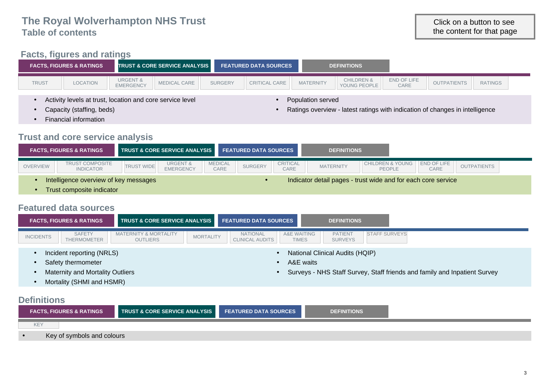#### **[Facts, figures and ratings](#page-7-0)**

| END OF LIFE<br><b>CHILDREN &amp;</b><br><b>URGENT &amp;</b><br><b>MEDICAL CARE</b><br><b>MATERNITY</b><br><b>RATINGS</b><br><b>TRUST</b><br><b>OUTPATIENTS</b><br>LOCATION<br><b>CRITICAL CARE</b><br><b>SURGERY</b><br><b>EMERGENCY</b><br>YOUNG PEOPLE<br>CARE<br>Activity levels at trust, location and core service level<br>Population served<br>Ratings overview - latest ratings with indication of changes in intelligence | <b>FACTS, FIGURES &amp; RATINGS</b> | <b>TRUST &amp; CORE SERVICE ANALYSIS</b> | <b>FEATURED DATA SOURCES</b> | <b>DEFINITIONS</b> |  |  |
|------------------------------------------------------------------------------------------------------------------------------------------------------------------------------------------------------------------------------------------------------------------------------------------------------------------------------------------------------------------------------------------------------------------------------------|-------------------------------------|------------------------------------------|------------------------------|--------------------|--|--|
|                                                                                                                                                                                                                                                                                                                                                                                                                                    |                                     |                                          |                              |                    |  |  |
|                                                                                                                                                                                                                                                                                                                                                                                                                                    | Capacity (staffing, beds)           |                                          |                              |                    |  |  |

- Capacity (staffing, beds)
- Financial information

#### **Trust and core service analysis**

|                 | <b>FACTS. FIGURES &amp; RATINGS</b>        |                   | <b>TRUST &amp; CORE SERVICE ANALYSIS FEATURED DATA SOURCES</b> |                        |                |                         | <b>DEFINITIONS</b>                                            |                                                 |      |                    |
|-----------------|--------------------------------------------|-------------------|----------------------------------------------------------------|------------------------|----------------|-------------------------|---------------------------------------------------------------|-------------------------------------------------|------|--------------------|
| <b>OVERVIEW</b> | <b>TRUST COMPOSITE</b><br><b>INDICATOR</b> | <b>TRUST WIDE</b> | <b>URGENT &amp;</b><br><b>EMERGENCY</b>                        | <b>MEDICAL</b><br>CARE | <b>SURGERY</b> | <b>CRITICAL</b><br>CARE | <b>MATERNITY</b>                                              | CHILDREN & YOUNG   END OF LIFE<br><b>PEOPLE</b> | CARE | <b>OUTPATIENTS</b> |
|                 | Intelligence overview of key messages      |                   |                                                                |                        |                |                         | Indicator detail pages - trust wide and for each core service |                                                 |      |                    |

• Trust composite indicator

#### **Featured data sources**

|                  | <b>FACTS, FIGURES &amp; RATINGS</b> | <b>TRUST &amp; CORE SERVICE ANALYSIS FEATURED DATA SOURCES</b> |                  |                                           |                                        | <b>DEFINITIONS</b>                     |                      |
|------------------|-------------------------------------|----------------------------------------------------------------|------------------|-------------------------------------------|----------------------------------------|----------------------------------------|----------------------|
| <b>INCIDENTS</b> | <b>SAFETY</b><br>THERMOMETER        | <b>MATERNITY &amp; MORTALITY</b><br><b>OUTLIERS</b>            | <b>MORTALITY</b> | <b>NATIONAL</b><br><b>CLINICAL AUDITS</b> | <b>A&amp;E WAITING</b><br><b>TIMES</b> | <b>PATIENT</b><br><b>SURVEYS</b>       | <b>STAFF SURVEYS</b> |
|                  | Incident reporting (NRLS)           |                                                                |                  |                                           |                                        | <b>National Clinical Audits (HQIP)</b> |                      |

- Incident reporting (NRLS)
- Safety thermometer
- Maternity and Mortality Outliers

• A&E waits • Surveys - NHS Staff Survey, Staff friends and family and Inpatient Survey

• Mortality (SHMI and HSMR)

#### **[Definitions](#page-76-0)**

|                | <b>FACTS, FIGURES &amp; RATINGS</b> | TRUST & CORE SERVICE ANALYSIS FEATURED DATA SOURCES | DEFINITIONS |  |
|----------------|-------------------------------------|-----------------------------------------------------|-------------|--|
| KE <sup></sup> |                                     |                                                     |             |  |
| $\bullet$      | Key of symbols and colours          |                                                     |             |  |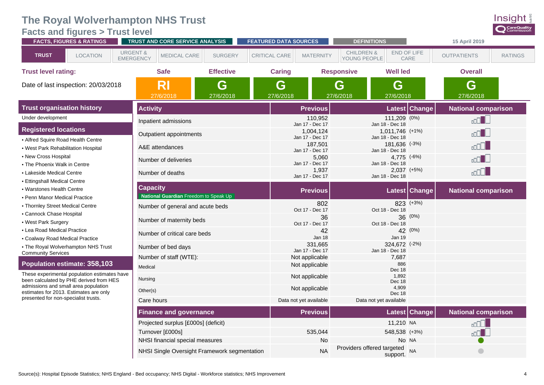#### <span id="page-7-0"></span>**[Facts and figures](#page-7-0) > Trust level**

|                                                                                | <b>FACTS, FIGURES &amp; RATINGS</b> |                                         | TRUST AND CORE SERVICE ANALYSIS                          |                                              | <b>FEATURED DATA SOURCES</b> |                              |                                       | <b>DEFINITIONS</b>                                    |                     | 15 April 2019              |                |
|--------------------------------------------------------------------------------|-------------------------------------|-----------------------------------------|----------------------------------------------------------|----------------------------------------------|------------------------------|------------------------------|---------------------------------------|-------------------------------------------------------|---------------------|----------------------------|----------------|
| <b>TRUST</b>                                                                   | <b>LOCATION</b>                     | <b>URGENT &amp;</b><br><b>EMERGENCY</b> | MEDICAL CARE                                             | <b>SURGERY</b>                               | <b>CRITICAL CARE</b>         | <b>MATERNITY</b>             | <b>CHILDREN &amp;</b><br>YOUNG PEOPLE |                                                       | END OF LIFE<br>CARE | <b>OUTPATIENTS</b>         | <b>RATINGS</b> |
| <b>Trust level rating:</b>                                                     |                                     |                                         | <b>Safe</b>                                              | <b>Effective</b>                             | <b>Caring</b>                |                              | <b>Responsive</b>                     | <b>Well led</b>                                       |                     | <b>Overall</b>             |                |
| Date of last inspection: 20/03/2018                                            |                                     |                                         | RI<br>27/6/2018                                          | G<br>27/6/2018                               | G<br>27/6/2018               |                              | G<br>27/6/2018                        | G<br>27/6/2018                                        |                     | G<br>27/6/2018             |                |
| <b>Trust organisation history</b>                                              |                                     |                                         | <b>Activity</b>                                          |                                              |                              | <b>Previous</b>              |                                       |                                                       | Latest Change       | <b>National comparison</b> |                |
| Under development                                                              |                                     |                                         | Inpatient admissions                                     |                                              |                              | 110,952<br>Jan 17 - Dec 17   |                                       | 111,209 (0%)                                          |                     | ool d                      |                |
| <b>Registered locations</b><br>• Alfred Squire Road Health Centre              |                                     |                                         | Outpatient appointments                                  |                                              |                              | 1,004,124<br>Jan 17 - Dec 17 |                                       | Jan 18 - Dec 18<br>1,011,746 (+1%)<br>Jan 18 - Dec 18 |                     | $\Box$ $\Box$              |                |
| • West Park Rehabilitation Hospital                                            |                                     |                                         | A&E attendances                                          |                                              |                              | 187,501<br>Jan 17 - Dec 17   |                                       | $181,636$ $(-3%)$<br>Jan 18 - Dec 18                  |                     | uddu                       |                |
| • New Cross Hospital<br>• The Phoenix Walk in Centre                           |                                     |                                         | Number of deliveries                                     |                                              |                              | 5,060<br>Jan 17 - Dec 17     |                                       | 4,775 (-6%)<br>Jan 18 - Dec 18                        |                     | $\Box$ Doo                 |                |
| • Lakeside Medical Centre<br>• Ettingshall Medical Centre                      |                                     |                                         | Number of deaths                                         |                                              |                              | 1,937<br>Jan 17 - Dec 17     |                                       | $2,037$ (+5%)<br>Jan 18 - Dec 18                      |                     | ا الاامہ                   |                |
| • Warstones Health Centre<br>• Penn Manor Medical Practice                     |                                     |                                         | <b>Capacity</b><br>National Guardian Freedom to Speak Up |                                              |                              | <b>Previous</b>              |                                       |                                                       | Latest Change       | <b>National comparison</b> |                |
| • Thornley Street Medical Centre<br>• Cannock Chase Hospital                   |                                     |                                         | Number of general and acute beds                         |                                              |                              | 802<br>Oct 17 - Dec 17       |                                       | Oct 18 - Dec 18                                       | 823 (+3%)           |                            |                |
| • West Park Surgery                                                            |                                     |                                         | Number of maternity beds                                 |                                              |                              | 36<br>Oct 17 - Dec 17        |                                       | 36<br>Oct 18 - Dec 18                                 | (0%)                |                            |                |
| • Lea Road Medical Practice<br>• Coalway Road Medical Practice                 |                                     |                                         | Number of critical care beds                             |                                              |                              | 42<br>Jan 18                 |                                       | <b>Jan 19</b>                                         | 42 (0%)             |                            |                |
| • The Royal Wolverhampton NHS Trust<br><b>Community Services</b>               |                                     |                                         | Number of bed days                                       |                                              |                              | 331,665<br>Jan 17 - Dec 17   |                                       | 324,672 (-2%)<br>Jan 18 - Dec 18                      |                     |                            |                |
| Population estimate: 358,103                                                   |                                     |                                         | Number of staff (WTE):                                   |                                              |                              | Not applicable               |                                       | 7,687                                                 |                     |                            |                |
| These experimental population estimates have                                   |                                     | Medical                                 |                                                          |                                              |                              | Not applicable               |                                       | 886<br>Dec 18                                         |                     |                            |                |
| been calculated by PHE derived from HES                                        |                                     | Nursing                                 |                                                          |                                              |                              | Not applicable               |                                       | 1,892<br>Dec 18                                       |                     |                            |                |
| admissions and small area population<br>estimates for 2013. Estimates are only |                                     | Other(s)                                |                                                          |                                              |                              | Not applicable               |                                       | 4,909<br>Dec 18                                       |                     |                            |                |
| presented for non-specialist trusts.                                           |                                     |                                         | Care hours                                               |                                              |                              | Data not yet available       |                                       | Data not yet available                                |                     |                            |                |
|                                                                                |                                     |                                         | <b>Finance and governance</b>                            |                                              |                              | <b>Previous</b>              |                                       |                                                       | Latest Change       | <b>National comparison</b> |                |
|                                                                                |                                     |                                         | Projected surplus [£000s] (deficit)                      |                                              |                              |                              |                                       | 11,210 NA                                             |                     |                            |                |
|                                                                                |                                     |                                         | Turnover [£000s]                                         |                                              |                              | 535,044                      |                                       | 548,538 (+3%)                                         |                     | nn I                       |                |
|                                                                                |                                     |                                         | NHSI financial special measures                          |                                              |                              | No                           |                                       | Providers offered targeted                            | No NA               |                            |                |
|                                                                                |                                     |                                         |                                                          | NHSI Single Oversight Framework segmentation |                              | <b>NA</b>                    |                                       | support.                                              | <b>NA</b>           | $\bigcirc$                 |                |

Insight CareQuality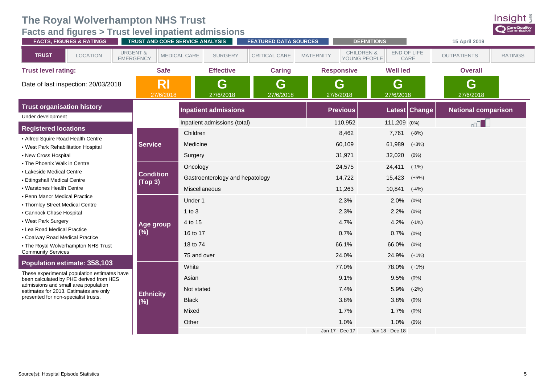**[Facts and figures](#page-7-0) > Trust level inpatient admissions**



| <b>FACTS, FIGURES &amp; RATINGS</b>                                                     |                                         | TRUST AND CORE SERVICE ANALYSIS | <b>FEATURED DATA SOURCES</b> |                  | <b>DEFINITIONS</b>                    |                 |               | 15 April 2019              |                |
|-----------------------------------------------------------------------------------------|-----------------------------------------|---------------------------------|------------------------------|------------------|---------------------------------------|-----------------|---------------|----------------------------|----------------|
| <b>TRUST</b><br><b>LOCATION</b>                                                         | <b>URGENT &amp;</b><br><b>EMERGENCY</b> | MEDICAL CARE<br><b>SURGERY</b>  | CRITICAL CARE                | <b>MATERNITY</b> | <b>CHILDREN &amp;</b><br>YOUNG PEOPLE | END OF LIFE     | CARE          | <b>OUTPATIENTS</b>         | <b>RATINGS</b> |
| <b>Trust level rating:</b>                                                              | <b>Safe</b>                             | <b>Effective</b>                | <b>Caring</b>                |                  | <b>Responsive</b>                     | <b>Well led</b> |               | <b>Overall</b>             |                |
| Date of last inspection: 20/03/2018                                                     | <b>RI</b><br>27/6/2018                  | G<br>27/6/2018                  | G<br>27/6/2018               |                  | G<br>27/6/2018                        | G<br>27/6/2018  |               | G<br>27/6/2018             |                |
| <b>Trust organisation history</b>                                                       |                                         | <b>Inpatient admissions</b>     |                              |                  | <b>Previous</b>                       |                 | Latest Change | <b>National comparison</b> |                |
| Under development                                                                       |                                         | Inpatient admissions (total)    |                              |                  | 110,952                               | 111,209 (0%)    |               | $\Box$                     |                |
| <b>Registered locations</b>                                                             |                                         | Children                        |                              |                  | 8,462                                 | 7,761           | $(-8%)$       |                            |                |
| • Alfred Squire Road Health Centre                                                      |                                         |                                 |                              |                  |                                       |                 |               |                            |                |
| • West Park Rehabilitation Hospital                                                     | <b>Service</b>                          | Medicine                        |                              |                  | 60,109                                | 61,989          | $(+3%)$       |                            |                |
| • New Cross Hospital                                                                    |                                         | Surgery                         |                              |                  | 31,971                                | 32,020          | (0%)          |                            |                |
| • The Phoenix Walk in Centre<br>• Lakeside Medical Centre                               |                                         | Oncology                        |                              |                  | 24,575                                | 24,411          | $(-1%)$       |                            |                |
| • Ettingshall Medical Centre                                                            | <b>Condition</b>                        | Gastroenterology and hepatology |                              |                  | 14,722                                | 15,423          | $(+5%)$       |                            |                |
| • Warstones Health Centre                                                               | (Top 3)                                 | <b>Miscellaneous</b>            |                              |                  | 11,263                                | 10,841          | $(-4%)$       |                            |                |
| • Penn Manor Medical Practice                                                           |                                         | Under 1                         |                              |                  | 2.3%                                  | 2.0%            | $(0\%)$       |                            |                |
| • Thornley Street Medical Centre                                                        |                                         |                                 |                              |                  |                                       |                 |               |                            |                |
| • Cannock Chase Hospital                                                                |                                         | $1$ to $3$                      |                              |                  | 2.3%                                  | 2.2%            | (0%)          |                            |                |
| • West Park Surgery                                                                     | Age group                               | 4 to 15                         |                              |                  | 4.7%                                  | 4.2%            | $(-1%)$       |                            |                |
| • Lea Road Medical Practice<br>• Coalway Road Medical Practice                          | (%)                                     | 16 to 17                        |                              |                  | 0.7%                                  | 0.7%            | (0%)          |                            |                |
| • The Royal Wolverhampton NHS Trust                                                     |                                         | 18 to 74                        |                              |                  | 66.1%                                 | 66.0%           | $(0\%)$       |                            |                |
| <b>Community Services</b>                                                               |                                         | 75 and over                     |                              |                  | 24.0%                                 | 24.9%           | $(+1%)$       |                            |                |
| Population estimate: 358,103                                                            |                                         | White                           |                              |                  | 77.0%                                 | 78.0%           | $(+1%)$       |                            |                |
| These experimental population estimates have<br>been calculated by PHE derived from HES |                                         | Asian                           |                              |                  | 9.1%                                  | 9.5%            | (0%)          |                            |                |
| admissions and small area population<br>estimates for 2013. Estimates are only          |                                         | Not stated                      |                              |                  | 7.4%                                  | 5.9%            | $(-2%)$       |                            |                |
| presented for non-specialist trusts.                                                    | <b>Ethnicity</b><br>$(\%)$              | <b>Black</b>                    |                              |                  | 3.8%                                  | 3.8%            | (0%)          |                            |                |
|                                                                                         |                                         | Mixed                           |                              |                  | 1.7%                                  | 1.7%            | (0%)          |                            |                |
|                                                                                         |                                         | Other                           |                              |                  | 1.0%                                  | 1.0%            | (0%)          |                            |                |
|                                                                                         |                                         |                                 |                              |                  | Jan 17 - Dec 17                       | Jan 18 - Dec 18 |               |                            |                |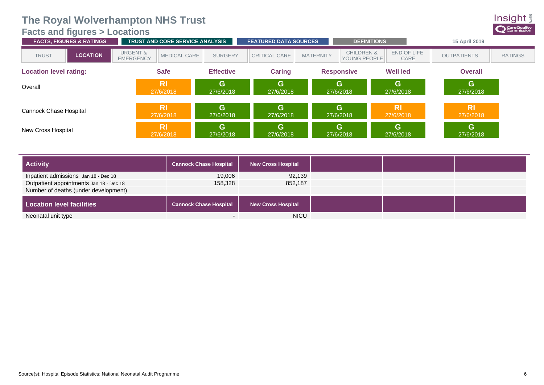#### <span id="page-9-0"></span>**[Facts and figures](#page-7-0) > Locations**

| <b>FACTS, FIGURES &amp; RATINGS</b> | <b>TRUST AND CORE SERVICE ANALYSIS</b>                         |                             | <b>FEATURED DATA SOURCES</b> |                                                           | <b>DEFINITIONS</b>     | 15 April 2019          |                |
|-------------------------------------|----------------------------------------------------------------|-----------------------------|------------------------------|-----------------------------------------------------------|------------------------|------------------------|----------------|
| <b>LOCATION</b><br><b>TRUST</b>     | <b>URGENT &amp;</b><br><b>MEDICAL CARE</b><br><b>EMERGENCY</b> | <b>SURGERY</b>              | CRITICAL CARE                | <b>CHILDREN &amp;</b><br><b>MATERNITY</b><br>YOUNG PEOPLE | END OF LIFE<br>CARE    | <b>OUTPATIENTS</b>     | <b>RATINGS</b> |
| <b>Location level rating:</b>       | <b>Safe</b>                                                    | <b>Effective</b>            | Caring                       | <b>Responsive</b>                                         | <b>Well led</b>        | <b>Overall</b>         |                |
| Overall                             | <b>RI</b><br>27/6/2018                                         | G<br>27/6/2018              | G<br>27/6/2018               | G<br>27/6/2018                                            | G<br>27/6/2018         | G<br>27/6/2018         |                |
| Cannock Chase Hospital              | <b>RI</b><br>27/6/2018                                         | $\mathbf{G}$<br>27/6/2018   | G<br>27/6/2018               | G<br>27/6/2018                                            | <b>RI</b><br>27/6/2018 | <b>RI</b><br>27/6/2018 |                |
| New Cross Hospital                  | <b>RI</b><br>27/6/2018                                         | $\overline{G}$<br>27/6/2018 | G<br>27/6/2018               | G<br>27/6/2018                                            | G<br>27/6/2018         | G<br>27/6/2018         |                |

| <b>Activity</b>                         | <b>Cannock Chase Hospital</b> | <b>New Cross Hospital</b> |
|-----------------------------------------|-------------------------------|---------------------------|
| Inpatient admissions Jan 18 - Dec 18    | 19.006                        | 92.139                    |
| Outpatient appointments Jan 18 - Dec 18 | 158,328                       | 852,187                   |
| Number of deaths (under development)    |                               |                           |
| <b>Location level facilities</b>        | <b>Cannock Chase Hospital</b> | <b>New Cross Hospital</b> |
| Neonatal unit type                      |                               | <b>NICU</b>               |

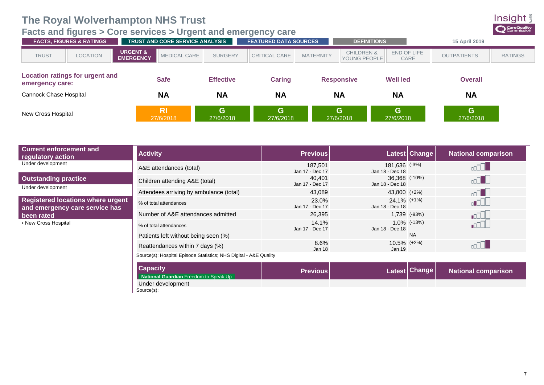<span id="page-10-0"></span>

| <b>Current enforcement and</b><br>regulatory action                        | <b>Activity</b>                                                   | <b>Previous</b>            |                                   | Latest Change                                                                                                         | <b>National comparison</b> |  |
|----------------------------------------------------------------------------|-------------------------------------------------------------------|----------------------------|-----------------------------------|-----------------------------------------------------------------------------------------------------------------------|----------------------------|--|
| Under development                                                          | A&E attendances (total)                                           | 187,501<br>Jan 17 - Dec 17 | 181,636 (-3%)<br>Jan 18 - Dec 18  |                                                                                                                       |                            |  |
| <b>Outstanding practice</b><br>Under development                           | Children attending A&E (total)                                    | 40,401<br>Jan 17 - Dec 17  | 36.368 (-10%)<br>Jan 18 - Dec 18  |                                                                                                                       | <b>Do</b>                  |  |
|                                                                            | Attendees arriving by ambulance (total)                           | 43,089                     | 43,800 (+2%)                      |                                                                                                                       | $\Box$                     |  |
| <b>Registered locations where urgent</b><br>and emergency care service has | % of total attendances                                            | 23.0%<br>Jan 17 - Dec 17   | $24.1\%$ (+1%)<br>Jan 18 - Dec 18 |                                                                                                                       |                            |  |
| been rated                                                                 | Number of A&E attendances admitted                                | 26,395                     |                                   | 1,739 (-93%)                                                                                                          | ∎o D                       |  |
| • New Cross Hospital                                                       | % of total attendances                                            | 14.1%<br>Jan 17 - Dec 17   | Jan 18 - Dec 18                   | $1.0\%$ (-13%)                                                                                                        | <b>nnall</b>               |  |
|                                                                            | Patients left without being seen (%)                              |                            |                                   | <b>NA</b>                                                                                                             |                            |  |
|                                                                            | Reattendances within 7 days (%)                                   | 8.6%<br>Jan 18             | 10.5% (+2%)<br>Jan 19             |                                                                                                                       |                            |  |
|                                                                            | Source(s): Hospital Episode Statistics; NHS Digital - A&E Quality |                            |                                   |                                                                                                                       |                            |  |
|                                                                            | <b>Canacity</b>                                                   |                            |                                   | <b>Contract Contract Contract Contract Contract Contract Contract Contract Contract Contract Contract Contract Co</b> |                            |  |

| <b>Capacity</b>                       | <b>Previous</b> l | Latest Change | <b>National comparison</b> |
|---------------------------------------|-------------------|---------------|----------------------------|
| National Guardian Freedom to Speak Up |                   |               |                            |
| Under development                     |                   |               |                            |
| Source(s):                            |                   |               |                            |

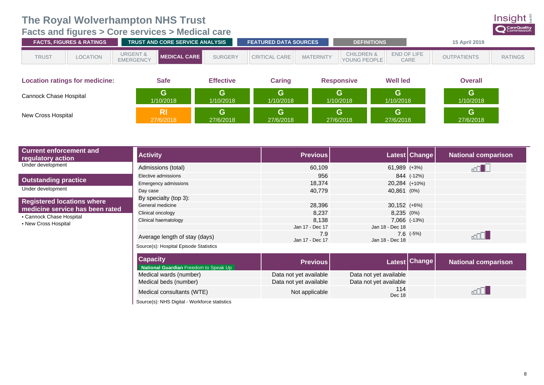<span id="page-11-0"></span>**[Facts and figures](#page-7-0) > Core services > Medical care**



| <b>FACTS, FIGURES &amp; RATINGS</b>   |                 |                                         | <b>TRUST AND CORE SERVICE ANALYSIS</b> |                  | <b>FEATURED DATA SOURCES</b> |                  | <b>DEFINITIONS</b>                    |                     | 15 April 2019      |                |
|---------------------------------------|-----------------|-----------------------------------------|----------------------------------------|------------------|------------------------------|------------------|---------------------------------------|---------------------|--------------------|----------------|
| <b>TRUST</b>                          | <b>LOCATION</b> | <b>URGENT &amp;</b><br><b>EMERGENCY</b> | │ MEDICAL CARE │                       | <b>SURGERY</b>   | <b>CRITICAL CARE</b>         | <b>MATERNITY</b> | <b>CHILDREN &amp;</b><br>YOUNG PEOPLE | END OF LIFE<br>CARE | <b>OUTPATIENTS</b> | <b>RATINGS</b> |
| <b>Location ratings for medicine:</b> |                 |                                         | <b>Safe</b>                            | <b>Effective</b> | Caring                       |                  | <b>Responsive</b>                     | <b>Well led</b>     | <b>Overall</b>     |                |
| Cannock Chase Hospital                |                 |                                         | G.<br>1/10/2018                        | G<br>1/10/2018   | G.<br>1/10/2018              |                  | G.<br>1/10/2018                       | G<br>1/10/2018      | G<br>1/10/2018     |                |
| New Cross Hospital                    |                 |                                         | <b>RI</b><br>27/6/2018                 | G<br>27/6/2018   | G.<br>27/6/2018              |                  | G.<br>27/6/2018                       | G<br>27/6/2018      | G<br>27/6/2018     |                |

| <b>Current enforcement and</b><br>regulatory action                                                                      | <b>Activity</b>                        | <b>Previous</b>        |                 | Latest Change | <b>National comparison</b> |
|--------------------------------------------------------------------------------------------------------------------------|----------------------------------------|------------------------|-----------------|---------------|----------------------------|
| Under development                                                                                                        | Admissions (total)                     | 60,109                 | $61,989$ (+3%)  |               |                            |
|                                                                                                                          | Elective admissions                    | 956                    |                 | 844 (-12%)    |                            |
| <b>Outstanding practice</b>                                                                                              | <b>Emergency admissions</b>            | 18.374                 | 20,284 (+10%)   |               |                            |
| Under development                                                                                                        | Day case                               | 40,779                 | 40,861 (0%)     |               |                            |
| <b>Registered locations where</b><br>medicine service has been rated<br>• Cannock Chase Hospital<br>• New Cross Hospital | By specialty (top 3):                  |                        |                 |               |                            |
|                                                                                                                          | General medicine                       | 28,396                 | $30,152$ (+6%)  |               |                            |
|                                                                                                                          | Clinical oncology                      | 8,237                  | 8,235 (0%)      |               |                            |
|                                                                                                                          | Clinical haematology                   | 8.138                  |                 | 7,066 (-13%)  |                            |
|                                                                                                                          |                                        | Jan 17 - Dec 17        | Jan 18 - Dec 18 |               |                            |
|                                                                                                                          | Average length of stay (days)          | 7.9<br>Jan 17 - Dec 17 | Jan 18 - Dec 18 | $7.6$ $(-5%)$ |                            |
|                                                                                                                          | Source(s): Hospital Episode Statistics |                        |                 |               |                            |

| <b>Capacity</b><br>National Guardian Freedom to Speak Up | <b>Previous</b>        |                        | Latest Change | <b>National comparison</b> |
|----------------------------------------------------------|------------------------|------------------------|---------------|----------------------------|
| Medical wards (number)                                   | Data not yet available | Data not yet available |               |                            |
| Medical beds (number)                                    | Data not yet available | Data not yet available |               |                            |
| Medical consultants (WTE)                                | Not applicable         | 114<br>Dec 18          |               |                            |

Source(s): NHS Digital - Workforce statistics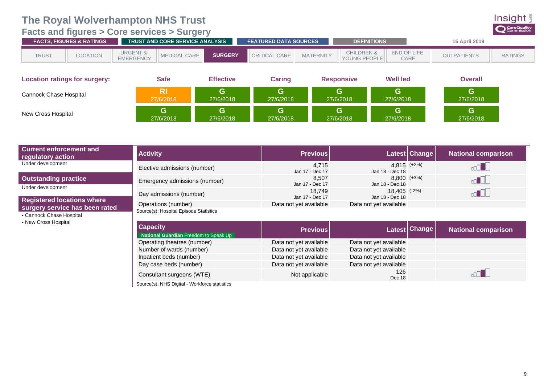#### <span id="page-12-0"></span>**[Facts and figures](#page-7-0) > Core services > Surgery**

| <b>CHILDREN &amp;</b><br><b>URGENT &amp;</b><br>END OF LIFE<br><b>SURGERY</b><br>CRITICAL CARE |              | <b>FACTS. FIGURES &amp; RATINGS</b> |                  | <b>TRUST AND CORE SERVICE ANALYSIS</b> | <b>FEATURED DATA SOURCES</b> |                  | <b>DEFINITIONS</b>  |      | <b>15 April 2019</b> |                |
|------------------------------------------------------------------------------------------------|--------------|-------------------------------------|------------------|----------------------------------------|------------------------------|------------------|---------------------|------|----------------------|----------------|
|                                                                                                | <b>TRUST</b> | LOCATION                            | <b>EMERGENCY</b> | <b>MEDICAL CARE</b>                    |                              | <b>MATERNITY</b> | <b>YOUNG PEOPLE</b> | CARE | <b>OUTPATIENTS</b>   | <b>RATINGS</b> |

| <b>Location ratings for surgery:</b> | <b>Safe</b> | <b>Effective</b> | <b>Caring</b> | <b>Responsive</b> | <b>Well led</b> | <b>Overall</b> |
|--------------------------------------|-------------|------------------|---------------|-------------------|-----------------|----------------|
| Cannock Chase Hospital               | <b>RI</b>   | G                | G             | G                 | G               | G.             |
|                                      | 27/6/2018   | 27/6/2018        | 27/6/2018     | 27/6/2018         | 27/6/2018       | 27/6/2018      |
| New Cross Hospital                   | G           | G                | G             | G                 | G               | G.             |
|                                      | 27/6/2018   | 27/6/2018        | 27/6/2018     | 27/6/2018         | 27/6/2018       | 27/6/2018      |

| <b>Current enforcement and</b><br>regulatory action                                                                     | <b>Activity</b>                                               | <b>Previous</b>           |                                    | Latest Change                                                       | <b>National comparison</b> |
|-------------------------------------------------------------------------------------------------------------------------|---------------------------------------------------------------|---------------------------|------------------------------------|---------------------------------------------------------------------|----------------------------|
| Under development                                                                                                       | Elective admissions (number)                                  | 4,715<br>Jan 17 - Dec 17  | $4.815$ $(+2%)$<br>Jan 18 - Dec 18 |                                                                     |                            |
| <b>Outstanding practice</b><br>Under development                                                                        | Emergency admissions (number)                                 | 8.507<br>Jan 17 - Dec 17  | $8,800$ $(+3%)$<br>Jan 18 - Dec 18 |                                                                     |                            |
|                                                                                                                         | Day admissions (number)                                       | 18.749<br>Jan 17 - Dec 17 | 18.405 (-2%)<br>Jan 18 - Dec 18    |                                                                     |                            |
| <b>Registered locations where</b><br>surgery service has been rated<br>• Cannock Chase Hospital<br>• New Cross Hospital | Operations (number)<br>Source(s): Hospital Episode Statistics | Data not yet available    | Data not yet available             |                                                                     |                            |
|                                                                                                                         | Canacity                                                      |                           |                                    | <b><i>Committee Leading Committee Leading Committee Leading</i></b> |                            |

| <b>Capacity</b><br>National Guardian Freedom to Speak Up | <b>Previous</b>        |                        | Latest Change | <b>National comparison</b> |
|----------------------------------------------------------|------------------------|------------------------|---------------|----------------------------|
| Operating theatres (number)                              | Data not yet available | Data not yet available |               |                            |
| Number of wards (number)                                 | Data not yet available | Data not yet available |               |                            |
| Inpatient beds (number)                                  | Data not yet available | Data not yet available |               |                            |
| Day case beds (number)                                   | Data not yet available | Data not yet available |               |                            |
| Consultant surgeons (WTE)                                | Not applicable         | 126<br>Dec 18          |               |                            |
| Source(s): NHS Digital - Workforce statistics            |                        |                        |               |                            |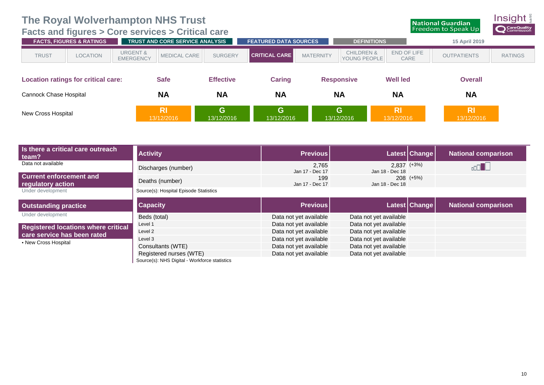<span id="page-13-0"></span>**[Facts and figures](#page-7-0) > Core services > Critical care**



|                                            | $\sim$<br><b>FACTS, FIGURES &amp; RATINGS</b> |                                         | TRUST AND CORE SERVICE ANALYSIS |                  | <b>FEATURED DATA SOURCES</b> |                   | <b>DEFINITIONS</b>                    |                         | 15 April 2019           |                |
|--------------------------------------------|-----------------------------------------------|-----------------------------------------|---------------------------------|------------------|------------------------------|-------------------|---------------------------------------|-------------------------|-------------------------|----------------|
| <b>TRUST</b>                               | <b>LOCATION</b>                               | <b>URGENT &amp;</b><br><b>EMERGENCY</b> | <b>MEDICAL CARE</b>             | <b>SURGERY</b>   | <b>CRITICAL CARE</b>         | <b>MATERNITY</b>  | <b>CHILDREN &amp;</b><br>YOUNG PEOPLE | END OF LIFE<br>CARE     | <b>OUTPATIENTS</b>      | <b>RATINGS</b> |
| <b>Location ratings for critical care:</b> |                                               |                                         | <b>Safe</b>                     | <b>Effective</b> | <b>Caring</b>                | <b>Responsive</b> |                                       | <b>Well led</b>         | <b>Overall</b>          |                |
| Cannock Chase Hospital                     |                                               |                                         | <b>NA</b>                       | <b>NA</b>        | <b>NA</b>                    | <b>NA</b>         |                                       | <b>NA</b>               | <b>NA</b>               |                |
| New Cross Hospital                         |                                               |                                         | <b>RI</b><br>13/12/2016         | G<br>13/12/2016  | G.<br>13/12/2016             | G                 | 13/12/2016                            | <b>RI</b><br>13/12/2016 | <b>RI</b><br>13/12/2016 |                |

| Is there a critical care outreach<br>team?          | <b>Activity</b>                        | <b>Previous</b>          |                                    | <b>Latest Change</b> | <b>National comparison</b> |
|-----------------------------------------------------|----------------------------------------|--------------------------|------------------------------------|----------------------|----------------------------|
| Data not available                                  | Discharges (number)                    | 2,765<br>Jan 17 - Dec 17 | $2.837$ $(+3%)$<br>Jan 18 - Dec 18 |                      |                            |
| <b>Current enforcement and</b><br>regulatory action | Deaths (number)                        | 199<br>Jan 17 - Dec 17   | Jan 18 - Dec 18                    | $208$ $(+5%)$        |                            |
| Under development                                   | Source(s): Hospital Episode Statistics |                          |                                    |                      |                            |
| <b>Outstanding practice</b>                         | <b>Capacity</b>                        | <b>Previous</b>          |                                    | Latest Change        | <b>National comparison</b> |
| Under development                                   | Beds (total)                           | Data not yet available   | Data not yet available             |                      |                            |
| <b>Registered locations where critical</b>          | Level 1                                | Data not yet available   | Data not yet available             |                      |                            |
| care service has been rated                         | Level 2                                | Data not yet available   | Data not yet available             |                      |                            |
| • New Cross Hospital                                | Level 3                                | Data not yet available   | Data not yet available             |                      |                            |
|                                                     | Consultants (WTE)                      | Data not yet available   | Data not yet available             |                      |                            |
|                                                     | Registered nurses (WTE)                | Data not yet available   | Data not yet available             |                      |                            |

Source(s): NHS Digital - Workforce statistics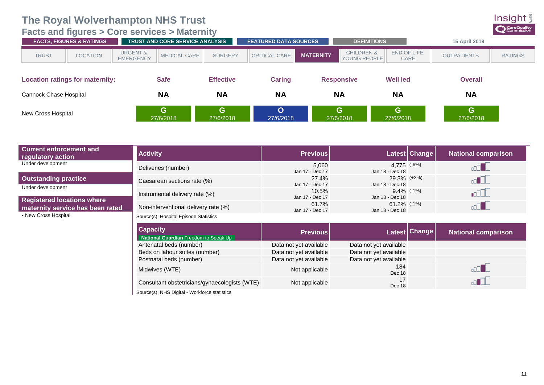#### <span id="page-14-0"></span>**[Facts and figures](#page-7-0) > Core services > Maternity**



|                                        | <b>FACTS, FIGURES &amp; RATINGS</b> |                                         | TRUST AND CORE SERVICE ANALYSIS |                  | <b>FEATURED DATA SOURCES</b> |                  | <b>DEFINITIONS</b>                    |                     | 15 April 2019      |                |
|----------------------------------------|-------------------------------------|-----------------------------------------|---------------------------------|------------------|------------------------------|------------------|---------------------------------------|---------------------|--------------------|----------------|
| <b>TRUST</b>                           | <b>LOCATION</b>                     | <b>URGENT &amp;</b><br><b>EMERGENCY</b> | <b>MEDICAL CARE</b>             | <b>SURGERY</b>   | <b>CRITICAL CARE</b>         | <b>MATERNITY</b> | <b>CHILDREN &amp;</b><br>YOUNG PEOPLE | END OF LIFE<br>CARE | <b>OUTPATIENTS</b> | <b>RATINGS</b> |
| <b>Location ratings for maternity:</b> |                                     |                                         | <b>Safe</b>                     | <b>Effective</b> | Caring                       |                  | <b>Responsive</b>                     | <b>Well led</b>     | <b>Overall</b>     |                |
| Cannock Chase Hospital                 |                                     |                                         | <b>NA</b>                       | <b>NA</b>        | <b>NA</b>                    | <b>NA</b>        |                                       | <b>NA</b>           | <b>NA</b>          |                |
| New Cross Hospital                     |                                     |                                         | G<br>27/6/2018                  | G<br>27/6/2018   | O<br>27/6/2018               |                  | G<br>27/6/2018                        | G<br>27/6/2018      | G<br>27/6/2018     |                |

| <b>Current enforcement and</b><br>regulatory action | <b>Activity</b>                                          | <b>Previous</b>          |                                   | Latest   Change | National comparison        |
|-----------------------------------------------------|----------------------------------------------------------|--------------------------|-----------------------------------|-----------------|----------------------------|
| Under development                                   | Deliveries (number)                                      | 5,060<br>Jan 17 - Dec 17 | 4,775 (-6%)<br>Jan 18 - Dec 18    |                 |                            |
| <b>Outstanding practice</b><br>Under development    | Caesarean sections rate (%)                              | 27.4%<br>Jan 17 - Dec 17 | 29.3% (+2%)<br>Jan 18 - Dec 18    |                 |                            |
| <b>Registered locations where</b>                   | Instrumental delivery rate (%)                           | 10.5%<br>Jan 17 - Dec 17 | $9.4\%$ (-1%)<br>Jan 18 - Dec 18  |                 | .ool.                      |
| maternity service has been rated                    | Non-interventional delivery rate (%)                     | 61.7%<br>Jan 17 - Dec 17 | $61.2\%$ (-1%)<br>Jan 18 - Dec 18 |                 |                            |
| • New Cross Hospital                                | Source(s): Hospital Episode Statistics                   |                          |                                   |                 |                            |
|                                                     | <b>Capacity</b><br>National Guardian Freedom to Speak Up | <b>Previous</b>          |                                   | Latest Change   | <b>National comparison</b> |
|                                                     | Antenatal beds (number)                                  | Data not yet available   | Data not yet available            |                 |                            |
|                                                     | Beds on labour suites (number)                           | Data not yet available   | Data not yet available            |                 |                            |

Postnatal beds (number) Data not yet available<br>Midwiyes (MTE) 184

Dec 18

Dec 18

Midwives (WTE) Not applicable 1840 Not applicable 1840 Not applicable 1840 Not applicable 1840 Not applicable

Consultant obstetricians/gynaecologists (WTE) Not applicable

Source(s): NHS Digital - Workforce statistics

 $\Box$ 

 $\overline{\mathbb{C}}$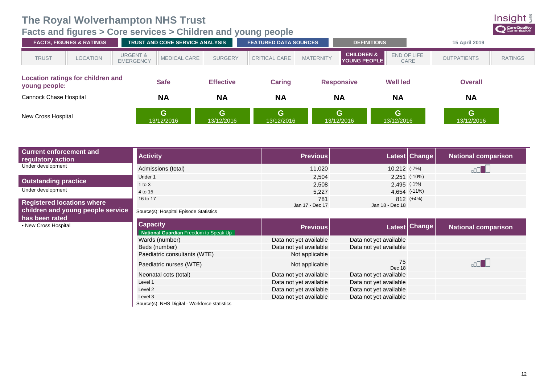#### <span id="page-15-0"></span>**[Facts and figures](#page-7-0) > Core services > Children and young people**



|                                                           | <b>FACTS, FIGURES &amp; RATINGS</b> |                                         | <b>TRUST AND CORE SERVICE ANALYSIS</b> |                  | <b>FEATURED DATA SOURCES</b> | <b>DEFINITIONS</b>                                                               |                 | 15 April 2019      |                |
|-----------------------------------------------------------|-------------------------------------|-----------------------------------------|----------------------------------------|------------------|------------------------------|----------------------------------------------------------------------------------|-----------------|--------------------|----------------|
| <b>TRUST</b>                                              | <b>LOCATION</b>                     | <b>URGENT &amp;</b><br><b>EMERGENCY</b> | <b>MEDICAL CARE</b>                    | <b>SURGERY</b>   | <b>CRITICAL CARE</b>         | <b>CHILDREN &amp;</b><br>END OF LIFE<br><b>MATERNITY</b><br>YOUNG PEOPLE<br>CARE |                 | <b>OUTPATIENTS</b> | <b>RATINGS</b> |
| <b>Location ratings for children and</b><br>young people: |                                     |                                         | <b>Safe</b>                            | <b>Effective</b> | <b>Caring</b>                | <b>Responsive</b>                                                                | <b>Well led</b> | <b>Overall</b>     |                |
| Cannock Chase Hospital                                    |                                     |                                         | <b>NA</b>                              | <b>NA</b>        | <b>NA</b>                    | <b>NA</b>                                                                        | <b>NA</b>       | <b>NA</b>          |                |
| New Cross Hospital                                        |                                     |                                         | G<br>13/12/2016                        | G<br>13/12/2016  | G<br>13/12/2016              | G<br>13/12/2016                                                                  | G<br>13/12/2016 | G.<br>13/12/2016   |                |

| <b>Current enforcement and</b><br>regulatory action | <b>Activity</b>                                          | <b>Previous</b>        |                        | Latest Change | <b>National comparison</b> |
|-----------------------------------------------------|----------------------------------------------------------|------------------------|------------------------|---------------|----------------------------|
| Under development                                   | Admissions (total)                                       | 11,020                 | 10,212 (-7%)           |               |                            |
|                                                     | Under 1                                                  | 2.504                  | $2,251$ (-10%)         |               |                            |
| <b>Outstanding practice</b>                         | 1 to $3$                                                 | 2,508                  | $2,495$ $(-1%)$        |               |                            |
| Under development                                   | 4 to 15                                                  | 5,227                  | 4,654 (-11%)           |               |                            |
| <b>Registered locations where</b>                   | 16 to 17                                                 | 781<br>Jan 17 - Dec 17 | Jan 18 - Dec 18        | 812 (+4%)     |                            |
| children and young people service<br>has been rated | Source(s): Hospital Episode Statistics                   |                        |                        |               |                            |
| • New Cross Hospital                                | <b>Capacity</b><br>National Guardian Freedom to Speak Up | <b>Previous</b>        |                        | Latest Change | <b>National comparison</b> |
|                                                     | Wards (number)                                           | Data not yet available | Data not yet available |               |                            |
|                                                     | Beds (number)                                            | Data not yet available | Data not yet available |               |                            |
|                                                     | Paediatric consultants (WTE)                             | Not applicable         |                        |               |                            |

| Paediatric nurses (WTE)                       | Not applicable         | 75<br>Dec 18           |
|-----------------------------------------------|------------------------|------------------------|
| Neonatal cots (total)                         | Data not yet available | Data not yet available |
| Level 1                                       | Data not yet available | Data not yet available |
| Level 2                                       | Data not yet available | Data not yet available |
| Level 3                                       | Data not yet available | Data not yet available |
| Source(s): NHS Digital - Workforce statistics |                        |                        |

Source(s): NHS Digital - Workforce statistics

 $\sqrt{1000}$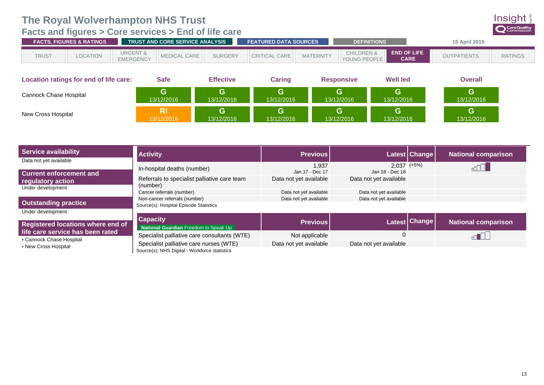#### <span id="page-16-0"></span>**[Facts and figures](#page-7-0) > Core services > End of life care**

| <b>TRUST AND CORE SERVICE ANALYSIS</b><br><b>FACTS. FIGURES &amp; RATINGS</b> |                 |                                         |                     | <b>FEATURED DATA SOURCES</b><br><b>DEFINITIONS</b> |                      |                  | <b>15 April 2019</b>                  |                                   |                    |                |
|-------------------------------------------------------------------------------|-----------------|-----------------------------------------|---------------------|----------------------------------------------------|----------------------|------------------|---------------------------------------|-----------------------------------|--------------------|----------------|
| <b>TRUST</b>                                                                  | <b>LOCATION</b> | <b>URGENT &amp;</b><br><b>EMERGENCY</b> | <b>MEDICAL CARE</b> | <b>SURGERY</b>                                     | <b>CRITICAL CARE</b> | <b>MATERNITY</b> | <b>CHILDREN &amp;</b><br>YOUNG PEOPLE | <b>END OF LIFE</b><br><b>CARE</b> | <b>OUTPATIENTS</b> | <b>RATINGS</b> |
|                                                                               |                 |                                         |                     |                                                    |                      |                  |                                       |                                   |                    |                |

| Location ratings for end of life care: | Safe            | <b>Effective</b> | Caring     | <b>Responsive</b> | <b>Well led</b> | <b>Overall</b>  |
|----------------------------------------|-----------------|------------------|------------|-------------------|-----------------|-----------------|
| Cannock Chase Hospital                 | A<br>13/12/2016 | G<br>13/12/2016  | 13/12/2016 | 13/12/2016        | G<br>13/12/2016 | G<br>13/12/2016 |
| New Cross Hospital                     | 13/12/2016      | G<br>13/12/2016  | 13/12/2016 | 13/12/2016        | G<br>13/12/2016 | G<br>13/12/2016 |

| <b>Service availability</b>                                  | <b>Activity</b>                                                                          | <b>Previous</b>          |                                    | Latest Change | <b>National comparison</b> |
|--------------------------------------------------------------|------------------------------------------------------------------------------------------|--------------------------|------------------------------------|---------------|----------------------------|
| Data not yet available<br><b>Current enforcement and</b>     | In-hospital deaths (number)                                                              | 1.937<br>Jan 17 - Dec 17 | $2.037$ $(+5%)$<br>Jan 18 - Dec 18 |               |                            |
| regulatory action<br>Under development                       | Referrals to specialist palliative care team<br>(number)                                 | Data not yet available   | Data not yet available             |               |                            |
|                                                              | Cancer referrals (number)                                                                | Data not yet available   | Data not yet available             |               |                            |
| <b>Outstanding practice</b>                                  | Non-cancer referrals (number)<br>Source(s): Hospital Episode Statistics                  | Data not yet available   | Data not yet available             |               |                            |
| Under development<br>Registered locations where end of       | <b>Capacity</b><br>National Guardian Freedom to Speak Up                                 | <b>Previous</b>          |                                    | Latest Change | <b>National comparison</b> |
| life care service has been rated<br>• Cannock Chase Hospital | Specialist palliative care consultants (WTE)                                             | Not applicable           | 0                                  |               |                            |
| • New Cross Hospital                                         | Specialist palliative care nurses (WTE)<br>Source(s): NHS Digital - Workforce statistics | Data not yet available   | Data not yet available             |               |                            |

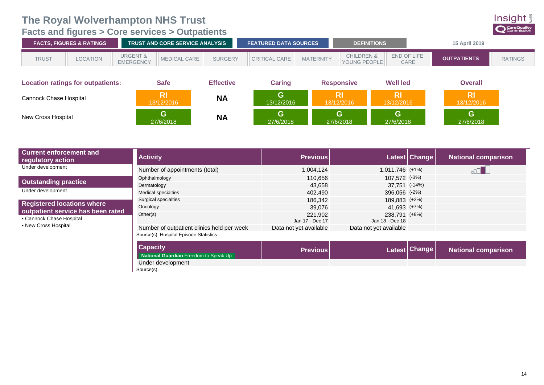<span id="page-17-0"></span>**[Facts and figures](#page-7-0) > Core services > Outpatients**



|                           | <b>FACTS, FIGURES &amp; RATINGS</b>      |                                         | <b>TRUST AND CORE SERVICE ANALYSIS</b> |                  | <b>FEATURED DATA SOURCES</b> |                  | <b>DEFINITIONS</b>                    |                         | 15 April 2019           |                |
|---------------------------|------------------------------------------|-----------------------------------------|----------------------------------------|------------------|------------------------------|------------------|---------------------------------------|-------------------------|-------------------------|----------------|
| <b>TRUST</b>              | <b>LOCATION</b>                          | <b>URGENT &amp;</b><br><b>EMERGENCY</b> | <b>MEDICAL CARE</b>                    | <b>SURGERY</b>   | CRITICAL CARE                | <b>MATERNITY</b> | <b>CHILDREN &amp;</b><br>YOUNG PEOPLE | END OF LIFE<br>CARE     | <b>OUTPATIENTS</b>      | <b>RATINGS</b> |
|                           | <b>Location ratings for outpatients:</b> |                                         | <b>Safe</b>                            | <b>Effective</b> | Caring                       |                  | <b>Responsive</b>                     | <b>Well led</b>         | <b>Overall</b>          |                |
| Cannock Chase Hospital    |                                          |                                         | <b>RI</b><br>13/12/2016                | <b>NA</b>        | G.<br>13/12/2016             |                  | <b>RI</b><br>13/12/2016               | <b>RI</b><br>13/12/2016 | <b>RI</b><br>13/12/2016 |                |
| <b>New Cross Hospital</b> |                                          |                                         | G<br>27/6/2018                         | <b>NA</b>        | G.<br>27/6/2018              |                  | G.<br>27/6/2018                       | G.<br>27/6/2018         | G<br>27/6/2018          |                |

| <b>Current enforcement and</b><br>regulatory action           | <b>Activity</b>                            | <b>Previous</b>            |                                  | Latest Change | <b>National comparison</b> |
|---------------------------------------------------------------|--------------------------------------------|----------------------------|----------------------------------|---------------|----------------------------|
| Under development                                             | Number of appointments (total)             | 1,004,124                  | 1,011,746 (+1%)                  |               |                            |
|                                                               | Ophthalmology                              | 110.656                    | 107.572 (-3%)                    |               |                            |
| <b>Outstanding practice</b>                                   | Dermatology                                | 43.658                     | 37.751 (-14%)                    |               |                            |
| Under development                                             | Medical specialties                        | 402.490                    | 396,056 (-2%)                    |               |                            |
| <b>Registered locations where</b>                             | Surgical specialties                       | 186.342                    | 189.883 (+2%)                    |               |                            |
|                                                               | Oncology                                   | 39.076                     | 41,693 (+7%)                     |               |                            |
| outpatient service has been rated<br>• Cannock Chase Hospital | Other(s)                                   | 221,902<br>Jan 17 - Dec 17 | 238.791 (+8%)<br>Jan 18 - Dec 18 |               |                            |
| • New Cross Hospital                                          | Number of outpatient clinics held per week | Data not yet available     | Data not yet available           |               |                            |
|                                                               | Source(s): Hospital Episode Statistics     |                            |                                  |               |                            |
|                                                               | <b>Capacity</b>                            | <b>Previous</b>            |                                  | Latest Change | <b>National comparison</b> |

**National Guardian** Freedom to Speak Up Under development

Source(s):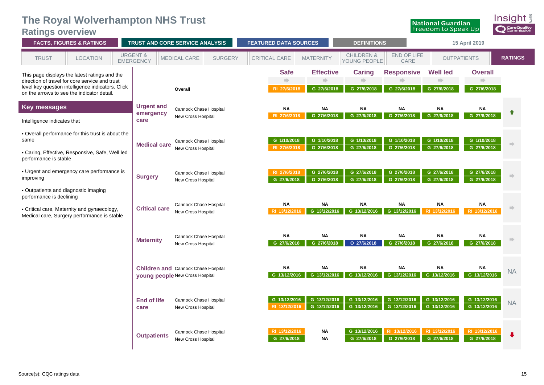#### **The Royal Wolverhampton NHS Trust Ratings overview**

<span id="page-18-0"></span>

| <b>Hamilton</b> Archiver<br><b>FACTS, FIGURES &amp; RATINGS</b><br><b>TRUST AND CORE SERVICE ANALYSIS</b> |                                                                                                                                                                                                    |  |                                         |                                                                                      | <b>FEATURED DATA SOURCES</b> |                      |                                              | <b>DEFINITIONS</b>              |                                       | 15 April 2019                    |                                                                                                                                                                                                                                                                                                                                                                                                                                                                                                                                     |                                                |                |
|-----------------------------------------------------------------------------------------------------------|----------------------------------------------------------------------------------------------------------------------------------------------------------------------------------------------------|--|-----------------------------------------|--------------------------------------------------------------------------------------|------------------------------|----------------------|----------------------------------------------|---------------------------------|---------------------------------------|----------------------------------|-------------------------------------------------------------------------------------------------------------------------------------------------------------------------------------------------------------------------------------------------------------------------------------------------------------------------------------------------------------------------------------------------------------------------------------------------------------------------------------------------------------------------------------|------------------------------------------------|----------------|
| <b>TRUST</b>                                                                                              | <b>LOCATION</b>                                                                                                                                                                                    |  | <b>URGENT &amp;</b><br><b>EMERGENCY</b> | <b>MEDICAL CARE</b>                                                                  | <b>SURGERY</b>               | <b>CRITICAL CARE</b> |                                              | <b>MATERNITY</b>                | <b>CHILDREN &amp;</b><br>YOUNG PEOPLE | END OF LIFE<br>CARE              | <b>OUTPATIENTS</b>                                                                                                                                                                                                                                                                                                                                                                                                                                                                                                                  |                                                | <b>RATINGS</b> |
|                                                                                                           | This page displays the latest ratings and the<br>direction of travel for core service and trust<br>level key question intelligence indicators. Click<br>on the arrows to see the indicator detail. |  |                                         | Overall                                                                              |                              |                      | <b>Safe</b><br>$\Rightarrow$<br>RI 27/6/2018 | <b>Effective</b><br>G 27/6/2018 | <b>Caring</b><br>G 27/6/2018          | <b>Responsive</b><br>G 27/6/2018 | <b>Well led</b><br>$\begin{tabular}{c} \multicolumn{1}{c} {\textbf{1}} & \multicolumn{1}{c} {\textbf{1}} \\ \multicolumn{1}{c} {\textbf{2}} & \multicolumn{1}{c} {\textbf{3}} \\ \multicolumn{1}{c} {\textbf{4}} & \multicolumn{1}{c} {\textbf{5}} \\ \multicolumn{1}{c} {\textbf{5}} & \multicolumn{1}{c} {\textbf{6}} \\ \multicolumn{1}{c} {\textbf{6}} & \multicolumn{1}{c} {\textbf{6}} \\ \multicolumn{1}{c} {\textbf{6}} & \multicolumn{1}{c} {\textbf{6}} \\ \multicolumn{1}{c} {\textbf{7}} & \multicolumn$<br>G 27/6/2018 | <b>Overall</b><br>$\Rightarrow$<br>G 27/6/2018 |                |
| Key messages<br>Intelligence indicates that                                                               |                                                                                                                                                                                                    |  | <b>Urgent and</b><br>emergency<br>care  | Cannock Chase Hospital<br>New Cross Hospital                                         |                              |                      | <b>NA</b><br>RI 27/6/2018                    | <b>NA</b><br>G 27/6/2018        | <b>NA</b><br>G 27/6/2018              | <b>NA</b><br>G 27/6/2018         | <b>NA</b><br>G 27/6/2018                                                                                                                                                                                                                                                                                                                                                                                                                                                                                                            | <b>NA</b><br>G 27/6/2018                       |                |
| same<br>performance is stable                                                                             | • Overall performance for this trust is about the<br>• Caring, Effective, Responsive, Safe, Well led                                                                                               |  | <b>Medical care</b>                     | Cannock Chase Hospital<br>New Cross Hospital                                         |                              |                      | G 1/10/2018<br>RI 27/6/2018                  | G 1/10/2018<br>G 27/6/2018      | G 1/10/2018<br>G 27/6/2018            | G 1/10/2018<br>G 27/6/2018       | G 1/10/2018<br>G 27/6/2018                                                                                                                                                                                                                                                                                                                                                                                                                                                                                                          | G 1/10/2018<br>G 27/6/2018                     |                |
| improving<br>• Outpatients and diagnostic imaging                                                         | • Urgent and emergency care performance is                                                                                                                                                         |  | <b>Surgery</b>                          | <b>Cannock Chase Hospital</b><br><b>New Cross Hospital</b>                           |                              |                      | RI 27/6/2018<br>G 27/6/2018                  | G 27/6/2018<br>G 27/6/2018      | G 27/6/2018<br>G 27/6/2018            | G 27/6/2018<br>G 27/6/2018       | G 27/6/2018<br>G 27/6/2018                                                                                                                                                                                                                                                                                                                                                                                                                                                                                                          | G 27/6/2018<br>G 27/6/2018                     |                |
| performance is declining<br>Medical care, Surgery performance is stable                                   | • Critical care, Maternity and gynaecology,                                                                                                                                                        |  | <b>Critical care</b>                    | <b>Cannock Chase Hospital</b><br>New Cross Hospital                                  |                              |                      | <b>NA</b><br>RI 13/12/2016                   | <b>NA</b><br>G 13/12/2016       | <b>NA</b><br>G 13/12/2016             | <b>NA</b><br>G 13/12/2016        | <b>NA</b><br>RI 13/12/2016                                                                                                                                                                                                                                                                                                                                                                                                                                                                                                          | <b>NA</b><br>RI 13/12/2016                     |                |
|                                                                                                           |                                                                                                                                                                                                    |  | <b>Maternity</b>                        | Cannock Chase Hospital<br>New Cross Hospital                                         |                              |                      | <b>NA</b><br>G 27/6/2018                     | <b>NA</b><br>G 27/6/2018        | <b>NA</b><br>O 27/6/2018              | ΝA<br>G 27/6/2018                | <b>NA</b><br>G 27/6/2018                                                                                                                                                                                                                                                                                                                                                                                                                                                                                                            | <b>NA</b><br>G 27/6/2018                       |                |
|                                                                                                           |                                                                                                                                                                                                    |  |                                         | <b>Children and Cannock Chase Hospital</b><br><b>young people New Cross Hospital</b> |                              |                      | <b>NA</b><br>G 13/12/2016                    | <b>NA</b><br>G 13/12/2016       | <b>NA</b><br>G 13/12/2016             | <b>NA</b><br>G 13/12/2016        | <b>NA</b><br>G 13/12/2016                                                                                                                                                                                                                                                                                                                                                                                                                                                                                                           | NA<br>G 13/12/2016                             | <b>NA</b>      |
|                                                                                                           |                                                                                                                                                                                                    |  | <b>End of life</b><br>care              | Cannock Chase Hospital<br>New Cross Hospital                                         |                              |                      | G 13/12/2016<br>RI 13/12/2016                | G 13/12/2016<br>G 13/12/2016    | G 13/12/2016<br>G 13/12/2016          | G 13/12/2016<br>G 13/12/2016     | G 13/12/2016<br>G 13/12/2016                                                                                                                                                                                                                                                                                                                                                                                                                                                                                                        | G 13/12/2016<br>G 13/12/2016                   | <b>NA</b>      |
|                                                                                                           |                                                                                                                                                                                                    |  | <b>Outpatients</b>                      | <b>Cannock Chase Hospital</b><br>New Cross Hospital                                  |                              |                      | RI 13/12/2016<br>G 27/6/2018                 | <b>NA</b><br><b>NA</b>          | G 13/12/2016<br>G 27/6/2018           | RI 13/12/2016<br>G 27/6/2018     | RI 13/12/2016<br>G 27/6/2018                                                                                                                                                                                                                                                                                                                                                                                                                                                                                                        | RI 13/12/2016<br>G 27/6/2018                   |                |

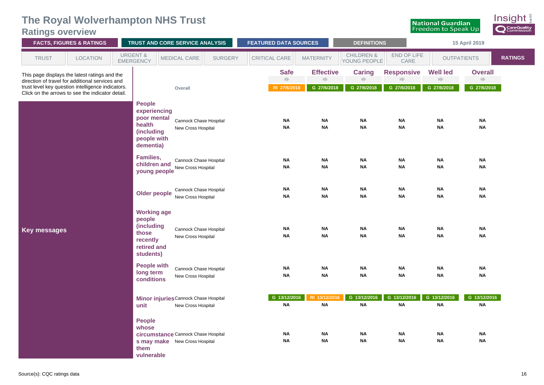#### **The Royal Wolverhampton NHS Trust Ratings overview**

| <b>FACTS, FIGURES &amp; RATINGS</b> |                                                                                                                                                                                                           | TRUST AND CORE SERVICE ANALYSIS         |                                                                                                              |                                                     | <b>FEATURED DATA SOURCES</b> |                                              | <b>DEFINITIONS</b>                    |                                                   | 15 April 2019                    |                                       |                                                |                |
|-------------------------------------|-----------------------------------------------------------------------------------------------------------------------------------------------------------------------------------------------------------|-----------------------------------------|--------------------------------------------------------------------------------------------------------------|-----------------------------------------------------|------------------------------|----------------------------------------------|---------------------------------------|---------------------------------------------------|----------------------------------|---------------------------------------|------------------------------------------------|----------------|
| <b>TRUST</b>                        | LOCATION                                                                                                                                                                                                  | <b>URGENT &amp;</b><br><b>EMERGENCY</b> |                                                                                                              | MEDICAL CARE                                        | <b>SURGERY</b>               | CRITICAL CARE                                | <b>MATERNITY</b>                      | <b>CHILDREN &amp;</b><br>YOUNG PEOPLE             | END OF LIFE<br>CARE              | <b>OUTPATIENTS</b>                    |                                                | <b>RATINGS</b> |
|                                     | This page displays the latest ratings and the<br>direction of travel for additional services and<br>trust level key question intelligence indicators.<br>Click on the arrows to see the indicator detail. |                                         |                                                                                                              | Overall                                             |                              | <b>Safe</b><br>$\Rightarrow$<br>RI 27/6/2018 | <b>Effective</b><br>n)<br>G 27/6/2018 | <b>Caring</b><br>$\Longrightarrow$<br>G 27/6/2018 | <b>Responsive</b><br>G 27/6/2018 | <b>Well led</b><br>ni)<br>G 27/6/2018 | <b>Overall</b><br>$\Rightarrow$<br>G 27/6/2018 |                |
|                                     |                                                                                                                                                                                                           |                                         | <b>People</b><br>experiencing<br>poor mental<br>health<br>(including<br>people with<br>dementia)             | Cannock Chase Hospital<br>New Cross Hospital        |                              | <b>NA</b><br><b>NA</b>                       | <b>NA</b><br><b>NA</b>                | <b>NA</b><br><b>NA</b>                            | <b>NA</b><br><b>NA</b>           | NA<br><b>NA</b>                       | NA<br><b>NA</b>                                |                |
|                                     |                                                                                                                                                                                                           |                                         | Families,<br>children and<br>young people                                                                    | <b>Cannock Chase Hospital</b><br>New Cross Hospital |                              | <b>NA</b><br><b>NA</b>                       | <b>NA</b><br><b>NA</b>                | <b>NA</b><br><b>NA</b>                            | <b>NA</b><br><b>NA</b>           | <b>NA</b><br><b>NA</b>                | <b>NA</b><br><b>NA</b>                         |                |
|                                     |                                                                                                                                                                                                           |                                         | Older people                                                                                                 | Cannock Chase Hospital<br>New Cross Hospital        |                              | ΝA<br><b>NA</b>                              | <b>NA</b><br><b>NA</b>                | <b>NA</b><br><b>NA</b>                            | <b>NA</b><br><b>NA</b>           | <b>NA</b><br><b>NA</b>                | ΝA<br><b>NA</b>                                |                |
| Key messages                        |                                                                                                                                                                                                           |                                         | <b>Working age</b><br>people<br>(including<br>those<br>recently<br>retired and<br>students)                  | Cannock Chase Hospital<br>New Cross Hospital        |                              | ΝA<br><b>NA</b>                              | <b>NA</b><br><b>NA</b>                | <b>NA</b><br><b>NA</b>                            | <b>NA</b><br><b>NA</b>           | <b>NA</b><br><b>NA</b>                | <b>NA</b><br><b>NA</b>                         |                |
|                                     |                                                                                                                                                                                                           |                                         | <b>People with</b><br>long term<br>conditions                                                                | Cannock Chase Hospital<br>New Cross Hospital        |                              | ΝA<br><b>NA</b>                              | <b>NA</b><br><b>NA</b>                | <b>NA</b><br><b>NA</b>                            | ΝA<br><b>NA</b>                  | ΝA<br><b>NA</b>                       | ΝA<br><b>NA</b>                                |                |
|                                     |                                                                                                                                                                                                           | unit                                    | Minor injuries Cannock Chase Hospital                                                                        | New Cross Hospital                                  |                              | G 13/12/2016<br><b>NA</b>                    | RI 13/12/2016<br><b>NA</b>            | G 13/12/2016<br><b>NA</b>                         | G 13/12/2016<br><b>NA</b>        | G 13/12/2016<br><b>NA</b>             | G 13/12/2016<br><b>NA</b>                      |                |
|                                     |                                                                                                                                                                                                           | them                                    | <b>People</b><br>whose<br>circumstance Cannock Chase Hospital<br>s may make New Cross Hospital<br>vulnerable |                                                     |                              | ΝA<br><b>NA</b>                              | <b>NA</b><br><b>NA</b>                | <b>NA</b><br><b>NA</b>                            | NA<br>ΝA                         | NA<br><b>NA</b>                       | NA<br><b>NA</b>                                |                |

Insight

CareQuality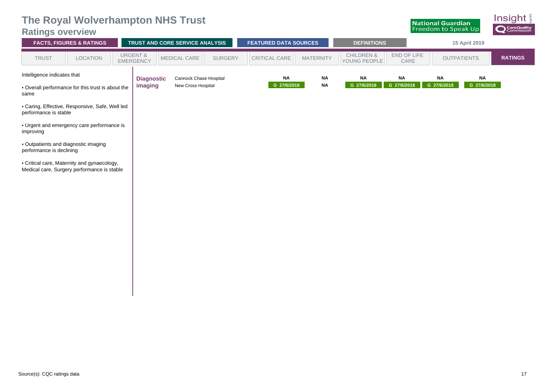|  |  | <b>The Royal Wolverhampton NHS Trust</b> |  |  |
|--|--|------------------------------------------|--|--|
|--|--|------------------------------------------|--|--|

#### **Ratings overview**

| <b>Ratings overview</b>                                                                                                                                                              |                                                 |  |  | The Royal Wolverhampton NHS Trust      |                          |                              |                          |                                       |                          | <b>National Guardian</b><br><b>Freedom to Speak Up</b> |                    | HISIYIIL §<br><b>Q</b> CareQuality |
|--------------------------------------------------------------------------------------------------------------------------------------------------------------------------------------|-------------------------------------------------|--|--|----------------------------------------|--------------------------|------------------------------|--------------------------|---------------------------------------|--------------------------|--------------------------------------------------------|--------------------|------------------------------------|
|                                                                                                                                                                                      | <b>FACTS, FIGURES &amp; RATINGS</b>             |  |  | <b>TRUST AND CORE SERVICE ANALYSIS</b> |                          | <b>FEATURED DATA SOURCES</b> |                          | <b>DEFINITIONS</b>                    |                          |                                                        | 15 April 2019      |                                    |
| <b>TRUST</b>                                                                                                                                                                         | <b>URGENT &amp;</b><br><b>LOCATION</b>          |  |  | <b>MEDICAL CARE</b>                    | <b>SURGERY</b>           | <b>CRITICAL CARE</b>         | <b>MATERNITY</b>         | <b>CHILDREN &amp;</b><br>YOUNG PEOPLE | END OF LIFE<br>CARE      |                                                        | <b>OUTPATIENTS</b> | <b>RATINGS</b>                     |
| <b>EMERGENCY</b><br>Intelligence indicates that<br>Cannock Chase Hospital<br><b>Diagnostic</b><br>New Cross Hospital<br>imaging<br>• Overall performance for this trust is about the |                                                 |  |  |                                        | <b>NA</b><br>G 27/6/2018 | <b>NA</b><br><b>NA</b>       | <b>NA</b><br>G 27/6/2018 | <b>NA</b><br>G 27/6/2018              | <b>NA</b><br>G 27/6/2018 | <b>NA</b><br>G 27/6/2018                               |                    |                                    |
| same                                                                                                                                                                                 |                                                 |  |  |                                        |                          |                              |                          |                                       |                          |                                                        |                    |                                    |
| performance is stable                                                                                                                                                                | • Caring, Effective, Responsive, Safe, Well led |  |  |                                        |                          |                              |                          |                                       |                          |                                                        |                    |                                    |
|                                                                                                                                                                                      | • Urgent and emergency care performance is      |  |  |                                        |                          |                              |                          |                                       |                          |                                                        |                    |                                    |

• Outpatients and diagnostic imaging performance is declining

improving

• Critical care, Maternity and gynaecology, Medical care, Surgery performance is stable Insight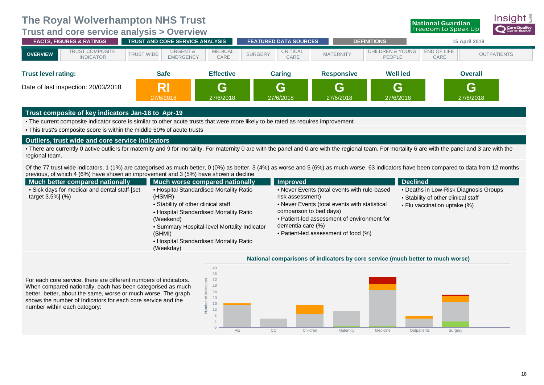<span id="page-21-0"></span>**[Trust](#page-21-0) and core service analysis > Overview**



better, better, about the same, worse or much worse. The graph shows the number of Indicators for each core service and the number within each category:



**National Guardian**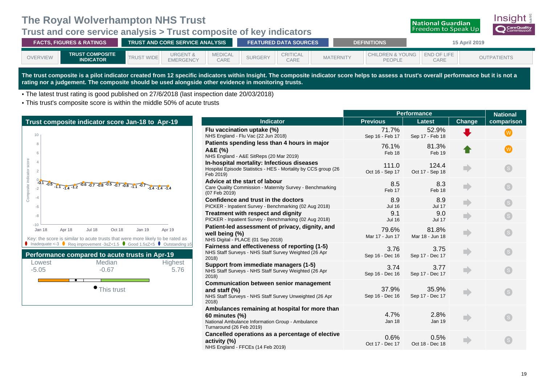#### <span id="page-22-0"></span>**Trust and core service analysis > Trust composite of key indicators**



| <b>FACTS, FIGURES &amp; RATINGS</b> |                                            |             | I TRUST AND CORE SERVICE ANALYSIS <b>I</b> |                        |                | <b>FEATURED DATA SOURCES</b> |                  | <b>DEFINITIONS</b>                           | 15 April 2019       |                    |  |
|-------------------------------------|--------------------------------------------|-------------|--------------------------------------------|------------------------|----------------|------------------------------|------------------|----------------------------------------------|---------------------|--------------------|--|
| <b>OVERVIEW</b>                     | <b>TRUST COMPOSITE</b><br><b>INDICATOR</b> | <b>WIDE</b> | <b>URGENT &amp;</b><br><b>EMERGENCY</b>    | <b>MEDICAL</b><br>CARE | <b>SURGERY</b> | <b>CRITICAL</b><br>CARE      | <b>MATERNITY</b> | <b>CHILDREN &amp; YOUNG</b><br><b>PEOPLE</b> | END OF LIFE<br>CARE | <b>OUTPATIENTS</b> |  |

**The trust composite is a pilot indicator created from 12 specific indicators within Insight. The composite indicator score helps to assess a trust's overall performance but it is not a rating nor a judgement. The composite should be used alongside other evidence in monitoring trusts.**

• The latest trust rating is good published on 27/6/2018 (last inspection date 20/03/2018)

• This trust's composite score is within the middle 50% of acute trusts

Composite indicator

|                                                                                                                                                                          |                                                                                                                                                  | <b>Performance</b>       |                          | <b>National</b>                                                                          |            |
|--------------------------------------------------------------------------------------------------------------------------------------------------------------------------|--------------------------------------------------------------------------------------------------------------------------------------------------|--------------------------|--------------------------|------------------------------------------------------------------------------------------|------------|
| Trust composite indicator score Jan-18 to Apr-19                                                                                                                         | Indicator                                                                                                                                        | <b>Previous</b>          | <b>Latest</b>            | <b>Change</b>                                                                            | comparison |
| 10                                                                                                                                                                       | Flu vaccination uptake (%)<br>NHS England - Flu Vac (22 Jun 2018)                                                                                | 71.7%<br>Sep 16 - Feb 17 | 52.9%<br>Sep 17 - Feb 18 |                                                                                          | (W         |
|                                                                                                                                                                          | Patients spending less than 4 hours in major<br>A&E (%)<br>NHS England - A&E SitReps (20 Mar 2019)                                               | 76.1%<br>Feb 18          | 81.3%<br>Feb 19          |                                                                                          | W)         |
| score                                                                                                                                                                    | In-hospital mortality: Infectious diseases<br>Hospital Episode Statistics - HES - Mortality by CCS group (26<br>Feb 2019)                        | 111.0<br>Oct 16 - Sep 17 | 124.4<br>Oct 17 - Sep 18 | mb                                                                                       |            |
| $-0.1$<br>$-0.5$ -1.1 -1.4 -1.2 $-0.6$ -0.7 -0.8 -0.5 -0.7 -0.8 -1.1 -0.7<br>$-1.4 - 1.4 - 1.4$                                                                          | Advice at the start of labour<br>Care Quality Commission - Maternity Survey - Benchmarking<br>(07 Feb 2019)                                      | 8.5<br>Feb 17            | 8.3<br>Feb 18            | mb.                                                                                      |            |
|                                                                                                                                                                          | Confidence and trust in the doctors<br>PICKER - Inpatient Survey - Benchmarking (02 Aug 2018)                                                    | 8.9<br><b>Jul 16</b>     | 8.9<br><b>Jul 17</b>     | mb                                                                                       |            |
|                                                                                                                                                                          | Treatment with respect and dignity<br>PICKER - Inpatient Survey - Benchmarking (02 Aug 2018)                                                     | 9.1<br><b>Jul 16</b>     | 9.0<br><b>Jul 17</b>     | n)                                                                                       |            |
| $-10$<br><b>Jan 18</b><br>Apr 18<br><b>Jul 18</b><br>Oct 18<br><b>Jan 19</b><br>Apr 19<br>Key: the score is similar to acute trusts that were more likely to be rated as | Patient-led assessment of privacy, dignity, and<br>well being (%)<br>NHS Digital - PLACE (01 Sep 2018)                                           | 79.6%<br>Mar 17 - Jun 17 | 81.8%<br>Mar 18 - Jun 18 | n)                                                                                       |            |
| Inadequate <-3 $\bullet$ Req improvement -3 \le 25 \, Cood 1.5 \, Cood 1.5 \, Coutstanding \, 25<br>Performance compared to acute trusts in Apr-19                       | Fairness and effectiveness of reporting (1-5)<br>NHS Staff Surveys - NHS Staff Survey Weighted (26 Apr<br>2018                                   | 3.76<br>Sep 16 - Dec 16  | 3.75<br>Sep 17 - Dec 17  | $\blacksquare$                                                                           |            |
| Median<br>Highest<br>Lowest<br>$-5.05$<br>$-0.67$<br>5.76                                                                                                                | Support from immediate managers (1-5)<br>NHS Staff Surveys - NHS Staff Survey Weighted (26 Apr<br>2018)                                          | 3.74<br>Sep 16 - Dec 16  | 3.77<br>Sep 17 - Dec 17  | $\begin{array}{c} \begin{array}{c} \begin{array}{c} \end{array} \end{array} \end{array}$ |            |
| This trust                                                                                                                                                               | <b>Communication between senior management</b><br>and staff (%)<br>NHS Staff Surveys - NHS Staff Survey Unweighted (26 Apr<br>2018               | 37.9%<br>Sep 16 - Dec 16 | 35.9%<br>Sep 17 - Dec 17 | mb.                                                                                      |            |
|                                                                                                                                                                          | Ambulances remaining at hospital for more than<br>60 minutes (%)<br>National Ambulance Information Group - Ambulance<br>Turnaround (26 Feb 2019) | 4.7%<br>Jan 18           | 2.8%<br>Jan 19           |                                                                                          |            |
|                                                                                                                                                                          | Cancelled operations as a percentage of elective<br>activity (%)<br>$TCTOT = (44 F + 0040)$                                                      | 0.6%<br>Oct 17 - Dec 17  | 0.5%<br>Oct 18 - Dec 18  |                                                                                          |            |

NHS England - FFCEs (14 Feb 2019)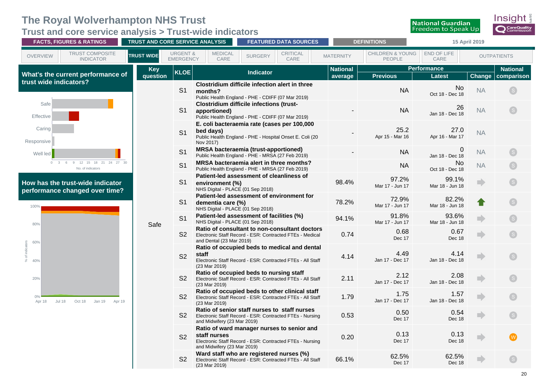<span id="page-23-0"></span>**Trust and core service analysis > Trust-wide indicators**

| <b>FACTS, FIGURES &amp; RATINGS</b>                                         | TRUST AND CORE SERVICE ANALYSIS |                                         |                                             | <b>FEATURED DATA SOURCES</b>                                                                                 |                         |                  | <b>DEFINITIONS</b>                    |                                               | 15 April 2019              |                         |
|-----------------------------------------------------------------------------|---------------------------------|-----------------------------------------|---------------------------------------------|--------------------------------------------------------------------------------------------------------------|-------------------------|------------------|---------------------------------------|-----------------------------------------------|----------------------------|-------------------------|
| <b>TRUST COMPOSITE</b><br><b>OVERVIEW</b><br><b>INDICATOR</b>               | <b>TRUST WIDE</b>               | <b>URGENT &amp;</b><br><b>EMERGENCY</b> | <b>MEDICAL</b><br>CARE                      | <b>SURGERY</b>                                                                                               | <b>CRITICAL</b><br>CARE | <b>MATERNITY</b> | <b>CHILDREN &amp; YOUNG</b><br>PEOPLE | END OF LIFE<br>CARE                           |                            | <b>OUTPATIENTS</b>      |
| What's the current performance of                                           | <b>Key</b>                      | <b>KLOE</b>                             |                                             | <b>Indicator</b>                                                                                             |                         | <b>National</b>  |                                       | <b>Performance</b>                            |                            | <b>National</b>         |
| trust wide indicators?                                                      | question                        | S <sub>1</sub>                          | months?                                     | Clostridium difficile infection alert in three<br>Public Health England - PHE - CDIFF (07 Mar 2019)          |                         | average          | <b>Previous</b><br><b>NA</b>          | <b>Latest</b><br><b>No</b><br>Oct 18 - Dec 18 | <b>Change</b><br><b>NA</b> | comparison              |
| Safe<br>Effective                                                           |                                 | S <sub>1</sub>                          | apportioned)                                | <b>Clostridium difficile infections (trust-</b><br>Public Health England - PHE - CDIFF (07 Mar 2019)         |                         |                  | <b>NA</b>                             | 26<br>Jan 18 - Dec 18                         | <b>NA</b>                  | $\left($ s $\right)$    |
| Caring<br>Responsive                                                        |                                 | S <sub>1</sub>                          | bed days)<br>Nov 2017)                      | E. coli bacteraemia rate (cases per 100,000<br>Public Health England - PHE - Hospital Onset E. Coli (20      |                         |                  | 25.2<br>Apr 15 - Mar 16               | 27.0<br>Apr 16 - Mar 17                       | <b>NA</b>                  |                         |
| Well led                                                                    |                                 | S <sub>1</sub>                          |                                             | <b>MRSA bacteraemia (trust-apportioned)</b><br>Public Health England - PHE - MRSA (27 Feb 2019)              |                         |                  | <b>NA</b>                             | Jan 18 - Dec 18                               | <b>NA</b>                  |                         |
| 9 12 15 18 21 24 27 30<br>$\circ$<br>$\mathbf{3}$<br>6<br>No. of indicators |                                 | S <sub>1</sub>                          |                                             | MRSA bacteraemia alert in three months?<br>Public Health England - PHE - MRSA (27 Feb 2019)                  |                         |                  | <b>NA</b>                             | No<br>Oct 18 - Dec 18                         | <b>NA</b>                  |                         |
| How has the trust-wide indicator<br>performance changed over time?          |                                 | S <sub>1</sub>                          | environment (%)                             | Patient-led assessment of cleanliness of<br>NHS Digital - PLACE (01 Sep 2018)                                |                         | 98.4%            | 97.2%<br>Mar 17 - Jun 17              | 99.1%<br>Mar 18 - Jun 18                      | m                          |                         |
| 100%                                                                        |                                 | S <sub>1</sub>                          | dementia care (%)                           | Patient-led assessment of environment for<br>NHS Digital - PLACE (01 Sep 2018)                               |                         | 78.2%            | 72.9%<br>Mar 17 - Jun 17              | 82.2%<br>Mar 18 - Jun 18                      |                            | $\mathsf{S}$            |
| 80%                                                                         | Safe                            | S <sub>1</sub>                          |                                             | Patient-led assessment of facilities (%)<br>NHS Digital - PLACE (01 Sep 2018)                                |                         | 94.1%            | 91.8%<br>Mar 17 - Jun 17              | 93.6%<br>Mar 18 - Jun 18                      |                            |                         |
| 60%                                                                         |                                 | S <sub>2</sub>                          | and Dental (23 Mar 2019)                    | Ratio of consultant to non-consultant doctors<br>Electronic Staff Record - ESR: Contracted FTEs - Medical    |                         | 0.74             | 0.68<br>Dec 17                        | 0.67<br>Dec 18                                | m                          |                         |
| indica<br>40%                                                               |                                 | S <sub>2</sub>                          | staff<br>(23 Mar 2019)                      | Ratio of occupied beds to medical and dental<br>Electronic Staff Record - ESR: Contracted FTEs - All Staff   |                         | 4.14             | 4.49<br>Jan 17 - Dec 17               | 4.14<br>Jan 18 - Dec 18                       | m.                         | $\mathsf{S}$            |
| 20%                                                                         |                                 | S <sub>2</sub>                          | (23 Mar 2019)                               | Ratio of occupied beds to nursing staff<br>Electronic Staff Record - ESR: Contracted FTEs - All Staff        |                         | 2.11             | 2.12<br>Jan 17 - Dec 17               | 2.08<br>Jan 18 - Dec 18                       | П                          | $\mathsf{S}$            |
| 0%<br>Oct 18<br>Jan 19<br>Apr 19<br>Apr 18<br><b>Jul 18</b>                 |                                 | S <sub>2</sub>                          | (23 Mar 2019)                               | Ratio of occupied beds to other clinical staff<br>Electronic Staff Record - ESR: Contracted FTEs - All Staff |                         | 1.79             | 1.75<br>Jan 17 - Dec 17               | 1.57<br>Jan 18 - Dec 18                       | m                          |                         |
|                                                                             |                                 | S <sub>2</sub>                          | and Midwifery (23 Mar 2019)                 | Ratio of senior staff nurses to staff nurses<br>Electronic Staff Record - ESR: Contracted FTEs - Nursing     |                         | 0.53             | 0.50<br>Dec 17                        | 0.54<br>Dec 18                                | m                          | $\overline{\mathbf{s}}$ |
|                                                                             |                                 | <b>S2</b>                               | staff nurses<br>and Midwifery (23 Mar 2019) | Ratio of ward manager nurses to senior and<br>Electronic Staff Record - ESR: Contracted FTEs - Nursing       |                         | 0.20             | 0.13<br>Dec 17                        | 0.13<br>Dec 18                                | m                          | W)                      |
|                                                                             |                                 | <b>S2</b>                               | (23 Mar 2019)                               | Ward staff who are registered nurses (%)<br>Electronic Staff Record - ESR: Contracted FTEs - All Staff       |                         | 66.1%            | 62.5%<br>Dec 17                       | 62.5%<br>Dec 18                               |                            |                         |

Insight

**O** CareQuality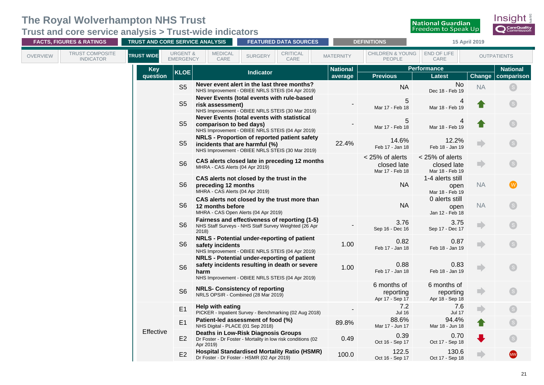**Trust and core service analysis > Trust-wide indicators**

| <b>FACTS, FIGURES &amp; RATINGS</b>                           |                        | TRUST AND CORE SERVICE ANALYSIS         |                                                        | <b>FEATURED DATA SOURCES</b>                                                                                                                     |                            | <b>DEFINITIONS</b>                                |                                                   | 15 April 2019 |                               |
|---------------------------------------------------------------|------------------------|-----------------------------------------|--------------------------------------------------------|--------------------------------------------------------------------------------------------------------------------------------------------------|----------------------------|---------------------------------------------------|---------------------------------------------------|---------------|-------------------------------|
| <b>TRUST COMPOSITE</b><br><b>OVERVIEW</b><br><b>INDICATOR</b> | <b>TRUST WIDE</b>      | <b>URGENT &amp;</b><br><b>EMERGENCY</b> | <b>MEDICAL</b><br>CARE                                 | <b>CRITICAL</b><br><b>SURGERY</b><br>CARE                                                                                                        | <b>MATERNITY</b>           | <b>CHILDREN &amp; YOUNG</b><br>PEOPLE             | END OF LIFE<br>CARE                               |               | <b>OUTPATIENTS</b>            |
|                                                               | <b>Key</b><br>question | <b>KLOE</b>                             |                                                        | <b>Indicator</b>                                                                                                                                 | <b>National</b><br>average | <b>Previous</b>                                   | <b>Performance</b><br><b>Latest</b>               | Change        | <b>National</b><br>comparison |
|                                                               |                        | S <sub>5</sub>                          |                                                        | Never event alert in the last three months?<br>NHS Improvement - OBIEE NRLS STEIS (04 Apr 2019)                                                  |                            | <b>NA</b>                                         | No<br>Dec 18 - Feb 19                             | <b>NA</b>     |                               |
|                                                               |                        | S <sub>5</sub>                          | risk assessment)                                       | Never Events (total events with rule-based<br>NHS Improvement - OBIEE NRLS STEIS (30 Mar 2019)                                                   |                            | 5<br>Mar 17 - Feb 18                              | 4<br>Mar 18 - Feb 19                              |               | $\boxed{\mathbf{s}}$          |
|                                                               |                        | S <sub>5</sub>                          | comparison to bed days)                                | Never Events (total events with statistical<br>NHS Improvement - OBIEE NRLS STEIS (04 Apr 2019)                                                  |                            | 5<br>Mar 17 - Feb 18                              | Mar 18 - Feb 19                                   |               | $\left($ S $\right)$          |
|                                                               |                        | S <sub>5</sub>                          | incidents that are harmful (%)                         | NRLS - Proportion of reported patient safety<br>NHS Improvement - OBIEE NRLS STEIS (30 Mar 2019)                                                 | 22.4%                      | 14.6%<br>Feb 17 - Jan 18                          | 12.2%<br>Feb 18 - Jan 19                          |               | S                             |
|                                                               |                        | S <sub>6</sub>                          | MHRA - CAS Alerts (04 Apr 2019)                        | CAS alerts closed late in preceding 12 months                                                                                                    |                            | < 25% of alerts<br>closed late<br>Mar 17 - Feb 18 | < 25% of alerts<br>closed late<br>Mar 18 - Feb 19 | ٣D            | S                             |
|                                                               |                        | S <sub>6</sub>                          | preceding 12 months<br>MHRA - CAS Alerts (04 Apr 2019) | CAS alerts not closed by the trust in the                                                                                                        |                            | <b>NA</b>                                         | 1-4 alerts still<br>open<br>Mar 18 - Feb 19       | <b>NA</b>     | (w)                           |
|                                                               |                        | S <sub>6</sub>                          | 12 months before                                       | CAS alerts not closed by the trust more than<br>MHRA - CAS Open Alerts (04 Apr 2019)                                                             |                            | <b>NA</b>                                         | 0 alerts still<br>open<br>Jan 12 - Feb 18         | <b>NA</b>     | S                             |
|                                                               |                        | S <sub>6</sub>                          | 2018)                                                  | Fairness and effectiveness of reporting (1-5)<br>NHS Staff Surveys - NHS Staff Survey Weighted (26 Apr                                           |                            | 3.76<br>Sep 16 - Dec 16                           | 3.75<br>Sep 17 - Dec 17                           |               | $\boxed{\mathbf{s}}$          |
|                                                               |                        | S <sub>6</sub>                          | safety incidents                                       | NRLS - Potential under-reporting of patient<br>NHS Improvement - OBIEE NRLS STEIS (04 Apr 2019)                                                  | 1.00                       | 0.82<br>Feb 17 - Jan 18                           | 0.87<br>Feb 18 - Jan 19                           | n             |                               |
|                                                               |                        | S <sub>6</sub>                          | harm                                                   | NRLS - Potential under-reporting of patient<br>safety incidents resulting in death or severe<br>NHS Improvement - OBIEE NRLS STEIS (04 Apr 2019) | 1.00                       | 0.88<br>Feb 17 - Jan 18                           | 0.83<br>Feb 18 - Jan 19                           |               |                               |
|                                                               |                        | S <sub>6</sub>                          |                                                        | <b>NRLS- Consistency of reporting</b><br>NRLS OPSIR - Combined (28 Mar 2019)                                                                     |                            | 6 months of<br>reporting<br>Apr 17 - Sep 17       | 6 months of<br>reporting<br>Apr 18 - Sep 18       | D             | S.                            |
|                                                               |                        | E1                                      | Help with eating                                       | PICKER - Inpatient Survey - Benchmarking (02 Aug 2018)                                                                                           |                            | 7.2<br><b>Jul 16</b>                              | 7.6<br><b>Jul 17</b>                              | D             | $\left($ S $\right)$          |
|                                                               |                        | E1                                      | NHS Digital - PLACE (01 Sep 2018)                      | Patient-led assessment of food (%)                                                                                                               | 89.8%                      | 88.6%<br>Mar 17 - Jun 17                          | 94.4%<br>Mar 18 - Jun 18                          |               |                               |
|                                                               | Effective              | E2                                      | Apr 2019)                                              | <b>Deaths in Low-Risk Diagnosis Groups</b><br>Dr Foster - Dr Foster - Mortality in low risk conditions (02                                       | 0.49                       | 0.39<br>Oct 16 - Sep 17                           | 0.70<br>Oct 17 - Sep 18                           |               |                               |
|                                                               |                        | E2                                      |                                                        | <b>Hospital Standardised Mortality Ratio (HSMR)</b><br>Dr Foster - Dr Foster - HSMR (02 Apr 2019)                                                | 100.0                      | 122.5<br>Oct 16 - Sep 17                          | 130.6<br>Oct 17 - Sep 18                          |               | (MW)                          |

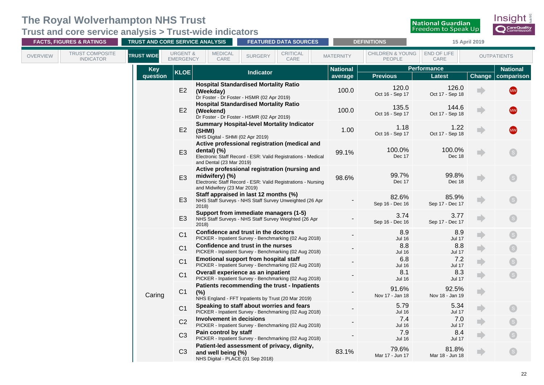**Trust and core service analysis > Trust-wide indicators**

| <b>FACTS, FIGURES &amp; RATINGS</b>                           |                        |                                         | <b>TRUST AND CORE SERVICE ANALYSIS</b>                                                                  |                  | <b>FEATURED DATA SOURCES</b>                                                                                  |                            | <b>DEFINITIONS</b>                    |                              | 15 April 2019 |                               |
|---------------------------------------------------------------|------------------------|-----------------------------------------|---------------------------------------------------------------------------------------------------------|------------------|---------------------------------------------------------------------------------------------------------------|----------------------------|---------------------------------------|------------------------------|---------------|-------------------------------|
| <b>TRUST COMPOSITE</b><br><b>OVERVIEW</b><br><b>INDICATOR</b> | <b>TRUST WIDE</b>      | <b>URGENT &amp;</b><br><b>EMERGENCY</b> | <b>MEDICAL</b><br>CARE                                                                                  | <b>SURGERY</b>   | <b>CRITICAL</b><br>CARE                                                                                       | <b>MATERNITY</b>           | <b>CHILDREN &amp; YOUNG</b><br>PEOPLE | END OF LIFE<br>CARE          |               | <b>OUTPATIENTS</b>            |
|                                                               | <b>Key</b><br>question | <b>KLOE</b>                             |                                                                                                         | <b>Indicator</b> |                                                                                                               | <b>National</b><br>average | <b>Previous</b>                       | Performance<br><b>Latest</b> | Change        | <b>National</b><br>comparison |
|                                                               |                        | E2                                      | <b>Hospital Standardised Mortality Ratio</b><br>(Weekday)<br>Dr Foster - Dr Foster - HSMR (02 Apr 2019) |                  |                                                                                                               | 100.0                      | 120.0<br>Oct 16 - Sep 17              | 126.0<br>Oct 17 - Sep 18     |               | <b>MW</b>                     |
|                                                               |                        | E2                                      | <b>Hospital Standardised Mortality Ratio</b><br>(Weekend)<br>Dr Foster - Dr Foster - HSMR (02 Apr 2019) |                  |                                                                                                               | 100.0                      | 135.5<br>Oct 16 - Sep 17              | 144.6<br>Oct 17 - Sep 18     |               | <b>MW</b>                     |
|                                                               |                        | E2                                      | <b>Summary Hospital-level Mortality Indicator</b><br>(SHMI)<br>NHS Digital - SHMI (02 Apr 2019)         |                  |                                                                                                               | 1.00                       | 1.18<br>Oct 16 - Sep 17               | 1.22<br>Oct 17 - Sep 18      |               | (MW)                          |
|                                                               |                        | E <sub>3</sub>                          | dental) $(\%)$<br>and Dental (23 Mar 2019)                                                              |                  | Active professional registration (medical and<br>Electronic Staff Record - ESR: Valid Registrations - Medical | 99.1%                      | 100.0%<br>Dec 17                      | 100.0%<br>Dec 18             |               |                               |
|                                                               |                        | E <sub>3</sub>                          | midwifery) $(\%)$<br>and Midwifery (23 Mar 2019)                                                        |                  | Active professional registration (nursing and<br>Electronic Staff Record - ESR: Valid Registrations - Nursing | 98.6%                      | 99.7%<br>Dec 17                       | 99.8%<br>Dec 18              |               | S                             |
|                                                               |                        | E <sub>3</sub>                          | Staff appraised in last 12 months (%)<br>2018                                                           |                  | NHS Staff Surveys - NHS Staff Survey Unweighted (26 Apr                                                       |                            | 82.6%<br>Sep 16 - Dec 16              | 85.9%<br>Sep 17 - Dec 17     |               | $^{\prime}$ S $^{\prime}$     |
|                                                               |                        | E <sub>3</sub>                          | Support from immediate managers (1-5)<br>2018                                                           |                  | NHS Staff Surveys - NHS Staff Survey Weighted (26 Apr                                                         |                            | 3.74<br>Sep 16 - Dec 16               | 3.77<br>Sep 17 - Dec 17      |               | S                             |
|                                                               |                        | C <sub>1</sub>                          | Confidence and trust in the doctors                                                                     |                  | PICKER - Inpatient Survey - Benchmarking (02 Aug 2018)                                                        |                            | 8.9<br><b>Jul 16</b>                  | 8.9<br><b>Jul 17</b>         |               |                               |
|                                                               |                        | C <sub>1</sub>                          | Confidence and trust in the nurses                                                                      |                  | PICKER - Inpatient Survey - Benchmarking (02 Aug 2018)                                                        |                            | 8.8<br><b>Jul 16</b>                  | 8.8<br><b>Jul 17</b>         |               |                               |
|                                                               |                        | C <sub>1</sub>                          | <b>Emotional support from hospital staff</b>                                                            |                  | PICKER - Inpatient Survey - Benchmarking (02 Aug 2018)                                                        |                            | 6.8<br><b>Jul 16</b>                  | 7.2<br><b>Jul 17</b>         |               |                               |
|                                                               |                        | C <sub>1</sub>                          | Overall experience as an inpatient                                                                      |                  | PICKER - Inpatient Survey - Benchmarking (02 Aug 2018)                                                        |                            | 8.1<br><b>Jul 16</b>                  | 8.3<br><b>Jul 17</b>         |               | <b>S</b>                      |
|                                                               | Caring                 | C <sub>1</sub>                          | (%)<br>NHS England - FFT Inpatients by Trust (20 Mar 2019)                                              |                  | Patients recommending the trust - Inpatients                                                                  |                            | 91.6%<br>Nov 17 - Jan 18              | 92.5%<br>Nov 18 - Jan 19     | $\Rightarrow$ |                               |
|                                                               |                        | C <sub>1</sub>                          | Speaking to staff about worries and fears                                                               |                  | PICKER - Inpatient Survey - Benchmarking (02 Aug 2018)                                                        |                            | 5.79<br><b>Jul 16</b>                 | 5.34<br><b>Jul 17</b>        | œ             | $\boxed{\mathsf{S}}$          |
|                                                               |                        | C <sub>2</sub>                          | Involvement in decisions                                                                                |                  | PICKER - Inpatient Survey - Benchmarking (02 Aug 2018)                                                        |                            | 7.4<br><b>Jul 16</b>                  | 7.0<br><b>Jul 17</b>         |               |                               |
|                                                               |                        | C <sub>3</sub>                          | Pain control by staff                                                                                   |                  | PICKER - Inpatient Survey - Benchmarking (02 Aug 2018)                                                        |                            | 7.9<br><b>Jul 16</b>                  | 8.4<br><b>Jul 17</b>         |               |                               |
|                                                               |                        | C <sub>3</sub>                          | Patient-led assessment of privacy, dignity,<br>and well being (%)<br>NHS Digital - PLACE (01 Sep 2018)  |                  |                                                                                                               | 83.1%                      | 79.6%<br>Mar 17 - Jun 17              | 81.8%<br>Mar 18 - Jun 18     |               | S <sub>1</sub>                |

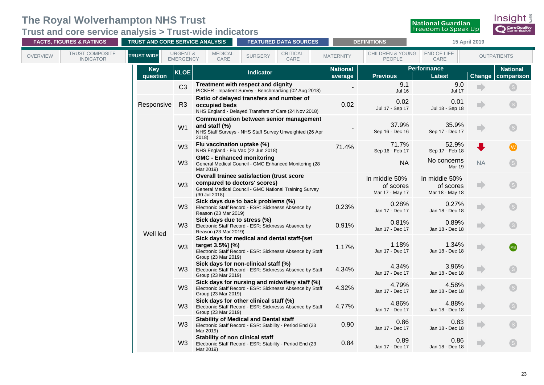**Trust and core service analysis > Trust-wide indicators**

| <b>FACTS, FIGURES &amp; RATINGS</b>                    | TRUST AND CORE SERVICE ANALYSIS |                                         |                                                     | <b>FEATURED DATA SOURCES</b>                                                                                                        |                  | <b>DEFINITIONS</b>                            |                                               | 15 April 2019 |                         |
|--------------------------------------------------------|---------------------------------|-----------------------------------------|-----------------------------------------------------|-------------------------------------------------------------------------------------------------------------------------------------|------------------|-----------------------------------------------|-----------------------------------------------|---------------|-------------------------|
| TRUST COMPOSITE<br><b>OVERVIEW</b><br><b>INDICATOR</b> | <b>TRUST WIDE</b>               | <b>URGENT &amp;</b><br><b>EMERGENCY</b> | <b>MEDICAL</b><br>CARE                              | CRITICAL<br><b>SURGERY</b><br>CARE                                                                                                  | <b>MATERNITY</b> | <b>CHILDREN &amp; YOUNG</b><br>PEOPLE         | END OF LIFE<br>CARE                           |               | <b>OUTPATIENTS</b>      |
|                                                        | <b>Key</b>                      | <b>KLOE</b>                             |                                                     | <b>Indicator</b>                                                                                                                    | <b>National</b>  |                                               | Performance                                   |               | <b>National</b>         |
|                                                        | question                        |                                         |                                                     |                                                                                                                                     | average          | <b>Previous</b>                               | <b>Latest</b>                                 | Change        | comparison              |
|                                                        |                                 | C <sub>3</sub>                          |                                                     | Treatment with respect and dignity<br>PICKER - Inpatient Survey - Benchmarking (02 Aug 2018)                                        |                  | 9.1<br><b>Jul 16</b>                          | 9.0<br><b>Jul 17</b>                          |               |                         |
|                                                        | Responsive                      | R <sub>3</sub>                          | occupied beds                                       | Ratio of delayed transfers and number of<br>NHS England - Delayed Transfers of Care (24 Nov 2018)                                   | 0.02             | 0.02<br>Jul 17 - Sep 17                       | 0.01<br>Jul 18 - Sep 18                       |               | S                       |
|                                                        |                                 | W <sub>1</sub>                          | and staff (%)<br>2018)                              | <b>Communication between senior management</b><br>NHS Staff Surveys - NHS Staff Survey Unweighted (26 Apr                           |                  | 37.9%<br>Sep 16 - Dec 16                      | 35.9%<br>Sep 17 - Dec 17                      |               | $\mathsf{S}$            |
|                                                        |                                 | W <sub>3</sub>                          | Flu vaccination uptake (%)                          | NHS England - Flu Vac (22 Jun 2018)                                                                                                 | 71.4%            | 71.7%<br>Sep 16 - Feb 17                      | 52.9%<br>Sep 17 - Feb 18                      |               | $\overline{\mathbf{W}}$ |
|                                                        |                                 | W <sub>3</sub>                          | <b>GMC - Enhanced monitoring</b><br>Mar 2019)       | General Medical Council - GMC Enhanced Monitoring (28                                                                               |                  | <b>NA</b>                                     | No concerns<br>Mar 19                         | <b>NA</b>     |                         |
|                                                        |                                 | W <sub>3</sub>                          | (30 Jul 2018)                                       | Overall trainee satisfaction (trust score<br>compared to doctors' scores)<br>General Medical Council - GMC National Training Survey |                  | In middle 50%<br>of scores<br>Mar 17 - May 17 | In middle 50%<br>of scores<br>Mar 18 - May 18 | D             | $\boxed{\mathsf{S}}$    |
|                                                        |                                 | W <sub>3</sub>                          | Reason (23 Mar 2019)                                | Sick days due to back problems (%)<br>Electronic Staff Record - ESR: Sicknesss Absence by                                           | 0.23%            | 0.28%<br>Jan 17 - Dec 17                      | 0.27%<br>Jan 18 - Dec 18                      |               |                         |
|                                                        | Well led                        | W <sub>3</sub>                          | Sick days due to stress (%)<br>Reason (23 Mar 2019) | Electronic Staff Record - ESR: Sicknesss Absence by                                                                                 | 0.91%            | 0.81%<br>Jan 17 - Dec 17                      | 0.89%<br>Jan 18 - Dec 18                      |               | $\mathbf{s}$            |
|                                                        |                                 | W <sub>3</sub>                          | target $3.5\%$ ] (%)<br>Group (23 Mar 2019)         | Sick days for medical and dental staff-[set<br>Electronic Staff Record - ESR: Sicknesss Absence by Staff                            | 1.17%            | 1.18%<br>Jan 17 - Dec 17                      | 1.34%<br>Jan 18 - Dec 18                      |               | (MB)                    |
|                                                        |                                 | W <sub>3</sub>                          | Group (23 Mar 2019)                                 | Sick days for non-clinical staff (%)<br>Electronic Staff Record - ESR: Sicknesss Absence by Staff                                   | 4.34%            | 4.34%<br>Jan 17 - Dec 17                      | 3.96%<br>Jan 18 - Dec 18                      |               |                         |
|                                                        |                                 | W <sub>3</sub>                          | Group (23 Mar 2019)                                 | Sick days for nursing and midwifery staff (%)<br>Electronic Staff Record - ESR: Sicknesss Absence by Staff                          | 4.32%            | 4.79%<br>Jan 17 - Dec 17                      | 4.58%<br>Jan 18 - Dec 18                      |               | S                       |
|                                                        |                                 | W <sub>3</sub>                          | Group (23 Mar 2019)                                 | Sick days for other clinical staff (%)<br>Electronic Staff Record - ESR: Sicknesss Absence by Staff                                 | 4.77%            | 4.86%<br>Jan 17 - Dec 17                      | 4.88%<br>Jan 18 - Dec 18                      |               |                         |
|                                                        |                                 | W <sub>3</sub>                          | Mar 2019)                                           | <b>Stability of Medical and Dental staff</b><br>Electronic Staff Record - ESR: Stability - Period End (23                           | 0.90             | 0.86<br>Jan 17 - Dec 17                       | 0.83<br>Jan 18 - Dec 18                       |               |                         |
|                                                        |                                 | W <sub>3</sub>                          | Stability of non clinical staff<br>Mar 2019)        | Electronic Staff Record - ESR: Stability - Period End (23                                                                           | 0.84             | 0.89<br>Jan 17 - Dec 17                       | 0.86<br>Jan 18 - Dec 18                       |               | $\left($ S              |

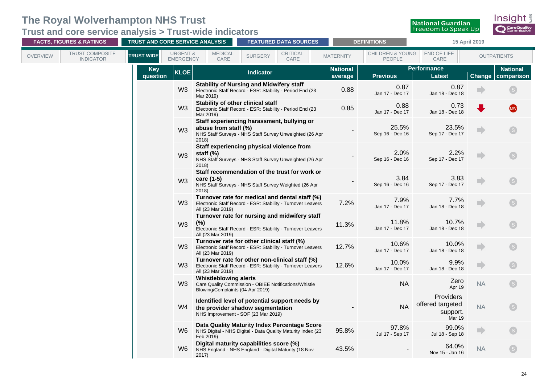**Trust and core service analysis > Trust-wide indicators**

| <b>FACTS, FIGURES &amp; RATINGS</b>                           | TRUST AND CORE SERVICE ANALYSIS                              |                                                                  | <b>FEATURED DATA SOURCES</b>                                                                                              |                            | <b>DEFINITIONS</b>                    |                                                     | 15 April 2019 |                               |
|---------------------------------------------------------------|--------------------------------------------------------------|------------------------------------------------------------------|---------------------------------------------------------------------------------------------------------------------------|----------------------------|---------------------------------------|-----------------------------------------------------|---------------|-------------------------------|
| <b>TRUST COMPOSITE</b><br><b>OVERVIEW</b><br><b>INDICATOR</b> | <b>URGENT &amp;</b><br><b>TRUST WIDE</b><br><b>EMERGENCY</b> | <b>MEDICAL</b><br>CARE                                           | <b>CRITICAL</b><br><b>SURGERY</b><br>CARE                                                                                 | <b>MATERNITY</b>           | <b>CHILDREN &amp; YOUNG</b><br>PEOPLE | END OF LIFE<br>CARE                                 |               | <b>OUTPATIENTS</b>            |
|                                                               | <b>Key</b><br><b>KLOE</b><br>question                        |                                                                  | <b>Indicator</b>                                                                                                          | <b>National</b><br>average | <b>Previous</b>                       | <b>Performance</b><br><b>Latest</b>                 | Change        | <b>National</b><br>comparison |
|                                                               | W <sub>3</sub>                                               | Mar 2019)                                                        | <b>Stability of Nursing and Midwifery staff</b><br>Electronic Staff Record - ESR: Stability - Period End (23              | 0.88                       | 0.87<br>Jan 17 - Dec 17               | 0.87<br>Jan 18 - Dec 18                             |               | $\left($ S $\right)$          |
|                                                               | W <sub>3</sub>                                               | Stability of other clinical staff<br>Mar 2019)                   | Electronic Staff Record - ESR: Stability - Period End (23                                                                 | 0.85                       | 0.88<br>Jan 17 - Dec 17               | 0.73<br>Jan 18 - Dec 18                             |               | <b>MW</b>                     |
|                                                               | W <sub>3</sub>                                               | abuse from staff (%)<br>2018)                                    | Staff experiencing harassment, bullying or<br>NHS Staff Surveys - NHS Staff Survey Unweighted (26 Apr                     |                            | 25.5%<br>Sep 16 - Dec 16              | 23.5%<br>Sep 17 - Dec 17                            |               |                               |
|                                                               | W <sub>3</sub>                                               | staff $(\%)$<br>2018)                                            | Staff experiencing physical violence from<br>NHS Staff Surveys - NHS Staff Survey Unweighted (26 Apr                      |                            | 2.0%<br>Sep 16 - Dec 16               | 2.2%<br>Sep 17 - Dec 17                             |               | S.                            |
|                                                               | W <sub>3</sub>                                               | care (1-5)<br>2018                                               | Staff recommendation of the trust for work or<br>NHS Staff Surveys - NHS Staff Survey Weighted (26 Apr                    |                            | 3.84<br>Sep 16 - Dec 16               | 3.83<br>Sep 17 - Dec 17                             |               | S                             |
|                                                               | W <sub>3</sub>                                               | All (23 Mar 2019)                                                | Turnover rate for medical and dental staff (%)<br>Electronic Staff Record - ESR: Stability - Turnover Leavers             | 7.2%                       | 7.9%<br>Jan 17 - Dec 17               | 7.7%<br>Jan 18 - Dec 18                             |               | $\mathsf{S}$                  |
|                                                               | W <sub>3</sub>                                               | (%)<br>All (23 Mar 2019)                                         | Turnover rate for nursing and midwifery staff<br>Electronic Staff Record - ESR: Stability - Turnover Leavers              | 11.3%                      | 11.8%<br>Jan 17 - Dec 17              | 10.7%<br>Jan 18 - Dec 18                            | m             | $\boxed{\mathbf{s}}$          |
|                                                               | W <sub>3</sub>                                               | All (23 Mar 2019)                                                | Turnover rate for other clinical staff (%)<br>Electronic Staff Record - ESR: Stability - Turnover Leavers                 | 12.7%                      | 10.6%<br>Jan 17 - Dec 17              | 10.0%<br>Jan 18 - Dec 18                            | n             | S                             |
|                                                               | W <sub>3</sub>                                               | All (23 Mar 2019)                                                | Turnover rate for other non-clinical staff (%)<br>Electronic Staff Record - ESR: Stability - Turnover Leavers             | 12.6%                      | 10.0%<br>Jan 17 - Dec 17              | 9.9%<br>Jan 18 - Dec 18                             |               |                               |
|                                                               | W <sub>3</sub>                                               | <b>Whistleblowing alerts</b><br>Blowing/Complaints (04 Apr 2019) | Care Quality Commission - OBIEE Notifications/Whistle                                                                     |                            | <b>NA</b>                             | Zero<br>Apr 19                                      | <b>NA</b>     | S                             |
|                                                               | W4                                                           |                                                                  | Identified level of potential support needs by<br>the provider shadow segmentation<br>NHS Improvement - SOF (23 Mar 2019) |                            | <b>NA</b>                             | Providers<br>offered targeted<br>support.<br>Mar 19 | <b>NA</b>     | S                             |
|                                                               | W <sub>6</sub>                                               | Feb 2019)                                                        | Data Quality Maturity Index Percentage Score<br>NHS Digital - NHS Digital - Data Quality Maturity Index (23               | 95.8%                      | 97.8%<br>Jul 17 - Sep 17              | 99.0%<br>Jul 18 - Sep 18                            | D             | $\mathsf{S}$                  |
|                                                               | W6.                                                          | 2017)                                                            | Digital maturity capabilities score (%)<br>NHS England - NHS England - Digital Maturity (18 Nov                           | 43.5%                      |                                       | 64.0%<br>Nov 15 - Jan 16                            | <b>NA</b>     | $\mathsf{S}$                  |

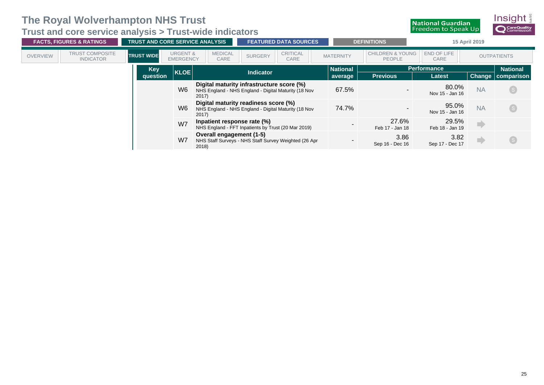**Trust and core service analysis > Trust-wide indicators**

|                 | <b>FACTS, FIGURES &amp; RATINGS</b>        | <b>TRUST AND CORE SERVICE ANALYSIS</b> |                                         |                                                                                                            | <b>FEATURED DATA SOURCES</b> |                         | <b>DEFINITIONS</b> |                                              | 15 April 2019              |           |                         |                 |  |
|-----------------|--------------------------------------------|----------------------------------------|-----------------------------------------|------------------------------------------------------------------------------------------------------------|------------------------------|-------------------------|--------------------|----------------------------------------------|----------------------------|-----------|-------------------------|-----------------|--|
| <b>OVERVIEW</b> | <b>TRUST COMPOSITE</b><br><b>INDICATOR</b> | <b>TRUST WIDE</b>                      | <b>URGENT &amp;</b><br><b>EMERGENCY</b> | <b>MEDICAL</b><br>CARE                                                                                     | <b>SURGERY</b>               | <b>CRITICAL</b><br>CARE | <b>MATERNITY</b>   | <b>CHILDREN &amp; YOUNG</b><br><b>PEOPLE</b> | END OF LIFE<br><b>CARE</b> |           | <b>OUTPATIENTS</b>      |                 |  |
|                 |                                            | Key                                    |                                         |                                                                                                            |                              |                         |                    |                                              | <b>National</b>            |           | <b>Performance</b>      | <b>National</b> |  |
|                 |                                            | question                               | <b>KLOE</b>                             |                                                                                                            | <b>Indicator</b>             |                         | average            | <b>Previous</b>                              | <b>Latest</b>              |           | Change   comparison     |                 |  |
|                 |                                            |                                        | W6                                      | Digital maturity infrastructure score (%)<br>NHS England - NHS England - Digital Maturity (18 Nov<br>2017) |                              |                         | 67.5%              |                                              | 80.0%<br>Nov 15 - Jan 16   | <b>NA</b> | S                       |                 |  |
|                 |                                            |                                        | W6                                      | Digital maturity readiness score (%)<br>NHS England - NHS England - Digital Maturity (18 Nov<br>2017)      |                              |                         | 74.7%              |                                              | 95.0%<br>Nov 15 - Jan 16   | <b>NA</b> | S                       |                 |  |
|                 |                                            |                                        | W7                                      | Inpatient response rate (%)<br>NHS England - FFT Inpatients by Trust (20 Mar 2019)                         |                              |                         |                    | 27.6%<br>Feb 17 - Jan 18                     | 29.5%<br>Feb 18 - Jan 19   |           |                         |                 |  |
|                 |                                            |                                        | W7                                      | Overall engagement (1-5)<br>NHS Staff Surveys - NHS Staff Survey Weighted (26 Apr<br>2018)                 |                              |                         |                    | 3.86<br>Sep 16 - Dec 16                      | 3.82<br>Sep 17 - Dec 17    |           | $^{\circ}$ S $^{\circ}$ |                 |  |

Insight

**O** CareQuality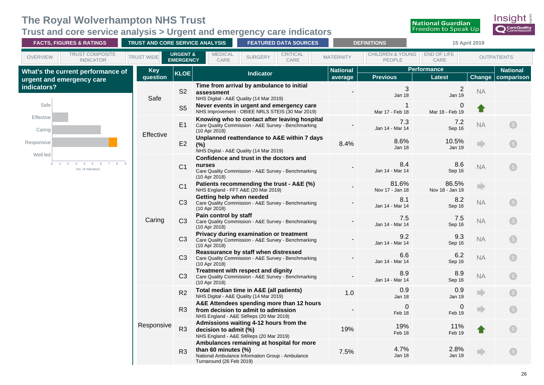#### <span id="page-29-0"></span>**Trust and core service analysis > Urgent and emergency care indicators**



| <b>FACTS, FIGURES &amp; RATINGS</b>                                         | TRUST AND CORE SERVICE ANALYSIS |                                         |                                                                                                                                                     | <b>FEATURED DATA SOURCES</b>                                                                         |                  |  |                            | <b>DEFINITIONS</b>                    | 15 April 2019                       |               |                               |
|-----------------------------------------------------------------------------|---------------------------------|-----------------------------------------|-----------------------------------------------------------------------------------------------------------------------------------------------------|------------------------------------------------------------------------------------------------------|------------------|--|----------------------------|---------------------------------------|-------------------------------------|---------------|-------------------------------|
| TRUST COMPOSITE<br><b>OVERVIEW</b><br><b>INDICATOR</b>                      | <b>TRUST WIDE</b>               | <b>URGENT &amp;</b><br><b>EMERGENCY</b> | <b>MEDICAL</b><br>CARE                                                                                                                              | <b>SURGERY</b>                                                                                       | CRITICAL<br>CARE |  | <b>MATERNITY</b>           | <b>CHILDREN &amp; YOUNG</b><br>PEOPLE | END OF LIFE<br>CARE                 |               | <b>OUTPATIENTS</b>            |
| What's the current performance of<br>urgent and emergency care              | <b>Key</b><br>question          | <b>KLOE</b>                             |                                                                                                                                                     | Indicator                                                                                            |                  |  | <b>National</b><br>average | <b>Previous</b>                       | <b>Performance</b><br><b>Latest</b> | <b>Change</b> | <b>National</b><br>comparison |
| indicators?                                                                 | Safe                            | S <sub>2</sub>                          | Time from arrival by ambulance to initial<br>assessment<br>NHS Digital - A&E Quality (14 Mar 2019)                                                  |                                                                                                      |                  |  |                            | 3<br>Jan 18                           | $\sqrt{2}$<br>Jan 19                | <b>NA</b>     |                               |
| Safe                                                                        |                                 | S <sub>5</sub>                          | Never events in urgent and emergency care<br>NHS Improvement - OBIEE NRLS STEIS (30 Mar 2019)                                                       |                                                                                                      |                  |  |                            | Mar 17 - Feb 18                       | 0<br>Mar 18 - Feb 19                |               |                               |
| Effective<br>Caring                                                         |                                 | E1                                      | (10 Apr 2018)                                                                                                                                       | Knowing who to contact after leaving hospital<br>Care Quality Commission - A&E Survey - Benchmarking |                  |  |                            | 7.3<br>Jan 14 - Mar 14                | 7.2<br>Sep 16                       | <b>NA</b>     |                               |
| Responsive                                                                  | Effective                       | E2                                      | Unplanned reattendance to A&E within 7 days<br>$(\%)$<br>NHS Digital - A&E Quality (14 Mar 2019)                                                    |                                                                                                      |                  |  | 8.4%                       | 8.6%<br>Jan 18                        | 10.5%<br><b>Jan 19</b>              |               |                               |
| Well led<br>$\overline{4}$<br>$\overline{5}$<br>8<br>0<br>No. of indicators |                                 | C <sub>1</sub>                          | Confidence and trust in the doctors and<br>nurses<br>Care Quality Commission - A&E Survey - Benchmarking<br>(10 Apr 2018)                           |                                                                                                      |                  |  |                            | 8.4<br>Jan 14 - Mar 14                | 8.6<br>Sep 16                       | <b>NA</b>     | $\boxed{\mathbf{s}}$          |
|                                                                             |                                 | C <sub>1</sub>                          | Patients recommending the trust - A&E (%)<br>NHS England - FFT A&E (20 Mar 2019)                                                                    |                                                                                                      |                  |  |                            | 81.6%<br>Nov 17 - Jan 18              | 86.5%<br>Nov 18 - Jan 19            | $\Rightarrow$ |                               |
|                                                                             |                                 | C <sub>3</sub>                          | Getting help when needed<br>Care Quality Commission - A&E Survey - Benchmarking<br>(10 Apr 2018)                                                    |                                                                                                      |                  |  |                            | 8.1<br>Jan 14 - Mar 14                | 8.2<br>Sep 16                       | <b>NA</b>     | S                             |
|                                                                             | Caring                          | C3                                      | Pain control by staff<br>Care Quality Commission - A&E Survey - Benchmarking<br>(10 Apr 2018)                                                       |                                                                                                      |                  |  |                            | 7.5<br>Jan 14 - Mar 14                | 7.5<br>Sep 16                       | <b>NA</b>     | $\left($ S $\right)$          |
|                                                                             |                                 | C3                                      | Privacy during examination or treatment<br>Care Quality Commission - A&E Survey - Benchmarking<br>(10 Apr 2018)                                     |                                                                                                      |                  |  |                            | 9.2<br>Jan 14 - Mar 14                | 9.3<br>Sep 16                       | <b>NA</b>     | $\boxed{\mathsf{S}}$          |
|                                                                             |                                 | C3                                      | Reassurance by staff when distressed<br>Care Quality Commission - A&E Survey - Benchmarking<br>(10 Apr 2018)                                        |                                                                                                      |                  |  |                            | 6.6<br>Jan 14 - Mar 14                | 6.2<br>Sep 16                       | <b>NA</b>     | $\left($ S $\right)$          |
|                                                                             |                                 | C3                                      | Treatment with respect and dignity<br>Care Quality Commission - A&E Survey - Benchmarking<br>(10 Apr 2018)                                          |                                                                                                      |                  |  |                            | 8.9<br>Jan 14 - Mar 14                | 8.9<br>Sep 16                       | <b>NA</b>     | $\boxed{\mathsf{S}}$          |
|                                                                             |                                 | R2                                      | Total median time in A&E (all patients)<br>NHS Digital - A&E Quality (14 Mar 2019)                                                                  |                                                                                                      |                  |  | 1.0                        | 0.9<br>Jan 18                         | 0.9<br><b>Jan 19</b>                |               | $\boxed{\mathsf{S}}$          |
|                                                                             |                                 | R3                                      | A&E Attendees spending more than 12 hours<br>from decision to admit to admission<br>NHS England - A&E SitReps (20 Mar 2019)                         |                                                                                                      |                  |  |                            | $\Omega$<br>Feb 18                    | 0<br>Feb 19                         |               | $\lceil s \rceil$             |
|                                                                             | Responsive                      | R <sub>3</sub>                          | Admissions waiting 4-12 hours from the<br>decision to admit (%)<br>NHS England - A&E SitReps (20 Mar 2019)                                          |                                                                                                      |                  |  | 19%                        | 19%<br>Feb 18                         | 11%<br>Feb 19                       |               |                               |
|                                                                             |                                 | R3                                      | Ambulances remaining at hospital for more<br>than 60 minutes $(\%)$<br>National Ambulance Information Group - Ambulance<br>Turnaround (26 Feb 2019) |                                                                                                      |                  |  | 7.5%                       | 4.7%<br>Jan 18                        | 2.8%<br><b>Jan 19</b>               |               | S                             |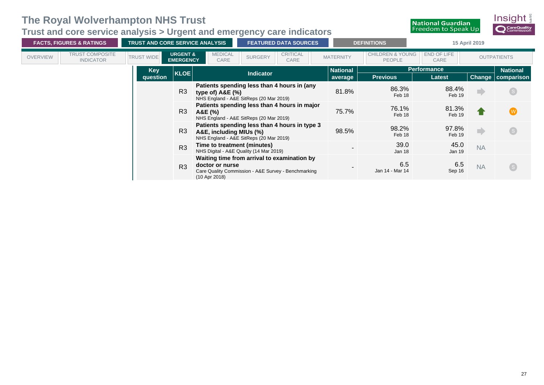#### **Trust and core service analysis > Urgent and emergency care indicators**

R3

**doctor or nurse**

(10 Apr 2018)



-

6.5

6.5  $\begin{array}{cc}\n 0.5 \\
\text{Sep 16}\n \end{array}$  NA

**National Guardian** 

Jan 14 - Mar 14

**Waiting time from arrival to examination by** 

Care Quality Commission - A&E Survey - Benchmarking

S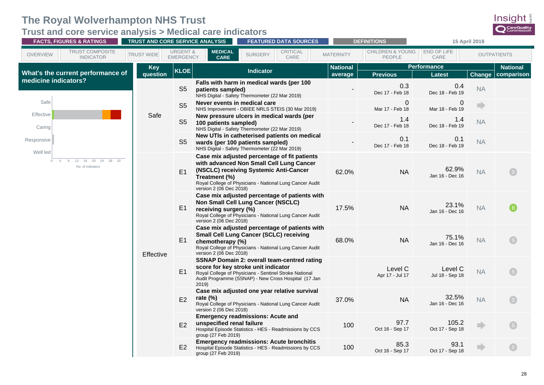<span id="page-31-0"></span>**Trust and core service analysis > Medical care indicators**

|                                                                               | <b>FACTS, FIGURES &amp; RATINGS</b><br>TRUST AND CORE SERVICE ANALYSIS |                                                  |                                                                                                                                                                                                             | <b>FEATURED DATA SOURCES</b><br><b>DEFINITIONS</b>                                                       |                                       |                              | 15 April 2019            |                               |  |
|-------------------------------------------------------------------------------|------------------------------------------------------------------------|--------------------------------------------------|-------------------------------------------------------------------------------------------------------------------------------------------------------------------------------------------------------------|----------------------------------------------------------------------------------------------------------|---------------------------------------|------------------------------|--------------------------|-------------------------------|--|
| <b>TRUST COMPOSITE</b><br><b>OVERVIEW</b><br><b>INDICATOR</b>                 | <b>URGENT &amp;</b><br><b>TRUST WIDE</b><br><b>EMERGENCY</b>           | <b>MEDICAL</b><br><b>CARE</b>                    | CRITICAL<br><b>SURGERY</b><br>CARE                                                                                                                                                                          | <b>MATERNITY</b>                                                                                         | <b>CHILDREN &amp; YOUNG</b><br>PEOPLE | END OF LIFE<br>CARE          |                          | <b>OUTPATIENTS</b>            |  |
| What's the current performance of                                             | <b>Key</b><br><b>KLOE</b><br>question                                  |                                                  | <b>Indicator</b>                                                                                                                                                                                            | <b>National</b><br>average                                                                               | <b>Previous</b>                       | <b>Performance</b><br>Latest | Change                   | <b>National</b><br>comparison |  |
| medicine indicators?                                                          | S <sub>5</sub>                                                         | patients sampled)                                | Falls with harm in medical wards (per 100<br>NHS Digital - Safety Thermometer (22 Mar 2019)                                                                                                                 |                                                                                                          | 0.3<br>Dec 17 - Feb 18                | 0.4<br>Dec 18 - Feb 19       | <b>NA</b>                |                               |  |
| Safe                                                                          | S <sub>5</sub>                                                         | Never events in medical care                     | NHS Improvement - OBIEE NRLS STEIS (30 Mar 2019)                                                                                                                                                            |                                                                                                          | $\Omega$<br>Mar 17 - Feb 18           | 0<br>Mar 18 - Feb 19         | $\Rightarrow$            |                               |  |
| Effective<br>Caring                                                           | Safe<br>S <sub>5</sub>                                                 | 100 patients sampled)                            | New pressure ulcers in medical wards (per<br>NHS Digital - Safety Thermometer (22 Mar 2019)                                                                                                                 |                                                                                                          | 1.4<br>Dec 17 - Feb 18                | 1.4<br>Dec 18 - Feb 19       | <b>NA</b>                |                               |  |
| Responsive                                                                    | S <sub>5</sub>                                                         |                                                  | New UTIs in catheterised patients on medical<br>wards (per 100 patients sampled)<br>NHS Digital - Safety Thermometer (22 Mar 2019)                                                                          |                                                                                                          | 0.1<br>Dec 17 - Feb 18                | 0.1<br>Dec 18 - Feb 19       | <b>NA</b>                |                               |  |
| Well led<br>12<br>16<br>20<br>24<br>28<br>$\Omega$<br>32<br>No. of indicators | E1                                                                     | Treatment (%)<br>version 2 (06 Dec 2018)         | Case mix adjusted percentage of fit patients<br>with advanced Non Small Cell Lung Cancer<br>(NSCLC) receiving Systemic Anti-Cancer<br>Royal College of Physicians - National Lung Cancer Audit              | 62.0%                                                                                                    | <b>NA</b>                             | 62.9%<br>Jan 16 - Dec 16     | <b>NA</b>                |                               |  |
|                                                                               | E1                                                                     | receiving surgery (%)<br>version 2 (06 Dec 2018) | Case mix adjusted percentage of patients with<br>Non Small Cell Lung Cancer (NSCLC)<br>Royal College of Physicians - National Lung Cancer Audit                                                             | 17.5%                                                                                                    | <b>NA</b>                             | 23.1%<br>Jan 16 - Dec 16     | <b>NA</b>                |                               |  |
|                                                                               | E1<br>Effective                                                        | chemotherapy (%)<br>version 2 (06 Dec 2018)      | Case mix adjusted percentage of patients with<br><b>Small Cell Lung Cancer (SCLC) receiving</b><br>Royal College of Physicians - National Lung Cancer Audit                                                 | 68.0%                                                                                                    | <b>NA</b>                             | 75.1%<br>Jan 16 - Dec 16     | <b>NA</b>                |                               |  |
|                                                                               | E1                                                                     | 2019                                             | <b>SSNAP Domain 2: overall team-centred rating</b><br>score for key stroke unit indicator<br>Royal College of Physicians - Sentinel Stroke National<br>Audit Programme (SSNAP) - New Cross Hospital (17 Jan |                                                                                                          | Level C<br>Apr 17 - Jul 17            | Level C<br>Jul 18 - Sep 18   | <b>NA</b>                |                               |  |
|                                                                               | E2                                                                     | E2                                               | rate $(\%)$<br>version 2 (06 Dec 2018)                                                                                                                                                                      | Case mix adjusted one year relative survival<br>Royal College of Physicians - National Lung Cancer Audit | 37.0%                                 | <b>NA</b>                    | 32.5%<br>Jan 16 - Dec 16 | <b>NA</b>                     |  |
|                                                                               |                                                                        | unspecified renal failure<br>group (27 Feb 2019) | <b>Emergency readmissions: Acute and</b><br>Hospital Episode Statistics - HES - Readmissions by CCS                                                                                                         | 100                                                                                                      | 97.7<br>Oct 16 - Sep 17               | 105.2<br>Oct 17 - Sep 18     | nb.                      |                               |  |
|                                                                               | E <sub>2</sub>                                                         | group (27 Feb 2019)                              | <b>Emergency readmissions: Acute bronchitis</b><br>Hospital Episode Statistics - HES - Readmissions by CCS                                                                                                  | 100                                                                                                      | 85.3<br>Oct 16 - Sep 17               | 93.1<br>Oct 17 - Sep 18      | n)                       |                               |  |

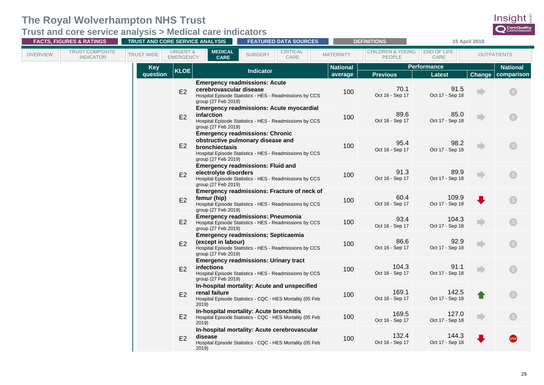**Trust and core service analysis > Medical care indicators**

| <b>FACTS, FIGURES &amp; RATINGS</b>                    | TRUST AND CORE SERVICE ANALYSIS                              |                                                | <b>FEATURED DATA SOURCES</b>                                                                                                           |                  | <b>DEFINITIONS</b>                    |                          | 15 April 2019 |                      |
|--------------------------------------------------------|--------------------------------------------------------------|------------------------------------------------|----------------------------------------------------------------------------------------------------------------------------------------|------------------|---------------------------------------|--------------------------|---------------|----------------------|
| TRUST COMPOSITE<br><b>OVERVIEW</b><br><b>INDICATOR</b> | <b>URGENT &amp;</b><br><b>TRUST WIDE</b><br><b>EMERGENCY</b> | <b>MEDICAL</b><br><b>CARE</b>                  | <b>CRITICAL</b><br><b>SURGERY</b><br>CARE                                                                                              | <b>MATERNITY</b> | <b>CHILDREN &amp; YOUNG</b><br>PEOPLE | END OF LIFE<br>CARE      |               | <b>OUTPATIENTS</b>   |
|                                                        | <b>Key</b>                                                   |                                                |                                                                                                                                        | <b>National</b>  |                                       | <b>Performance</b>       |               | <b>National</b>      |
|                                                        | <b>KLOE</b><br>question                                      |                                                | <b>Indicator</b>                                                                                                                       | average          | <b>Previous</b>                       | <b>Latest</b>            | <b>Change</b> | comparison           |
|                                                        | E2                                                           | cerebrovascular disease<br>group (27 Feb 2019) | <b>Emergency readmissions: Acute</b><br>Hospital Episode Statistics - HES - Readmissions by CCS                                        | 100              | 70.1<br>Oct 16 - Sep 17               | 91.5<br>Oct 17 - Sep 18  |               | $\boxed{\mathbf{s}}$ |
|                                                        | E2                                                           | <i>infarction</i><br>group (27 Feb 2019)       | <b>Emergency readmissions: Acute myocardial</b><br>Hospital Episode Statistics - HES - Readmissions by CCS                             | 100              | 89.6<br>Oct 16 - Sep 17               | 85.0<br>Oct 17 - Sep 18  |               | $\mathsf{S}$         |
|                                                        | E2                                                           | bronchiectasis<br>group (27 Feb 2019)          | <b>Emergency readmissions: Chronic</b><br>obstructive pulmonary disease and<br>Hospital Episode Statistics - HES - Readmissions by CCS | 100              | 95.4<br>Oct 16 - Sep 17               | 98.2<br>Oct 17 - Sep 18  |               |                      |
|                                                        | E2                                                           | electrolyte disorders<br>group (27 Feb 2019)   | <b>Emergency readmissions: Fluid and</b><br>Hospital Episode Statistics - HES - Readmissions by CCS                                    | 100              | 91.3<br>Oct 16 - Sep 17               | 89.9<br>Oct 17 - Sep 18  |               | S                    |
|                                                        | E2                                                           | femur (hip)<br>group (27 Feb 2019)             | Emergency readmissions: Fracture of neck of<br>Hospital Episode Statistics - HES - Readmissions by CCS                                 | 100              | 60.4<br>Oct 16 - Sep 17               | 109.9<br>Oct 17 - Sep 18 |               | S)                   |
|                                                        | E2                                                           | group (27 Feb 2019)                            | <b>Emergency readmissions: Pneumonia</b><br>Hospital Episode Statistics - HES - Readmissions by CCS                                    | 100              | 93.4<br>Oct 16 - Sep 17               | 104.3<br>Oct 17 - Sep 18 |               | $\mathsf{S}$         |
|                                                        | E2                                                           | (except in labour)<br>group (27 Feb 2019)      | <b>Emergency readmissions: Septicaemia</b><br>Hospital Episode Statistics - HES - Readmissions by CCS                                  | 100              | 86.6<br>Oct 16 - Sep 17               | 92.9<br>Oct 17 - Sep 18  |               | S                    |
|                                                        | E2                                                           | <b>infections</b><br>group (27 Feb 2019)       | <b>Emergency readmissions: Urinary tract</b><br>Hospital Episode Statistics - HES - Readmissions by CCS                                | 100              | 104.3<br>Oct 16 - Sep 17              | 91.1<br>Oct 17 - Sep 18  |               | $\mathsf{S}$         |
|                                                        | E2                                                           | renal failure<br>2019                          | In-hospital mortality: Acute and unspecified<br>Hospital Episode Statistics - CQC - HES Mortality (05 Feb                              | 100              | 169.1<br>Oct 16 - Sep 17              | 142.5<br>Oct 17 - Sep 18 |               | S                    |
|                                                        | E2                                                           | 2019)                                          | In-hospital mortality: Acute bronchitis<br>Hospital Episode Statistics - CQC - HES Mortality (05 Feb                                   | 100              | 169.5<br>Oct 16 - Sep 17              | 127.0<br>Oct 17 - Sep 18 |               | S                    |
|                                                        | E2                                                           | disease<br>2019                                | In-hospital mortality: Acute cerebrovascular<br>Hospital Episode Statistics - CQC - HES Mortality (05 Feb                              | 100              | 132.4<br>Oct 16 - Sep 17              | 144.3<br>Oct 17 - Sep 18 |               |                      |

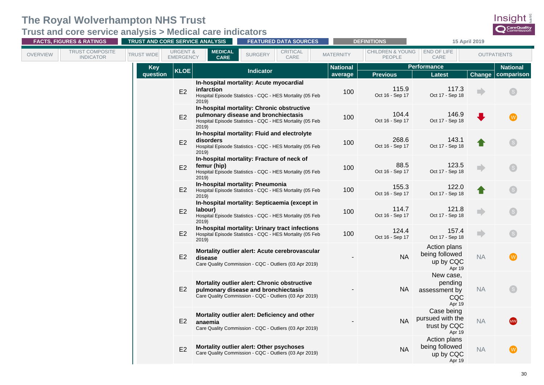**Trust and core service analysis > Medical care indicators**

| <b>FACTS, FIGURES &amp; RATINGS</b>                    | TRUST AND CORE SERVICE ANALYSIS                              |                               | <b>FEATURED DATA SOURCES</b>                                                                                                                    |                  | <b>DEFINITIONS</b>                    | 15 April 2019                                            |           |                    |
|--------------------------------------------------------|--------------------------------------------------------------|-------------------------------|-------------------------------------------------------------------------------------------------------------------------------------------------|------------------|---------------------------------------|----------------------------------------------------------|-----------|--------------------|
| TRUST COMPOSITE<br><b>OVERVIEW</b><br><b>INDICATOR</b> | <b>URGENT &amp;</b><br><b>TRUST WIDE</b><br><b>EMERGENCY</b> | <b>MEDICAL</b><br><b>CARE</b> | <b>CRITICAL</b><br><b>SURGERY</b><br>CARE                                                                                                       | <b>MATERNITY</b> | <b>CHILDREN &amp; YOUNG</b><br>PEOPLE | END OF LIFE<br>CARE                                      |           | <b>OUTPATIENTS</b> |
|                                                        | <b>Key</b><br><b>KLOE</b>                                    |                               | <b>Indicator</b>                                                                                                                                | <b>National</b>  |                                       | <b>Performance</b>                                       |           | <b>National</b>    |
|                                                        | question                                                     |                               |                                                                                                                                                 | average          | <b>Previous</b>                       | <b>Latest</b>                                            | Change    | comparison         |
|                                                        | E2                                                           | infarction<br>2019            | In-hospital mortality: Acute myocardial<br>Hospital Episode Statistics - CQC - HES Mortality (05 Feb                                            | 100              | 115.9<br>Oct 16 - Sep 17              | 117.3<br>Oct 17 - Sep 18                                 |           |                    |
|                                                        | E2                                                           | 2019)                         | In-hospital mortality: Chronic obstructive<br>pulmonary disease and bronchiectasis<br>Hospital Episode Statistics - CQC - HES Mortality (05 Feb | 100              | 104.4<br>Oct 16 - Sep 17              | 146.9<br>Oct 17 - Sep 18                                 |           |                    |
|                                                        | E2                                                           | disorders<br>2019             | In-hospital mortality: Fluid and electrolyte<br>Hospital Episode Statistics - CQC - HES Mortality (05 Feb                                       | 100              | 268.6<br>Oct 16 - Sep 17              | 143.1<br>Oct 17 - Sep 18                                 |           |                    |
|                                                        | E2                                                           | femur (hip)<br>2019)          | In-hospital mortality: Fracture of neck of<br>Hospital Episode Statistics - CQC - HES Mortality (05 Feb                                         | 100              | 88.5<br>Oct 16 - Sep 17               | 123.5<br>Oct 17 - Sep 18                                 |           |                    |
|                                                        | E2                                                           | 2019)                         | In-hospital mortality: Pneumonia<br>Hospital Episode Statistics - CQC - HES Mortality (05 Feb                                                   | 100              | 155.3<br>Oct 16 - Sep 17              | 122.0<br>Oct 17 - Sep 18                                 |           |                    |
|                                                        | E2                                                           | labour)<br>2019)              | In-hospital mortality: Septicaemia (except in<br>Hospital Episode Statistics - CQC - HES Mortality (05 Feb                                      | 100              | 114.7<br>Oct 16 - Sep 17              | 121.8<br>Oct 17 - Sep 18                                 |           |                    |
|                                                        | E2                                                           | 2019                          | In-hospital mortality: Urinary tract infections<br>Hospital Episode Statistics - CQC - HES Mortality (05 Feb                                    | 100              | 124.4<br>Oct 16 - Sep 17              | 157.4<br>Oct 17 - Sep 18                                 | nb.       |                    |
|                                                        | E2                                                           | disease                       | Mortality outlier alert: Acute cerebrovascular<br>Care Quality Commission - CQC - Outliers (03 Apr 2019)                                        |                  | <b>NA</b>                             | Action plans<br>being followed<br>up by CQC<br>Apr 19    | <b>NA</b> |                    |
|                                                        | E2                                                           |                               | Mortality outlier alert: Chronic obstructive<br>pulmonary disease and bronchiectasis<br>Care Quality Commission - CQC - Outliers (03 Apr 2019)  |                  | <b>NA</b>                             | New case,<br>pending<br>assessment by<br>CQC<br>Apr 19   | <b>NA</b> |                    |
|                                                        | E2                                                           | anaemia                       | Mortality outlier alert: Deficiency and other<br>Care Quality Commission - CQC - Outliers (03 Apr 2019)                                         |                  | <b>NA</b>                             | Case being<br>pursued with the<br>trust by CQC<br>Apr 19 | <b>NA</b> |                    |
|                                                        | E2                                                           |                               | Mortality outlier alert: Other psychoses<br>Care Quality Commission - CQC - Outliers (03 Apr 2019)                                              |                  | <b>NA</b>                             | Action plans<br>being followed<br>up by CQC<br>Apr 19    | <b>NA</b> |                    |

Insight CareQuality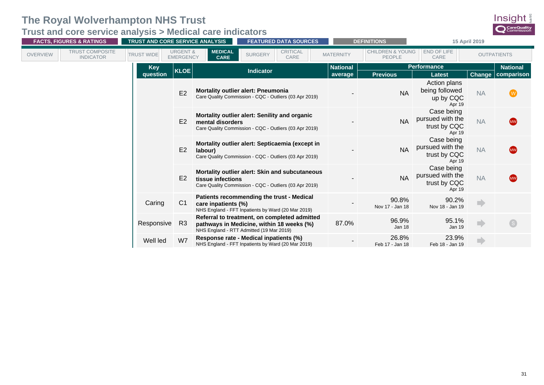**Trust and core service analysis > Medical care indicators**

| <b>FACTS, FIGURES &amp; RATINGS</b> |                                            | <b>TRUST AND CORE SERVICE ANALYSIS</b> |                                         |                                                                                                                             |                                                                                                                                       | <b>FEATURED DATA SOURCES</b> |                 |                    | <b>DEFINITIONS</b>                                       | 15 April 2019                                            |                 |                         |
|-------------------------------------|--------------------------------------------|----------------------------------------|-----------------------------------------|-----------------------------------------------------------------------------------------------------------------------------|---------------------------------------------------------------------------------------------------------------------------------------|------------------------------|-----------------|--------------------|----------------------------------------------------------|----------------------------------------------------------|-----------------|-------------------------|
| <b>OVERVIEW</b>                     | <b>TRUST COMPOSITE</b><br><b>INDICATOR</b> | <b>TRUST WIDE</b>                      | <b>URGENT &amp;</b><br><b>EMERGENCY</b> | <b>MEDICAL</b><br><b>CARE</b>                                                                                               | <b>SURGERY</b>                                                                                                                        | <b>CRITICAL</b><br>CARE      |                 | <b>MATERNITY</b>   | <b>CHILDREN &amp; YOUNG</b><br>PEOPLE                    | <b>END OF LIFE</b><br>CARE                               |                 | <b>OUTPATIENTS</b>      |
|                                     |                                            | <b>Key</b>                             | <b>KLOE</b>                             | <b>Indicator</b>                                                                                                            |                                                                                                                                       |                              | <b>National</b> | <b>Performance</b> |                                                          |                                                          | <b>National</b> |                         |
|                                     |                                            | question                               |                                         |                                                                                                                             |                                                                                                                                       |                              |                 | average            | <b>Previous</b>                                          | <b>Latest</b>                                            | <b>Change</b>   | comparison              |
|                                     |                                            |                                        | E <sub>2</sub>                          | <b>Mortality outlier alert: Pneumonia</b><br>Care Quality Commission - CQC - Outliers (03 Apr 2019)                         |                                                                                                                                       |                              |                 |                    | <b>NA</b>                                                | Action plans<br>being followed<br>up by CQC<br>Apr 19    | <b>NA</b>       | W                       |
| E <sub>2</sub>                      |                                            |                                        |                                         | Mortality outlier alert: Senility and organic<br>mental disorders<br>Care Quality Commission - CQC - Outliers (03 Apr 2019) |                                                                                                                                       |                              |                 |                    | <b>NA</b>                                                | Case being<br>pursued with the<br>trust by CQC<br>Apr 19 | <b>NA</b>       | <b>MW</b>               |
|                                     |                                            |                                        | E <sub>2</sub>                          | labour)                                                                                                                     | Mortality outlier alert: Septicaemia (except in<br>Care Quality Commission - CQC - Outliers (03 Apr 2019)                             |                              |                 |                    | <b>NA</b>                                                | Case being<br>pursued with the<br>trust by CQC<br>Apr 19 | <b>NA</b>       | <b>MW</b>               |
|                                     | E2                                         |                                        | tissue infections                       | Mortality outlier alert: Skin and subcutaneous<br>Care Quality Commission - CQC - Outliers (03 Apr 2019)                    |                                                                                                                                       |                              |                 | <b>NA</b>          | Case being<br>pursued with the<br>trust by CQC<br>Apr 19 | <b>NA</b>                                                | <b>MW</b>       |                         |
|                                     |                                            | Caring                                 | C <sub>1</sub>                          | care inpatients (%)                                                                                                         | Patients recommending the trust - Medical<br>NHS England - FFT Inpatients by Ward (20 Mar 2019)                                       |                              |                 |                    | 90.8%<br>Nov 17 - Jan 18                                 | 90.2%<br>Nov 18 - Jan 19                                 | m)              |                         |
|                                     |                                            | Responsive                             | R3                                      |                                                                                                                             | Referral to treatment, on completed admitted<br>pathways in Medicine, within 18 weeks (%)<br>NHS England - RTT Admitted (19 Mar 2019) |                              |                 | 87.0%              | 96.9%<br>Jan 18                                          | 95.1%<br>Jan 19                                          | a)              | $\overline{\mathsf{s}}$ |
|                                     |                                            | Well led                               | W7                                      |                                                                                                                             | Response rate - Medical inpatients (%)<br>NHS England - FFT Inpatients by Ward (20 Mar 2019)                                          |                              |                 |                    | 26.8%<br>Feb 17 - Jan 18                                 | 23.9%<br>Feb 18 - Jan 19                                 |                 |                         |

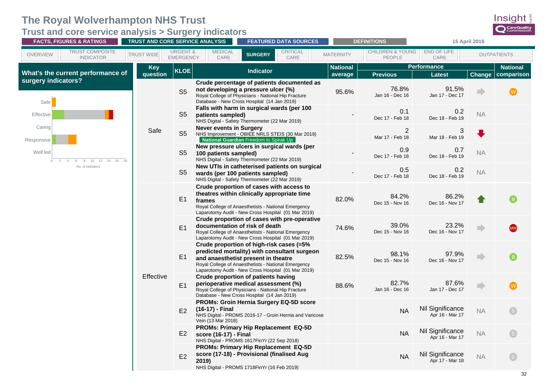<span id="page-35-0"></span>**Trust and core service analysis > Surgery indicators**

| <b>FACTS, FIGURES &amp; RATINGS</b>                                       | <b>TRUST AND CORE SERVICE ANALYSIS</b> |                                         |                                                                                                                                                                                                                                               |                                       | <b>FEATURED DATA SOURCES</b> |                  | <b>DEFINITIONS</b>                           | 15 April 2019                             |           |                              |
|---------------------------------------------------------------------------|----------------------------------------|-----------------------------------------|-----------------------------------------------------------------------------------------------------------------------------------------------------------------------------------------------------------------------------------------------|---------------------------------------|------------------------------|------------------|----------------------------------------------|-------------------------------------------|-----------|------------------------------|
| TRUST COMPOSITE<br><b>OVERVIEW</b><br><b>INDICATOR</b>                    | <b>TRUST WIDE</b>                      | <b>URGENT &amp;</b><br><b>EMERGENCY</b> | <b>MEDICAL</b><br>CARE                                                                                                                                                                                                                        | <b>SURGERY</b>                        | <b>CRITICAL</b><br>CARE      | <b>MATERNITY</b> | <b>CHILDREN &amp; YOUNG</b><br><b>PEOPLE</b> | END OF LIFE<br>CARE                       |           | <b>OUTPATIENTS</b>           |
| What's the current performance of                                         | <b>Key</b>                             | <b>KLOE</b>                             |                                                                                                                                                                                                                                               | <b>Indicator</b>                      |                              | <b>National</b>  |                                              | <b>Performance</b>                        |           | <b>National</b>              |
| surgery indicators?                                                       | question                               | S <sub>5</sub>                          | Crude percentage of patients documented as<br>not developing a pressure ulcer (%)<br>Royal College of Physicians - National Hip Fracture<br>Database - New Cross Hospital (14 Jan 2019)                                                       |                                       |                              | average<br>95.6% | <b>Previous</b><br>76.8%<br>Jan 16 - Dec 16  | <b>Latest</b><br>91.5%<br>Jan 17 - Dec 17 | Change    | comparison<br>$(\mathbf{w})$ |
| Safe<br>Effective                                                         |                                        | S <sub>5</sub>                          | Falls with harm in surgical wards (per 100<br>patients sampled)<br>NHS Digital - Safety Thermometer (22 Mar 2019)                                                                                                                             |                                       |                              |                  | 0.1<br>Dec 17 - Feb 18                       | 0.2<br>Dec 18 - Feb 19                    | <b>NA</b> |                              |
| Caring<br>Responsive                                                      | Safe                                   | S <sub>5</sub>                          | <b>Never events in Surgery</b><br>NHS Improvement - OBIEE NRLS STEIS (30 Mar 2019)                                                                                                                                                            | National Guardian Freedom to Speak Up |                              |                  | $\overline{2}$<br>Mar 17 - Feb 18            | 3<br>Mar 18 - Feb 19                      |           |                              |
| Well led<br>$10 \t 12$<br>14<br>8<br>16<br>$\circ$<br>$\overline{2}$<br>6 |                                        | S <sub>5</sub>                          | New pressure ulcers in surgical wards (per<br>100 patients sampled)<br>NHS Digital - Safety Thermometer (22 Mar 2019)                                                                                                                         |                                       |                              |                  | 0.9<br>Dec 17 - Feb 18                       | 0.7<br>Dec 18 - Feb 19                    | <b>NA</b> |                              |
| No. of indicators                                                         |                                        | S <sub>5</sub>                          | New UTIs in catheterised patients on surgical<br>wards (per 100 patients sampled)<br>NHS Digital - Safety Thermometer (22 Mar 2019)                                                                                                           |                                       |                              |                  | 0.5<br>Dec 17 - Feb 18                       | 0.2<br>Dec 18 - Feb 19                    | <b>NA</b> |                              |
|                                                                           |                                        | E1                                      | Crude proportion of cases with access to<br>theatres within clinically appropriate time<br>frames<br>Royal College of Anaesthetists - National Emergency<br>Laparotomy Audit - New Cross Hospital (01 Mar 2019)                               |                                       |                              | 82.0%            | 84.2%<br>Dec 15 - Nov 16                     | 86.2%<br>Dec 16 - Nov 17                  |           |                              |
|                                                                           |                                        | E1                                      | Crude proportion of cases with pre-operative<br>documentation of risk of death<br>Royal College of Anaesthetists - National Emergency<br>Laparotomy Audit - New Cross Hospital (01 Mar 2019)                                                  |                                       |                              | 74.6%            | 39.0%<br>Dec 15 - Nov 16                     | 23.2%<br>Dec 16 - Nov 17                  |           |                              |
|                                                                           |                                        | E1                                      | Crude proportion of high-risk cases (=5%<br>predicted mortality) with consultant surgeon<br>and anaesthetist present in theatre<br>Royal College of Anaesthetists - National Emergency<br>Laparotomy Audit - New Cross Hospital (01 Mar 2019) |                                       |                              | 82.5%            | 98.1%<br>Dec 15 - Nov 16                     | 97.9%<br>Dec 16 - Nov 17                  |           | $\sqrt{B}$                   |
|                                                                           | Effective                              | E1                                      | <b>Crude proportion of patients having</b><br>perioperative medical assessment (%)<br>Royal College of Physicians - National Hip Fracture<br>Database - New Cross Hospital (14 Jan 2019)                                                      |                                       |                              | 88.6%            | 82.7%<br>Jan 16 - Dec 16                     | 87.6%<br>Jan 17 - Dec 17                  |           | $(\mathsf{W})$               |
|                                                                           |                                        | E2                                      | PROMs: Groin Hernia Surgery EQ-5D score<br>(16-17) - Final<br>NHS Digital - PROMS 2016-17 - Groin Hernia and Varicose<br>Vein (13 Mar 2018)                                                                                                   |                                       |                              |                  | <b>NA</b>                                    | Nil Significance<br>Apr 16 - Mar 17       | <b>NA</b> | $\left( s\right)$            |
|                                                                           |                                        | E <sub>2</sub>                          | PROMs: Primary Hip Replacement EQ-5D<br>score (16-17) - Final<br>NHS Digital - PROMS 1617FinYr (22 Sep 2018)                                                                                                                                  |                                       |                              |                  | <b>NA</b>                                    | Nil Significance<br>Apr 16 - Mar 17       | <b>NA</b> | $\mathsf{S}$                 |
|                                                                           |                                        | E2                                      | <b>PROMs: Primary Hip Replacement EQ-5D</b><br>score (17-18) - Provisional (finalised Aug<br>2019)<br>NHS Digital - PROMS 1718FinYr (16 Feb 2019)                                                                                             |                                       |                              |                  | <b>NA</b>                                    | Nil Significance<br>Apr 17 - Mar 18       | <b>NA</b> |                              |

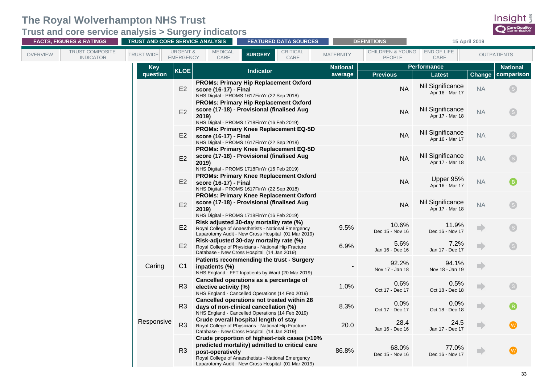**Trust and core service analysis > Surgery indicators**

| <b>FACTS, FIGURES &amp; RATINGS</b>                    | TRUST AND CORE SERVICE ANALYSIS |                                                                   |                                                                                                                                                                                                              | <b>FEATURED DATA SOURCES</b><br><b>DEFINITIONS</b> |                                       | 15 April 2019                       |                 |                           |
|--------------------------------------------------------|---------------------------------|-------------------------------------------------------------------|--------------------------------------------------------------------------------------------------------------------------------------------------------------------------------------------------------------|----------------------------------------------------|---------------------------------------|-------------------------------------|-----------------|---------------------------|
| TRUST COMPOSITE<br><b>OVERVIEW</b><br><b>INDICATOR</b> | <b>TRUST WIDE</b>               | <b>URGENT &amp;</b><br><b>MEDICAL</b><br><b>EMERGENCY</b><br>CARE | <b>CRITICAL</b><br><b>SURGERY</b><br>CARE                                                                                                                                                                    | <b>MATERNITY</b>                                   | <b>CHILDREN &amp; YOUNG</b><br>PEOPLE | <b>END OF LIFE</b><br>CARE          |                 | <b>OUTPATIENTS</b>        |
|                                                        | <b>Key</b>                      | <b>KLOE</b>                                                       | <b>Indicator</b>                                                                                                                                                                                             | <b>National</b>                                    |                                       | <b>Performance</b>                  | <b>National</b> |                           |
|                                                        | question                        |                                                                   |                                                                                                                                                                                                              | average                                            | <b>Previous</b>                       | <b>Latest</b>                       | Change          | comparison                |
|                                                        |                                 | E2<br>score (16-17) - Final                                       | <b>PROMs: Primary Hip Replacement Oxford</b><br>NHS Digital - PROMS 1617FinYr (22 Sep 2018)                                                                                                                  |                                                    | <b>NA</b>                             | Nil Significance<br>Apr 16 - Mar 17 | <b>NA</b>       | $\left( s\right)$         |
|                                                        |                                 | E2<br>2019)                                                       | <b>PROMs: Primary Hip Replacement Oxford</b><br>score (17-18) - Provisional (finalised Aug<br>NHS Digital - PROMS 1718FinYr (16 Feb 2019)                                                                    |                                                    | <b>NA</b>                             | Nil Significance<br>Apr 17 - Mar 18 | <b>NA</b>       | $^{\prime}$ S $^{\prime}$ |
|                                                        |                                 | E <sub>2</sub><br>score (16-17) - Final                           | <b>PROMs: Primary Knee Replacement EQ-5D</b><br>NHS Digital - PROMS 1617FinYr (22 Sep 2018)                                                                                                                  |                                                    | <b>NA</b>                             | Nil Significance<br>Apr 16 - Mar 17 | <b>NA</b>       | $\left( s\right)$         |
|                                                        |                                 | E2<br>2019)                                                       | <b>PROMs: Primary Knee Replacement EQ-5D</b><br>score (17-18) - Provisional (finalised Aug<br>NHS Digital - PROMS 1718FinYr (16 Feb 2019)                                                                    |                                                    | <b>NA</b>                             | Nil Significance<br>Apr 17 - Mar 18 | <b>NA</b>       |                           |
|                                                        |                                 | E2<br>score (16-17) - Final                                       | <b>PROMs: Primary Knee Replacement Oxford</b><br>NHS Digital - PROMS 1617FinYr (22 Sep 2018)                                                                                                                 |                                                    | <b>NA</b>                             | Upper 95%<br>Apr 16 - Mar 17        | <b>NA</b>       |                           |
|                                                        |                                 | E2<br>2019)                                                       | <b>PROMs: Primary Knee Replacement Oxford</b><br>score (17-18) - Provisional (finalised Aug<br>NHS Digital - PROMS 1718FinYr (16 Feb 2019)                                                                   |                                                    | <b>NA</b>                             | Nil Significance<br>Apr 17 - Mar 18 | <b>NA</b>       |                           |
|                                                        |                                 | E2                                                                | Risk adjusted 30-day mortality rate (%)<br>Royal College of Anaesthetists - National Emergency<br>Laparotomy Audit - New Cross Hospital (01 Mar 2019)                                                        | 9.5%                                               | 10.6%<br>Dec 15 - Nov 16              | 11.9%<br>Dec 16 - Nov 17            |                 |                           |
|                                                        |                                 | E2                                                                | Risk-adjusted 30-day mortality rate (%)<br>Royal College of Physicians - National Hip Fracture<br>Database - New Cross Hospital (14 Jan 2019)                                                                | 6.9%                                               | 5.6%<br>Jan 16 - Dec 16               | 7.2%<br>Jan 17 - Dec 17             |                 |                           |
|                                                        | Caring                          | C <sub>1</sub><br>inpatients (%)                                  | Patients recommending the trust - Surgery<br>NHS England - FFT Inpatients by Ward (20 Mar 2019)                                                                                                              |                                                    | 92.2%<br>Nov 17 - Jan 18              | 94.1%<br>Nov 18 - Jan 19            |                 |                           |
|                                                        |                                 | R <sub>3</sub><br>elective activity (%)                           | Cancelled operations as a percentage of<br>NHS England - Cancelled Operations (14 Feb 2019)                                                                                                                  | 1.0%                                               | 0.6%<br>Oct 17 - Dec 17               | 0.5%<br>Oct 18 - Dec 18             |                 |                           |
|                                                        |                                 | R <sub>3</sub>                                                    | Cancelled operations not treated within 28<br>days of non-clinical cancellation (%)<br>NHS England - Cancelled Operations (14 Feb 2019)                                                                      | 8.3%                                               | 0.0%<br>Oct 17 - Dec 17               | 0.0%<br>Oct 18 - Dec 18             |                 |                           |
|                                                        | Responsive                      | R <sub>3</sub>                                                    | Crude overall hospital length of stay<br>Royal College of Physicians - National Hip Fracture<br>Database - New Cross Hospital (14 Jan 2019)                                                                  | 20.0                                               | 28.4<br>Jan 16 - Dec 16               | 24.5<br>Jan 17 - Dec 17             |                 | (w)                       |
|                                                        |                                 | R <sub>3</sub><br>post-operatively                                | Crude proportion of highest-risk cases (>10%<br>predicted mortality) admitted to critical care<br>Royal College of Anaesthetists - National Emergency<br>Laparotomy Audit - New Cross Hospital (01 Mar 2019) | 86.8%                                              | 68.0%<br>Dec 15 - Nov 16              | 77.0%<br>Dec 16 - Nov 17            |                 |                           |

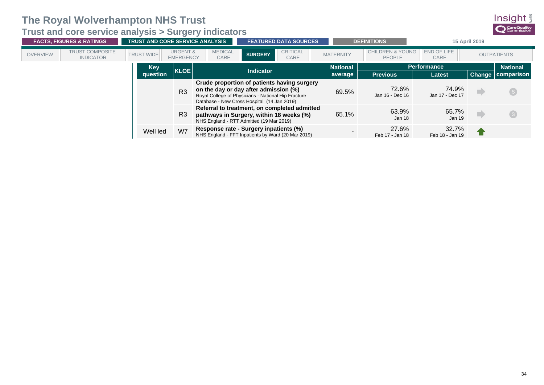**Trust and core service analysis > Surgery indicators**

|                 | <b>FACTS, FIGURES &amp; RATINGS</b>        | <b>TRUST AND CORE SERVICE ANALYSIS</b> |                                         |                                                                                                                                                                                            |                  | <b>FEATURED DATA SOURCES</b> |                  | <b>DEFINITIONS</b>                           | 15 April 2019            |  |                          |  |                 |
|-----------------|--------------------------------------------|----------------------------------------|-----------------------------------------|--------------------------------------------------------------------------------------------------------------------------------------------------------------------------------------------|------------------|------------------------------|------------------|----------------------------------------------|--------------------------|--|--------------------------|--|-----------------|
| <b>OVERVIEW</b> | <b>TRUST COMPOSITE</b><br><b>INDICATOR</b> | <b>TRUST WIDE</b>                      | <b>URGENT &amp;</b><br><b>EMERGENCY</b> | <b>MEDICAL</b><br>CARE                                                                                                                                                                     | <b>SURGERY</b>   | <b>CRITICAL</b><br>CARE      | <b>MATERNITY</b> | <b>CHILDREN &amp; YOUNG</b><br><b>PEOPLE</b> | END OF LIFE<br>CARE      |  | <b>OUTPATIENTS</b>       |  |                 |
|                 |                                            | Key                                    | <b>KLOE</b>                             |                                                                                                                                                                                            | <b>Indicator</b> |                              |                  |                                              | <b>National</b>          |  | <b>Performance</b>       |  | <b>National</b> |
|                 |                                            | question                               |                                         |                                                                                                                                                                                            |                  |                              | average          | <b>Previous</b>                              | <b>Latest</b>            |  | <b>Change comparison</b> |  |                 |
|                 |                                            |                                        | R <sub>3</sub>                          | Crude proportion of patients having surgery<br>on the day or day after admission (%)<br>Royal College of Physicians - National Hip Fracture<br>Database - New Cross Hospital (14 Jan 2019) |                  |                              | 69.5%            | 72.6%<br>Jan 16 - Dec 16                     | 74.9%<br>Jan 17 - Dec 17 |  | $\left( s\right)$        |  |                 |
|                 |                                            |                                        | R <sub>3</sub>                          | Referral to treatment, on completed admitted<br>pathways in Surgery, within 18 weeks (%)<br>NHS England - RTT Admitted (19 Mar 2019)                                                       |                  |                              | 65.1%            | 63.9%<br>Jan 18                              | 65.7%<br>Jan 19          |  | $\mathsf{S}$             |  |                 |
|                 |                                            | Well led                               | W7                                      | Response rate - Surgery inpatients (%)<br>NHS England - FFT Inpatients by Ward (20 Mar 2019)                                                                                               |                  |                              |                  | 27.6%<br>Feb 17 - Jan 18                     | 32.7%<br>Feb 18 - Jan 19 |  |                          |  |                 |

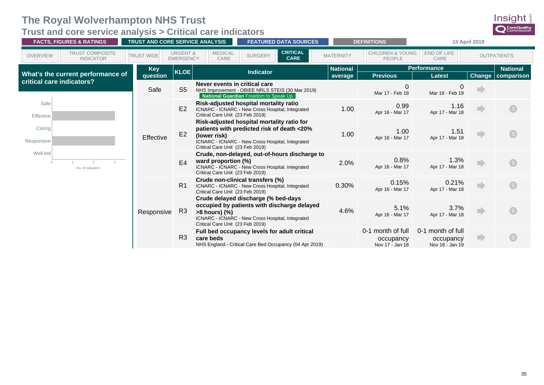<span id="page-38-0"></span>**Trust and core service analysis > Critical care indicators**

| <b>FACTS, FIGURES &amp; RATINGS</b> |                                            | TRUST AND CORE SERVICE ANALYSIS<br><b>FEATURED DATA SOURCES</b> |                                         |                                                                                                                                                                                                  |                  | <b>DEFINITIONS</b>                                      | 15 April 2019    |                                                   |                                                   |        |                          |
|-------------------------------------|--------------------------------------------|-----------------------------------------------------------------|-----------------------------------------|--------------------------------------------------------------------------------------------------------------------------------------------------------------------------------------------------|------------------|---------------------------------------------------------|------------------|---------------------------------------------------|---------------------------------------------------|--------|--------------------------|
| <b>OVERVIEW</b>                     | <b>TRUST COMPOSITE</b><br><b>INDICATOR</b> | <b>TRUST WIDE</b>                                               | <b>URGENT &amp;</b><br><b>EMERGENCY</b> | <b>MEDICAL</b><br>CARE                                                                                                                                                                           | <b>SURGERY</b>   | <b>CRITICAL</b><br><b>CARE</b>                          | <b>MATERNITY</b> | <b>CHILDREN &amp; YOUNG</b><br><b>PEOPLE</b>      | END OF LIFE<br>CARE                               |        | <b>OUTPATIENTS</b>       |
|                                     |                                            | <b>Key</b>                                                      | <b>KLOE</b>                             |                                                                                                                                                                                                  | <b>Indicator</b> |                                                         | <b>National</b>  |                                                   | <b>Performance</b>                                |        | <b>National</b>          |
|                                     | What's the current performance of          | question                                                        |                                         |                                                                                                                                                                                                  |                  |                                                         | average          | <b>Previous</b>                                   | <b>Latest</b>                                     |        | <b>Change comparison</b> |
|                                     | critical care indicators?                  | Safe                                                            | S <sub>5</sub>                          | Never events in critical care<br>NHS Improvement - OBIEE NRLS STEIS (30 Mar 2019)<br><b>National Guardian Freedom to Speak Up</b>                                                                |                  |                                                         |                  | $\overline{0}$<br>Mar 17 - Feb 18                 | $\Omega$<br>Mar 18 - Feb 19                       |        |                          |
| Safe<br>Effective                   |                                            |                                                                 | E2                                      | Risk-adjusted hospital mortality ratio<br>ICNARC - ICNARC - New Cross Hospital, Integrated<br>Critical Care Unit (23 Feb 2019)                                                                   |                  |                                                         | 1.00             | 0.99<br>Apr 16 - Mar 17                           | 1.16<br>Apr 17 - Mar 18                           | a.     | $\mathsf{S}$             |
| Caring<br>Responsive                |                                            | Effective                                                       | E2                                      | Risk-adjusted hospital mortality ratio for<br>patients with predicted risk of death <20%<br>(lower risk)<br>ICNARC - ICNARC - New Cross Hospital, Integrated<br>Critical Care Unit (23 Feb 2019) |                  |                                                         | 1.00             | 1.00<br>Apr 16 - Mar 17                           | 1.51<br>Apr 17 - Mar 18                           | m)     |                          |
| Well led<br>$\Omega$                | $\mathcal{D}$<br>No. of indicators         |                                                                 | E <sub>4</sub>                          | ward proportion (%)<br>ICNARC - ICNARC - New Cross Hospital, Integrated<br>Critical Care Unit (23 Feb 2019)                                                                                      |                  | Crude, non-delayed, out-of-hours discharge to           | 2.0%             | 0.8%<br>Apr 16 - Mar 17                           | 1.3%<br>Apr 17 - Mar 18                           | nb.    | $\boxed{\mathsf{S}}$     |
|                                     |                                            |                                                                 | R <sub>1</sub>                          | Crude non-clinical transfers (%)<br>ICNARC - ICNARC - New Cross Hospital, Integrated<br>Critical Care Unit (23 Feb 2019)                                                                         |                  |                                                         | 0.30%            | 0.15%<br>Apr 16 - Mar 17                          | 0.21%<br>Apr 17 - Mar 18                          | n)     | $\left($ s               |
|                                     |                                            | Responsive                                                      | R <sub>3</sub>                          | Crude delayed discharge (% bed-days<br>$>8$ hours) $(\%)$<br>ICNARC - ICNARC - New Cross Hospital, Integrated<br>Critical Care Unit (23 Feb 2019)                                                |                  | occupied by patients with discharge delayed             | 4.6%             | 5.1%<br>Apr 16 - Mar 17                           | 3.7%<br>Apr 17 - Mar 18                           | n)     |                          |
|                                     |                                            |                                                                 | R <sub>3</sub>                          | Full bed occupancy levels for adult critical<br>care beds                                                                                                                                        |                  | NHS England - Critical Care Bed Occupancy (04 Apr 2019) |                  | 0-1 month of full<br>occupancy<br>Nov 17 - Jan 18 | 0-1 month of full<br>occupancy<br>Nov 18 - Jan 19 | $\Box$ | $\boxed{\mathsf{S}}$     |

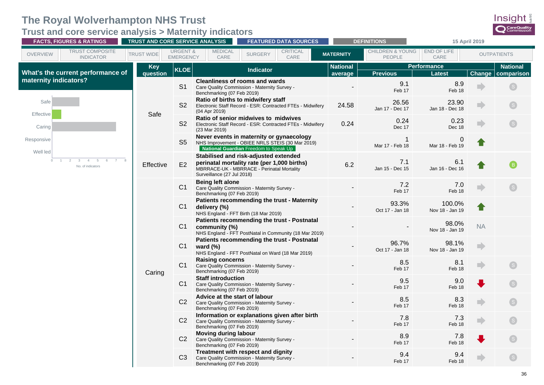<span id="page-39-0"></span>**Trust and core service analysis > Maternity indicators**

|                                  | <b>FACTS, FIGURES &amp; RATINGS</b>                             | TRUST AND CORE SERVICE ANALYSIS |                                         |                                                             | <b>FEATURED DATA SOURCES</b>                                                                                                          |                            | <b>DEFINITIONS</b>                           | 15 April 2019                |                |                               |
|----------------------------------|-----------------------------------------------------------------|---------------------------------|-----------------------------------------|-------------------------------------------------------------|---------------------------------------------------------------------------------------------------------------------------------------|----------------------------|----------------------------------------------|------------------------------|----------------|-------------------------------|
| <b>OVERVIEW</b>                  | TRUST COMPOSITE<br><b>INDICATOR</b>                             | <b>TRUST WIDE</b>               | <b>URGENT &amp;</b><br><b>EMERGENCY</b> | <b>MEDICAL</b><br>CARE                                      | CRITICAL<br><b>SURGERY</b><br>CARE                                                                                                    | <b>MATERNITY</b>           | <b>CHILDREN &amp; YOUNG</b><br><b>PEOPLE</b> | END OF LIFE<br>CARE          |                | <b>OUTPATIENTS</b>            |
|                                  | What's the current performance of                               | <b>Key</b><br>question          | <b>KLOE</b>                             |                                                             | <b>Indicator</b>                                                                                                                      | <b>National</b><br>average | <b>Previous</b>                              | <b>Performance</b><br>Latest | Change         | <b>National</b><br>comparison |
| maternity indicators?            |                                                                 |                                 | S <sub>1</sub>                          | Benchmarking (07 Feb 2019)                                  | <b>Cleanliness of rooms and wards</b><br>Care Quality Commission - Maternity Survey -                                                 |                            | 9.1<br>Feb 17                                | 8.9<br>Feb 18                |                |                               |
| Safe<br>Effective                |                                                                 |                                 | S <sub>2</sub>                          | (04 Apr 2019)                                               | Ratio of births to midwifery staff<br>Electronic Staff Record - ESR: Contracted FTEs - Midwifery                                      | 24.58                      | 26.56<br>Jan 17 - Dec 17                     | 23.90<br>Jan 18 - Dec 18     |                |                               |
| Caring                           |                                                                 | Safe                            | S <sub>2</sub>                          | (23 Mar 2019)                                               | Ratio of senior midwives to midwives<br>Electronic Staff Record - ESR: Contracted FTEs - Midwifery                                    | 0.24                       | 0.24<br>Dec 17                               | 0.23<br>Dec 18               |                |                               |
| Responsive<br>Well led           |                                                                 |                                 | S <sub>5</sub>                          |                                                             | Never events in maternity or gynaecology<br>NHS Improvement - OBIEE NRLS STEIS (30 Mar 2019)<br>National Guardian Freedom to Speak Up |                            | Mar 17 - Feb 18                              | $\Omega$<br>Mar 18 - Feb 19  |                |                               |
| $\Omega$<br>$\blacktriangleleft$ | 2<br>3<br>$5\overline{)}$<br>6<br>7 8<br>4<br>No. of indicators | Effective                       | E2                                      | Surveillance (27 Jul 2018)                                  | Stabilised and risk-adjusted extended<br>perinatal mortality rate (per 1,000 births)<br>MBRRACE-UK - MBRRACE - Perinatal Mortality    | 6.2                        | 7.1<br>Jan 15 - Dec 15                       | 6.1<br>Jan 16 - Dec 16       |                | $\mathbf{B}$                  |
|                                  |                                                                 |                                 | C1                                      | <b>Being left alone</b><br>Benchmarking (07 Feb 2019)       | Care Quality Commission - Maternity Survey -                                                                                          |                            | 7.2<br>Feb 17                                | 7.0<br>Feb 18                |                |                               |
|                                  |                                                                 |                                 | C1                                      | delivery (%)<br>NHS England - FFT Birth (18 Mar 2019)       | Patients recommending the trust - Maternity                                                                                           |                            | 93.3%<br>Oct 17 - Jan 18                     | 100.0%<br>Nov 18 - Jan 19    |                |                               |
|                                  |                                                                 |                                 | C <sub>1</sub>                          | community (%)                                               | Patients recommending the trust - Postnatal<br>NHS England - FFT PostNatal in Community (18 Mar 2019)                                 |                            |                                              | 98.0%<br>Nov 18 - Jan 19     | <b>NA</b>      |                               |
|                                  |                                                                 |                                 | C1                                      | ward $(\%)$                                                 | Patients recommending the trust - Postnatal<br>NHS England - FFT PostNatal on Ward (18 Mar 2019)                                      |                            | 96.7%<br>Oct 17 - Jan 18                     | 98.1%<br>Nov 18 - Jan 19     | $\blacksquare$ |                               |
|                                  |                                                                 | Caring                          | C1                                      | <b>Raising concerns</b><br>Benchmarking (07 Feb 2019)       | Care Quality Commission - Maternity Survey -                                                                                          |                            | 8.5<br>Feb 17                                | 8.1<br>Feb 18                |                |                               |
|                                  |                                                                 |                                 | C1                                      | <b>Staff introduction</b><br>Benchmarking (07 Feb 2019)     | Care Quality Commission - Maternity Survey -                                                                                          |                            | 9.5<br>Feb 17                                | 9.0<br>Feb 18                |                |                               |
|                                  |                                                                 |                                 | C <sub>2</sub>                          | Advice at the start of labour<br>Benchmarking (07 Feb 2019) | Care Quality Commission - Maternity Survey -                                                                                          |                            | 8.5<br>Feb 17                                | 8.3<br>Feb 18                |                |                               |
|                                  |                                                                 |                                 | C <sub>2</sub>                          | Benchmarking (07 Feb 2019)                                  | Information or explanations given after birth<br>Care Quality Commission - Maternity Survey -                                         |                            | 7.8<br>Feb 17                                | 7.3<br>Feb 18                |                | $\boxed{\mathsf{S}}$          |
|                                  |                                                                 |                                 | C <sub>2</sub>                          | <b>Moving during labour</b><br>Benchmarking (07 Feb 2019)   | Care Quality Commission - Maternity Survey -                                                                                          |                            | 8.9<br>Feb 17                                | 7.8<br>Feb 18                |                |                               |
|                                  |                                                                 |                                 | C <sub>3</sub>                          | Benchmarking (07 Feb 2019)                                  | Treatment with respect and dignity<br>Care Quality Commission - Maternity Survey -                                                    |                            | 9.4<br>Feb 17                                | 9.4<br>Feb 18                |                |                               |

Insight CareQuality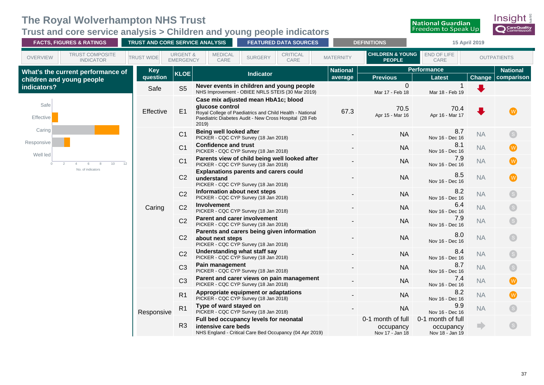# <span id="page-40-0"></span>**Trust and core service analysis > Children and young people indicators**



|                        | <b>FACTS, FIGURES &amp; RATINGS</b>        | TRUST AND CORE SERVICE ANALYSIS |                                         |                             | <b>FEATURED DATA SOURCES</b>                                                                                                                              |                            | <b>DEFINITIONS</b>                                | 15 April 2019                                     |                |                               |
|------------------------|--------------------------------------------|---------------------------------|-----------------------------------------|-----------------------------|-----------------------------------------------------------------------------------------------------------------------------------------------------------|----------------------------|---------------------------------------------------|---------------------------------------------------|----------------|-------------------------------|
| <b>OVERVIEW</b>        | <b>TRUST COMPOSITE</b><br><b>INDICATOR</b> | <b>TRUST WIDE</b>               | <b>URGENT &amp;</b><br><b>EMERGENCY</b> | <b>MEDICAL</b><br>CARE      | CRITICAL<br><b>SURGERY</b><br>CARE                                                                                                                        | <b>MATERNITY</b>           | <b>CHILDREN &amp; YOUNG</b><br><b>PEOPLE</b>      | END OF LIFE<br>CARE                               |                | <b>OUTPATIENTS</b>            |
|                        | What's the current performance of          | <b>Key</b><br>question          | <b>KLOE</b>                             |                             | <b>Indicator</b>                                                                                                                                          | <b>National</b><br>average | <b>Previous</b>                                   | <b>Performance</b><br><b>Latest</b>               | Change         | <b>National</b><br>comparison |
| indicators?            | children and young people                  | Safe                            | S <sub>5</sub>                          |                             | Never events in children and young people<br>NHS Improvement - OBIEE NRLS STEIS (30 Mar 2019)                                                             |                            | 0<br>Mar 17 - Feb 18                              | Mar 18 - Feb 19                                   |                |                               |
| Safe<br>Effective      |                                            | Effective                       | E1                                      | glucose control<br>2019)    | Case mix adjusted mean HbA1c; blood<br>Royal College of Paediatrics and Child Health - National<br>Paediatric Diabetes Audit - New Cross Hospital (28 Feb | 67.3                       | 70.5<br>Apr 15 - Mar 16                           | 70.4<br>Apr 16 - Mar 17                           |                |                               |
| Caring                 |                                            |                                 | C <sub>1</sub>                          | Being well looked after     | PICKER - CQC CYP Survey (18 Jan 2018)                                                                                                                     |                            | <b>NA</b>                                         | 8.7<br>Nov 16 - Dec 16                            | <b>NA</b>      |                               |
| Responsive<br>Well led |                                            |                                 | C <sub>1</sub>                          | <b>Confidence and trust</b> | PICKER - CQC CYP Survey (18 Jan 2018)                                                                                                                     |                            | <b>NA</b>                                         | 8.1<br>Nov 16 - Dec 16                            | <b>NA</b>      | $\mathsf{W}$                  |
| $\Omega$               | 10 <sup>10</sup><br>$\overline{2}$         | 12                              | C <sub>1</sub>                          |                             | Parents view of child being well looked after<br>PICKER - CQC CYP Survey (18 Jan 2018)                                                                    |                            | <b>NA</b>                                         | 7.9<br>Nov 16 - Dec 16                            | <b>NA</b>      | W                             |
|                        | No. of indicators                          |                                 | C <sub>2</sub>                          | understand                  | <b>Explanations parents and carers could</b><br>PICKER - CQC CYP Survey (18 Jan 2018)                                                                     |                            | <b>NA</b>                                         | 8.5<br>Nov 16 - Dec 16                            | <b>NA</b>      | W                             |
|                        |                                            |                                 | C <sub>2</sub>                          |                             | Information about next steps<br>PICKER - CQC CYP Survey (18 Jan 2018)                                                                                     |                            | <b>NA</b>                                         | 8.2<br>Nov 16 - Dec 16                            | <b>NA</b>      | S                             |
|                        |                                            | Caring                          | C <sub>2</sub>                          | <b>Involvement</b>          | PICKER - CQC CYP Survey (18 Jan 2018)                                                                                                                     |                            | <b>NA</b>                                         | 6.4<br>Nov 16 - Dec 16                            | <b>NA</b>      | S                             |
|                        |                                            |                                 | C <sub>2</sub>                          |                             | <b>Parent and carer involvement</b><br>PICKER - CQC CYP Survey (18 Jan 2018)                                                                              |                            | <b>NA</b>                                         | 7.9<br>Nov 16 - Dec 16                            | <b>NA</b>      | $\left( s\right)$             |
|                        |                                            |                                 | C <sub>2</sub>                          | about next steps            | Parents and carers being given information<br>PICKER - CQC CYP Survey (18 Jan 2018)                                                                       |                            | <b>NA</b>                                         | 8.0<br>Nov 16 - Dec 16                            | <b>NA</b>      | <b>S</b>                      |
|                        |                                            |                                 | C <sub>2</sub>                          |                             | Understanding what staff say<br>PICKER - CQC CYP Survey (18 Jan 2018)                                                                                     |                            | <b>NA</b>                                         | 8.4<br>Nov 16 - Dec 16                            | <b>NA</b>      | S                             |
|                        |                                            |                                 | C <sub>3</sub>                          | Pain management             | PICKER - CQC CYP Survey (18 Jan 2018)                                                                                                                     |                            | <b>NA</b>                                         | 8.7<br>Nov 16 - Dec 16                            | <b>NA</b>      | 6                             |
|                        |                                            |                                 | C <sub>3</sub>                          |                             | Parent and carer views on pain management<br>PICKER - CQC CYP Survey (18 Jan 2018)                                                                        |                            | <b>NA</b>                                         | 7.4<br>Nov 16 - Dec 16                            | <b>NA</b>      | (W)                           |
|                        |                                            |                                 | R <sub>1</sub>                          |                             | Appropriate equipment or adaptations<br>PICKER - CQC CYP Survey (18 Jan 2018)                                                                             |                            | <b>NA</b>                                         | 8.2<br>Nov 16 - Dec 16                            | <b>NA</b>      | $(\mathsf{w})$                |
|                        |                                            | Responsive                      | R <sub>1</sub>                          | Type of ward stayed on      | PICKER - CQC CYP Survey (18 Jan 2018)                                                                                                                     |                            | <b>NA</b>                                         | 9.9<br>Nov 16 - Dec 16                            | <b>NA</b>      | <b>S</b>                      |
|                        |                                            |                                 | R <sub>3</sub>                          | intensive care beds         | Full bed occupancy levels for neonatal<br>NHS England - Critical Care Bed Occupancy (04 Apr 2019)                                                         |                            | 0-1 month of full<br>occupancy<br>Nov 17 - Jan 18 | 0-1 month of full<br>occupancy<br>Nov 18 - Jan 19 | $\blacksquare$ | S                             |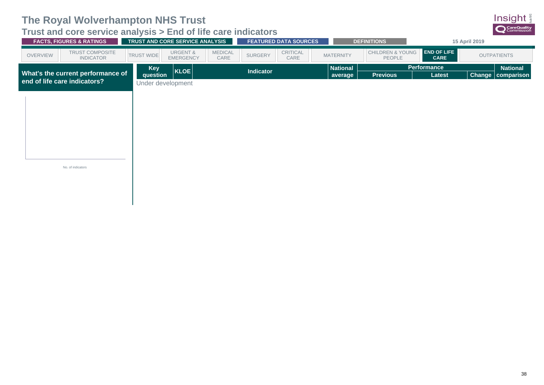## <span id="page-41-0"></span>**Trust and core service analysis > End of life care indicators**

| <b>FACTS, FIGURES &amp; RATINGS</b>             | TRUST AND CORE SERVICE ANALYSIS                                                        | <b>FEATURED DATA SOURCES</b>       | <b>DEFINITIONS</b>                             |                                   | 15 April 2019                          |
|-------------------------------------------------|----------------------------------------------------------------------------------------|------------------------------------|------------------------------------------------|-----------------------------------|----------------------------------------|
| TRUST COMPOSITE<br>OVERVIEW<br><b>INDICATOR</b> | <b>MEDICAL</b><br><b>URGENT &amp;</b><br><b>TRUST WIDE</b><br><b>EMERGENCY</b><br>CARE | CRITICAL<br><b>SURGERY</b><br>CARE | CHILDREN & YOUNG<br><b>MATERNITY</b><br>PEOPLE | <b>END OF LIFE</b><br><b>CARE</b> | <b>OUTPATIENTS</b>                     |
| What's the current performance of               | <b>Key</b><br>KLOE<br><b>question</b>                                                  | <b>Indicator</b>                   | <b>National</b><br><b>Previous</b><br>average  | <b>Performance</b><br>Latest      | <b>National</b><br>Change   comparison |
| end of life care indicators?                    | Under development                                                                      |                                    |                                                |                                   |                                        |
|                                                 |                                                                                        |                                    |                                                |                                   |                                        |
|                                                 |                                                                                        |                                    |                                                |                                   |                                        |
|                                                 |                                                                                        |                                    |                                                |                                   |                                        |
|                                                 |                                                                                        |                                    |                                                |                                   |                                        |
|                                                 |                                                                                        |                                    |                                                |                                   |                                        |
| No. of indicators                               |                                                                                        |                                    |                                                |                                   |                                        |
|                                                 |                                                                                        |                                    |                                                |                                   |                                        |

Insight CareQuality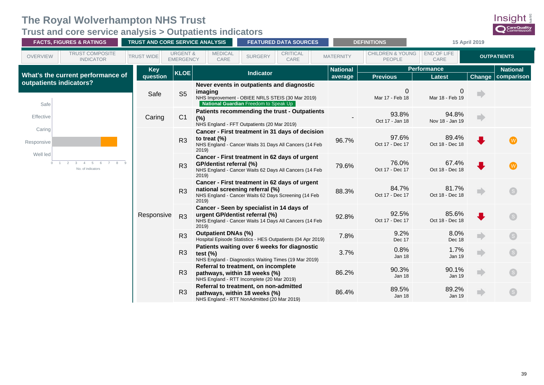<span id="page-42-0"></span>**Trust and core service analysis > Outpatients indicators**

|                         | <b>FACTS, FIGURES &amp; RATINGS</b> | <b>TRUST AND CORE SERVICE ANALYSIS</b> |                                         |                                                                                                                                                    |                  | <b>FEATURED DATA SOURCES</b> | <b>DEFINITIONS</b> |                                       | 15 April 2019                  |              |                          |
|-------------------------|-------------------------------------|----------------------------------------|-----------------------------------------|----------------------------------------------------------------------------------------------------------------------------------------------------|------------------|------------------------------|--------------------|---------------------------------------|--------------------------------|--------------|--------------------------|
| <b>OVERVIEW</b>         | TRUST COMPOSITE<br><b>INDICATOR</b> | <b>TRUST WIDE</b>                      | <b>URGENT &amp;</b><br><b>EMERGENCY</b> | <b>MEDICAL</b><br>CARE                                                                                                                             | <b>SURGERY</b>   | <b>CRITICAL</b><br>CARE      | <b>MATERNITY</b>   | <b>CHILDREN &amp; YOUNG</b><br>PEOPLE | END OF LIFE<br>CARE            |              | <b>OUTPATIENTS</b>       |
|                         |                                     | <b>Key</b>                             | <b>KLOE</b>                             |                                                                                                                                                    | <b>Indicator</b> |                              | <b>National</b>    |                                       | <b>Performance</b>             |              | <b>National</b>          |
| outpatients indicators? | What's the current performance of   | question                               |                                         |                                                                                                                                                    |                  |                              | average            | <b>Previous</b>                       | <b>Latest</b>                  |              | <b>Change comparison</b> |
| Safe                    |                                     | Safe                                   | S <sub>5</sub>                          | Never events in outpatients and diagnostic<br>imaging<br>NHS Improvement - OBIEE NRLS STEIS (30 Mar 2019)<br>National Guardian Freedom to Speak Up |                  |                              |                    | 0<br>Mar 17 - Feb 18                  | $\mathbf 0$<br>Mar 18 - Feb 19 | m            |                          |
| Effective               |                                     | Caring                                 | C1                                      | Patients recommending the trust - Outpatients<br>(%)<br>NHS England - FFT Outpatients (20 Mar 2019)                                                |                  |                              |                    | 93.8%<br>Oct 17 - Jan 18              | 94.8%<br>Nov 18 - Jan 19       | ÷            |                          |
| Caring<br>Responsive    |                                     |                                        | R <sub>3</sub>                          | Cancer - First treatment in 31 days of decision<br>to treat $(%)$<br>NHS England - Cancer Waits 31 Days All Cancers (14 Feb<br>2019                |                  |                              | 96.7%              | 97.6%<br>Oct 17 - Dec 17              | 89.4%<br>Oct 18 - Dec 18       | $\bullet$    |                          |
| Well led<br>$\circ$     | $\mathbf{3}$<br>No. of indicators   |                                        | R <sub>3</sub>                          | Cancer - First treatment in 62 days of urgent<br>GP/dentist referral (%)<br>NHS England - Cancer Waits 62 Days All Cancers (14 Feb<br>2019         |                  |                              | 79.6%              | 76.0%<br>Oct 17 - Dec 17              | 67.4%<br>Oct 18 - Dec 18       | ♦            |                          |
|                         |                                     |                                        | R <sub>3</sub>                          | Cancer - First treatment in 62 days of urgent<br>national screening referral (%)<br>NHS England - Cancer Waits 62 Days Screening (14 Feb<br>2019   |                  |                              | 88.3%              | 84.7%<br>Oct 17 - Dec 17              | 81.7%<br>Oct 18 - Dec 18       | ÷            |                          |
|                         |                                     | Responsive                             | R3                                      | Cancer - Seen by specialist in 14 days of<br>urgent GP/dentist referral (%)<br>NHS England - Cancer Waits 14 Days All Cancers (14 Feb<br>2019      |                  |                              | 92.8%              | 92.5%<br>Oct 17 - Dec 17              | 85.6%<br>Oct 18 - Dec 18       | $\mathbf{L}$ |                          |
|                         |                                     |                                        | R <sub>3</sub>                          | <b>Outpatient DNAs (%)</b><br>Hospital Episode Statistics - HES Outpatients (04 Apr 2019)                                                          |                  |                              | 7.8%               | 9.2%<br>Dec 17                        | 8.0%<br>Dec 18                 | n)           |                          |
|                         |                                     |                                        | R <sub>3</sub>                          | Patients waiting over 6 weeks for diagnostic<br>test $(%)$<br>NHS England - Diagnostics Waiting Times (19 Mar 2019)                                |                  |                              | 3.7%               | 0.8%<br><b>Jan 18</b>                 | 1.7%<br><b>Jan 19</b>          | ÷            |                          |
|                         |                                     |                                        | R3                                      | Referral to treatment, on incomplete<br>pathways, within 18 weeks (%)<br>NHS England - RTT Incomplete (20 Mar 2019)                                |                  |                              | 86.2%              | 90.3%<br><b>Jan 18</b>                | 90.1%<br><b>Jan 19</b>         | n)           |                          |
|                         |                                     |                                        | R <sub>3</sub>                          | Referral to treatment, on non-admitted<br>pathways, within 18 weeks (%)<br>NHS England - RTT NonAdmitted (20 Mar 2019)                             |                  |                              | 86.4%              | 89.5%<br>Jan 18                       | 89.2%<br><b>Jan 19</b>         |              |                          |

Insight **Q** CareQuality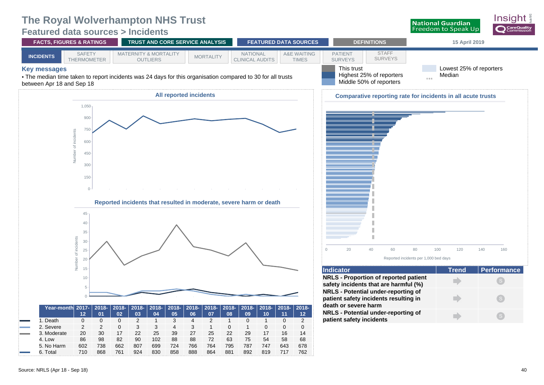### <span id="page-43-0"></span>**Featured data sources > Incidents**



Insiaht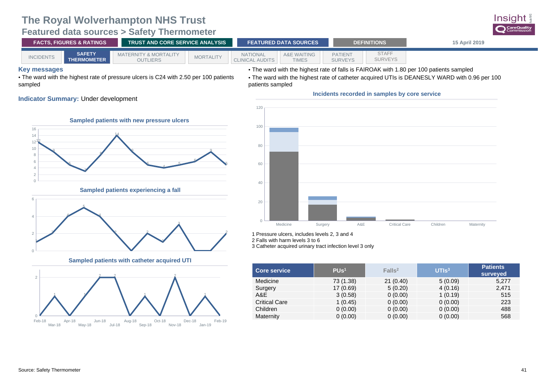### **The Royal Wolverhampton NHS Trust Featured data sources > Safety Thermometer**

<span id="page-44-0"></span>

|                     |                                     | ----------------                                                                      |                  |                                           |                                        |                                  |                         |                                                                                               |
|---------------------|-------------------------------------|---------------------------------------------------------------------------------------|------------------|-------------------------------------------|----------------------------------------|----------------------------------|-------------------------|-----------------------------------------------------------------------------------------------|
|                     | <b>FACTS, FIGURES &amp; RATINGS</b> | <b>TRUST AND CORE SERVICE ANALYSIS</b>                                                |                  |                                           | <b>FEATURED DATA SOURCES</b>           |                                  | <b>DEFINITIONS</b>      | 15 April 2019                                                                                 |
| <b>INCIDENTS</b>    | <b>SAFETY</b><br><b>THERMOMETER</b> | <b>MATERNITY &amp; MORTALITY</b><br><b>OUTLIERS</b>                                   | <b>MORTALITY</b> | <b>NATIONAL</b><br><b>CLINICAL AUDITS</b> | <b>A&amp;E WAITING</b><br><b>TIMES</b> | <b>PATIENT</b><br><b>SURVEYS</b> | <b>STAFF</b><br>SURVEYS |                                                                                               |
| <b>Key messages</b> |                                     |                                                                                       |                  |                                           |                                        |                                  |                         | • The ward with the highest rate of falls is FAIROAK with 1.80 per 100 patients sampled       |
|                     |                                     | • The ward with the highest rate of pressure ulcers is C24 with 2.50 per 100 patients |                  |                                           |                                        |                                  |                         | . The ward with the highest rate of catheter acquired UTIs is DEANESLY WARD with 0.96 per 100 |
| sampled             |                                     |                                                                                       |                  | patients sampled                          |                                        |                                  |                         |                                                                                               |

### **Indicator Summary:** Under development





**Sampled patients with catheter acquired UTI**





1 Pressure ulcers, includes levels 2, 3 and 4

2 Falls with harm levels 3 to 6

3 Catheter acquired urinary tract infection level 3 only

| <b>Core service</b>  | PUs <sup>1</sup> | Falls <sup>2</sup> | UTIS <sup>3</sup> | <b>Patients</b><br>surveyed |
|----------------------|------------------|--------------------|-------------------|-----------------------------|
| Medicine             | 73 (1.38)        | 21(0.40)           | 5(0.09)           | 5,277                       |
| Surgery              | 17(0.69)         | 5(0.20)            | 4(0.16)           | 2,471                       |
| A&E                  | 3(0.58)          | 0(0.00)            | 1(0.19)           | 515                         |
| <b>Critical Care</b> | 1(0.45)          | 0(0.00)            | 0(0.00)           | 223                         |
| Children             | 0(0.00)          | 0(0.00)            | 0(0.00)           | 488                         |
| Maternity            | 0(0.00)          | 0(0.00)            | 0(0.00)           | 568                         |

Insight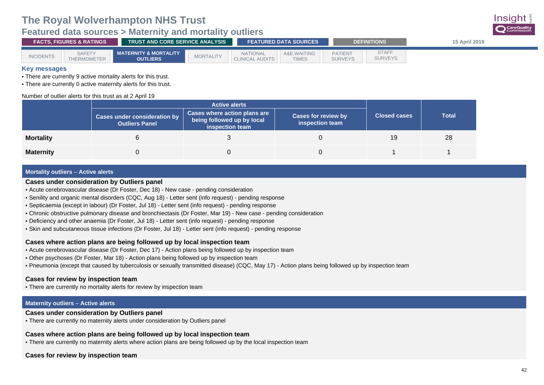### <span id="page-45-0"></span>**Featured data sources > Maternity and mortality outliers**

| <b>FACTS. FIGURES &amp; RATINGS</b> |                                     | <b>TRUST AND CORE SERVICE ANALYSIS</b>              |                  |                                           | <b>FEATURED DATA SOURCES</b>           |                                  | <b>DEFINITIONS</b>      | 15 April 2019 |
|-------------------------------------|-------------------------------------|-----------------------------------------------------|------------------|-------------------------------------------|----------------------------------------|----------------------------------|-------------------------|---------------|
| <b>INCIDENTS</b>                    | <b>SAFETY</b><br><b>THERMOMETER</b> | <b>MATERNITY &amp; MORTALITY</b><br><b>OUTLIERS</b> | <b>MORTALITY</b> | <b>NATIONAL</b><br><b>CLINICAL AUDITS</b> | <b>A&amp;E WAITING</b><br><b>TIMES</b> | <b>PATIENT</b><br><b>SURVEYS</b> | STAFF<br><b>SURVEYS</b> |               |

### **Key messages**

• There are currently 9 active mortality alerts for this trust.

• There are currently 0 active maternity alerts for this trust.

#### Number of outlier alerts for this trust as at 2 April 19

|                  | <b>Cases under consideration by</b><br><b>Outliers Panel</b> | <b>Cases where action plans are</b><br>being followed up by local<br>inspection team | <b>Cases for review by</b><br>inspection team | <b>Closed cases</b> | <b>Total</b> |
|------------------|--------------------------------------------------------------|--------------------------------------------------------------------------------------|-----------------------------------------------|---------------------|--------------|
| <b>Mortality</b> |                                                              |                                                                                      |                                               | 19                  | 28           |
| <b>Maternity</b> |                                                              |                                                                                      |                                               |                     |              |

#### **Mortality outliers** – **Active alerts**

#### **Cases under consideration by Outliers panel**

- Acute cerebrovascular disease (Dr Foster, Dec 18) New case pending consideration
- Senility and organic mental disorders (CQC, Aug 18) Letter sent (info request) pending response
- Septicaemia (except in labour) (Dr Foster, Jul 18) Letter sent (info request) pending response
- Chronic obstructive pulmonary disease and bronchiectasis (Dr Foster, Mar 19) New case pending consideration
- Deficiency and other anaemia (Dr Foster, Jul 18) Letter sent (info request) pending response
- Skin and subcutaneous tissue infections (Dr Foster, Jul 18) Letter sent (info request) pending response

### **Cases where action plans are being followed up by local inspection team**

- Acute cerebrovascular disease (Dr Foster, Dec 17) Action plans being followed up by inspection team
- Other psychoses (Dr Foster, Mar 18) Action plans being followed up by inspection team
- Pneumonia (except that caused by tuberculosis or sexually transmitted disease) (CQC, May 17) Action plans being followed up by inspection team

#### **Cases for review by inspection team**

• There are currently no mortality alerts for review by inspection team

#### **Maternity outliers** – **Active alerts**

### **Cases under consideration by Outliers panel**

• There are currently no maternity alerts under consideration by Outliers panel

### **Cases where action plans are being followed up by local inspection team**

• There are currently no maternity alerts where action plans are being followed up by the local inspection team

#### **Cases for review by inspection team**

Insiaht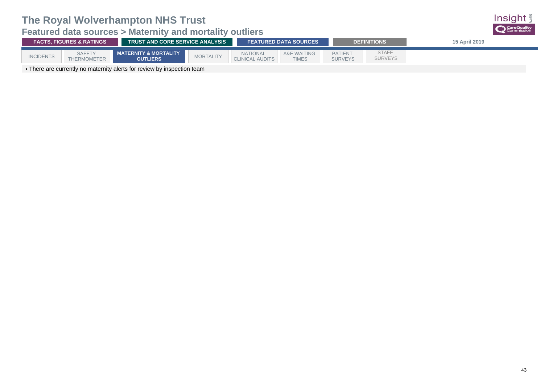

| <b>FACTS, FIGURES &amp; RATINGS</b> |                                                                                            |                                          | <b>TRUST AND CORE SERVICE ANALYSIS</b> |                                           |                             |                                  | <b>DEFINITIONS</b>             | <b>15 April 2019</b> |  |
|-------------------------------------|--------------------------------------------------------------------------------------------|------------------------------------------|----------------------------------------|-------------------------------------------|-----------------------------|----------------------------------|--------------------------------|----------------------|--|
| <b>INCIDENTS</b>                    | <b>SAFETY</b><br><b>THERMOMETER</b>                                                        | MATERNITY & MORTALITY<br><b>OUTLIERS</b> | <b>MORTALITY</b>                       | <b>NATIONAL</b><br><b>CLINICAL AUDITS</b> | A&E WAITING<br><b>TIMES</b> | <b>PATIENT</b><br><b>SURVEYS</b> | <b>STAFF</b><br><b>SURVEYS</b> |                      |  |
|                                     | The second compositions are sented to all sets for acceptance because a set and the second |                                          |                                        |                                           |                             |                                  |                                |                      |  |

• There are currently no maternity alerts for review by inspection team

Insight CareQuality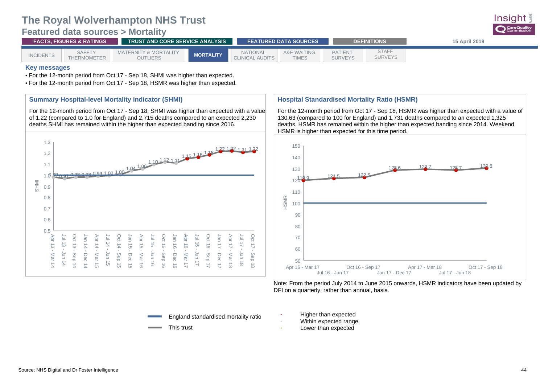### <span id="page-47-0"></span>**Featured data sources > Mortality**



#### **Key messages**

• For the 12-month period from Oct 17 - Sep 18, SHMI was higher than expected.

• For the 12-month period from Oct 17 - Sep 18, HSMR was higher than expected.

### **Summary Hospital-level Mortality indicator (SHMI)**

For the 12-month period from Oct 17 - Sep 18, SHMI was higher than expected with a value of 1.22 (compared to 1.0 for England) and 2,715 deaths compared to an expected 2,230 deaths SHMI has remained within the higher than expected banding since 2016.



### **Hospital Standardised Mortality Ratio (HSMR)**

For the 12-month period from Oct 17 - Sep 18, HSMR was higher than expected with a value of 130.63 (compared to 100 for England) and 1,731 deaths compared to an expected 1,325 deaths. HSMR has remained within the higher than expected banding since 2014. Weekend HSMR is higher than expected for this time period.



Note: From the period July 2014 to June 2015 onwards, HSMR indicators have been updated by DFI on a quarterly, rather than annual, basis.

- England standardised mortality ratio
- This trust
- Higher than expected
- Within expected range
- Lower than expected

Insiar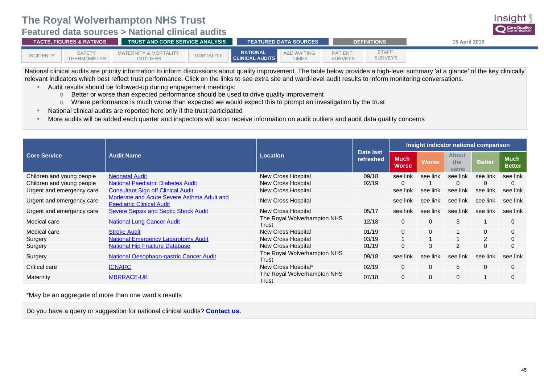<span id="page-48-0"></span>**Featured data sources > National clinical audits**

| <b>FACTS. FIGURES &amp; RATINGS</b> |                              |                                          | <b>TRUST AND CORE SERVICE ANALYSIS</b> |                                           |                                        |                                  | <b>DEFINITIONS</b>             | <b>15 April 2019</b> |
|-------------------------------------|------------------------------|------------------------------------------|----------------------------------------|-------------------------------------------|----------------------------------------|----------------------------------|--------------------------------|----------------------|
| <b>INCIDENTS</b>                    | <b>SAFETY</b><br>THERMOMETER | MATERNITY & MORTALITY<br><b>OUTLIERS</b> | <b>MORTALITY</b>                       | <b>NATIONAL</b><br><b>CLINICAL AUDITS</b> | <b>A&amp;E WAITING</b><br><b>TIMES</b> | <b>PATIENT</b><br><b>SURVEYS</b> | <b>STAFF</b><br><b>SURVEYS</b> |                      |

National clinical audits are priority information to inform discussions about quality improvement. The table below provides a high-level summary 'at a glance' of the key clinically relevant indicators which best reflect trust performance. Click on the links to see extra site and ward-level audit results to inform monitoring conversations.

- Audit results should be followed-up during engagement meetings:
	- o Better or worse than expected performance should be used to drive quality improvement
	- o Where performance is much worse than expected we would expect this to prompt an investigation by the trust
- National clinical audits are reported here only if the trust participated
- More audits will be added each quarter and inspectors will soon receive information on audit outliers and audit data quality concerns

|                           |                                                                                       |                                      | Date last | Insight indicator national comparison |              |                             |                |                              |  |
|---------------------------|---------------------------------------------------------------------------------------|--------------------------------------|-----------|---------------------------------------|--------------|-----------------------------|----------------|------------------------------|--|
| <b>Core Service</b>       | <b>Audit Name</b>                                                                     | Location                             |           | <b>Much</b><br><b>Worse</b>           | <b>Worse</b> | <b>About</b><br>the<br>same | <b>Better</b>  | <b>Much</b><br><b>Better</b> |  |
| Children and young people | <b>Neonatal Audit</b>                                                                 | <b>New Cross Hospital</b>            | 09/18     | see link                              | see link     | see link                    | see link       | see link                     |  |
| Children and young people | <b>National Paediatric Diabetes Audit</b>                                             | <b>New Cross Hospital</b>            | 02/19     | 0                                     |              | 0                           | 0              | $\mathbf{0}$                 |  |
| Urgent and emergency care | <b>Consultant Sign off Clinical Audit</b>                                             | New Cross Hospital                   |           | see link                              | see link     | see link                    | see link       | see link                     |  |
| Urgent and emergency care | <b>Moderate and Acute Severe Asthma Adult and</b><br><b>Paediatric Clinical Audit</b> | <b>New Cross Hospital</b>            |           | see link                              | see link     | see link                    | see link       | see link                     |  |
| Urgent and emergency care | <b>Severe Sepsis and Septic Shock Audit</b>                                           | <b>New Cross Hospital</b>            | 05/17     | see link                              | see link     | see link                    | see link       | see link                     |  |
| Medical care              | <b>National Lung Cancer Audit</b>                                                     | The Royal Wolverhampton NHS<br>Trust | 12/18     | $\mathbf{0}$                          | $\mathbf{0}$ | 3                           |                | $\Omega$                     |  |
| Medical care              | <b>Stroke Audit</b>                                                                   | <b>New Cross Hospital</b>            | 01/19     | $\Omega$                              | $\mathbf{0}$ |                             | $\Omega$       | $\mathbf{0}$                 |  |
| Surgery                   | <b>National Emergency Laparotomy Audit</b>                                            | <b>New Cross Hospital</b>            | 03/19     |                                       |              |                             | $\overline{2}$ | $\mathbf{0}$                 |  |
| Surgery                   | <b>National Hip Fracture Database</b>                                                 | <b>New Cross Hospital</b>            | 01/19     | $\mathbf 0$                           | 3            | 2                           | 0              | $\mathbf{0}$                 |  |
| Surgery                   | <b>National Oesophago-gastric Cancer Audit</b>                                        | The Royal Wolverhampton NHS<br>Trust | 09/18     | see link                              | see link     | see link                    | see link       | see link                     |  |
| Critical care             | <b>ICNARC</b>                                                                         | New Cross Hospital*                  | 02/19     | $\mathbf{0}$                          | $\Omega$     | 5                           | $\Omega$       | $\Omega$                     |  |
| Maternity                 | <b>MBRRACE-UK</b>                                                                     | The Royal Wolverhampton NHS<br>Trust | 07/18     | $\mathbf 0$                           | 0            | $\mathbf{0}$                |                | $\mathbf{0}$                 |  |

\*May be an aggregate of more than one ward's results

Do you have a query or suggestion for national clinical audits? **[Contact us](mailto:clinicalaudits@cqc.org.uk).**

Insight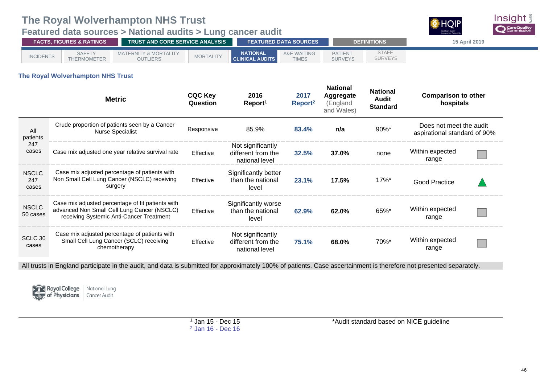### <span id="page-49-0"></span>**Featured data sources > National audits > Lung cancer audit**



| <b>FACTS. FIGURES &amp; RATINGS</b> |                              | <b>TRUST AND CORE SERVICE ANALYSIS</b>              |                  | <b>FEATURED DATA SOURCES</b>              |                                        | <b>DEFINITIONS</b>               | <b>15 April 2019</b>           |  |
|-------------------------------------|------------------------------|-----------------------------------------------------|------------------|-------------------------------------------|----------------------------------------|----------------------------------|--------------------------------|--|
| <b>INCIDENTS</b>                    | <b>SAFETY</b><br>THERMOMETER | <b>MATERNITY &amp; MORTALITY</b><br><b>OUTLIERS</b> | <b>MORTALITY</b> | <b>NATIONAL</b><br><b>CLINICAL AUDITS</b> | <b>A&amp;E WAITING</b><br><b>TIMES</b> | <b>PATIENT</b><br><b>SURVEYS</b> | <b>STAFF</b><br><b>SURVEYS</b> |  |

### **The Royal Wolverhampton NHS Trust**

|                              | <b>Metric</b>                                                                                                                                | <b>CQC Key</b><br>Question | 2016<br>Report <sup>1</sup>                               | 2017<br>$\mathsf{Report}^2$ | <b>National</b><br>Aggregate<br>(England<br>and Wales) | <b>National</b><br>Audit<br><b>Standard</b> | <b>Comparison to other</b><br>hospitals                 |  |
|------------------------------|----------------------------------------------------------------------------------------------------------------------------------------------|----------------------------|-----------------------------------------------------------|-----------------------------|--------------------------------------------------------|---------------------------------------------|---------------------------------------------------------|--|
| All<br>patients              | Crude proportion of patients seen by a Cancer<br><b>Nurse Specialist</b>                                                                     | Responsive                 | 85.9%                                                     | 83.4%                       | n/a                                                    | $90\%$ <sup>*</sup>                         | Does not meet the audit<br>aspirational standard of 90% |  |
| 247<br>cases                 | Case mix adjusted one year relative survival rate                                                                                            | Effective                  | Not significantly<br>different from the<br>national level | 32.5%                       | 37.0%                                                  | none                                        | Within expected<br>range                                |  |
| <b>NSCLC</b><br>247<br>cases | Case mix adjusted percentage of patients with<br>Non Small Cell Lung Cancer (NSCLC) receiving<br>surgery                                     | Effective                  | Significantly better<br>than the national<br>level        | 23.1%                       | 17.5%                                                  | $17\%$ <sup>*</sup>                         | <b>Good Practice</b>                                    |  |
| <b>NSCLC</b><br>50 cases     | Case mix adjusted percentage of fit patients with<br>advanced Non Small Cell Lung Cancer (NSCLC)<br>receiving Systemic Anti-Cancer Treatment | Effective                  | Significantly worse<br>than the national<br>level         | 62.9%                       | 62.0%                                                  | $65\%$ *                                    | Within expected<br>range                                |  |
| SCLC 30<br>cases             | Case mix adjusted percentage of patients with<br>Small Cell Lung Cancer (SCLC) receiving<br>chemotherapy                                     | Effective                  | Not significantly<br>different from the<br>national level | 75.1%                       | 68.0%                                                  | 70%*                                        | Within expected<br>range                                |  |

All trusts in England participate in the audit, and data is submitted for approximately 100% of patients. Case ascertainment is therefore not presented separately.



**National Lung** of Physicians Cancer Audit

\*Audit standard based on NICE guideline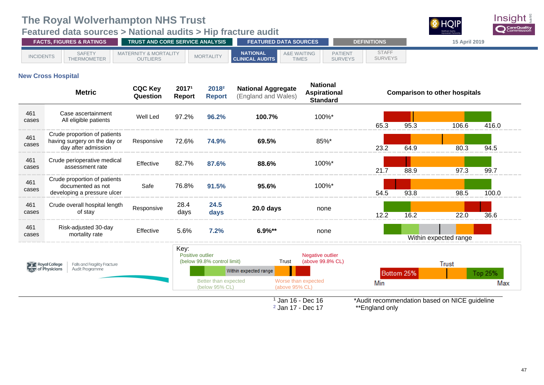## <span id="page-50-0"></span>**Featured data sources > National audits > Hip fracture audit**



| <b>FACTS, FIGURES &amp; RATINGS</b> |                               |                                                     | TRUST AND CORE SERVICE ANALYSIS |                                           |                                        | <b>FEATURED DATA SOURCES</b>     | <b>DEFINITIONS</b>             | <b>15 April 2019</b> |
|-------------------------------------|-------------------------------|-----------------------------------------------------|---------------------------------|-------------------------------------------|----------------------------------------|----------------------------------|--------------------------------|----------------------|
| <b>INCIDENTS</b>                    | <b>SAFETY</b><br>THERMOMETER. | <b>MATERNITY &amp; MORTALITY</b><br><b>OUTLIERS</b> | <b>MORTALITY</b>                | <b>NATIONAL</b><br><b>CLINICAL AUDITS</b> | <b>A&amp;E WAITING</b><br><b>TIMES</b> | <b>PATIENT</b><br><b>SURVEYS</b> | <b>STAFF</b><br><b>SURVEYS</b> |                      |

### **New Cross Hospital**

|              | <b>Metric</b>                                                                       | <b>CQC Key</b><br>Question | 20171<br>Report          | 2018 <sup>2</sup><br><b>Report</b>     | <b>National Aggregate</b><br>(England and Wales) | <b>National</b><br><b>Aspirational</b><br><b>Standard</b> |      |            | <b>Comparison to other hospitals</b>          |                |
|--------------|-------------------------------------------------------------------------------------|----------------------------|--------------------------|----------------------------------------|--------------------------------------------------|-----------------------------------------------------------|------|------------|-----------------------------------------------|----------------|
| 461<br>cases | Case ascertainment<br>All eligible patients                                         | Well Led                   | 97.2%                    | 96.2%                                  | 100.7%                                           | 100%*                                                     | 65.3 | 95.3       | 106.6                                         | 416.0          |
| 461<br>cases | Crude proportion of patients<br>having surgery on the day or<br>day after admission | Responsive                 | 72.6%                    | 74.9%                                  | 69.5%                                            | 85%*                                                      | 23.2 | 64.9       | 80.3                                          | 94.5           |
| 461<br>cases | Crude perioperative medical<br>assessment rate                                      | Effective                  | 82.7%                    | 87.6%                                  | 88.6%                                            | 100%*                                                     | 21.7 | 88.9       | 97.3                                          | 99.7           |
| 461<br>cases | Crude proportion of patients<br>documented as not<br>developing a pressure ulcer    | Safe                       | 76.8%                    | 91.5%                                  | 95.6%                                            | 100%*                                                     | 54.5 | 93.8       | 98.5                                          | 100.0          |
| 461<br>cases | Crude overall hospital length<br>of stay                                            | Responsive                 | 28.4<br>days             | 24.5<br>days                           | 20.0 days                                        | none                                                      | 12.2 | 16.2       | 22.0                                          | 36.6           |
| 461<br>cases | Risk-adjusted 30-day<br>mortality rate                                              | Effective                  | 5.6%                     | 7.2%                                   | $6.9\%**$                                        | none                                                      |      |            | Within expected range                         |                |
|              | Royal College<br><b>Falls and Fragility Fracture</b><br>Audit Programme             |                            | Key:<br>Positive outlier | (below 99.8% control limit)            | Trust<br>Within expected range                   | Negative outlier<br>(above 99.8% CL)                      |      |            | <b>Trust</b>                                  |                |
|              |                                                                                     |                            |                          | Better than expected<br>(below 95% CL) | Worse than expected<br>(above $95\%$ CL)         |                                                           | Min  | Bottom 25% |                                               | Top 25%<br>Max |
|              |                                                                                     |                            |                          |                                        | $1$ Jan 16 - Dec 16                              |                                                           |      |            | *Audit recommendation based on NICE guideline |                |

<sup>2</sup> Jan 17 - Dec 17

\*\*England only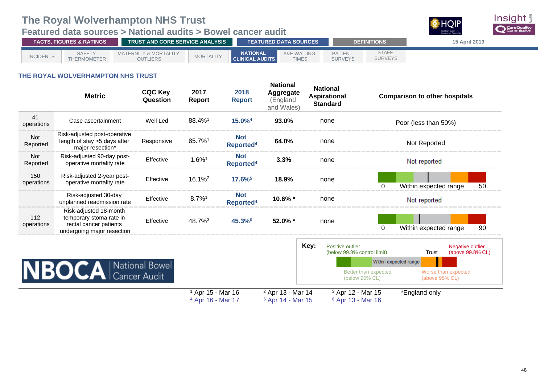## **Featured data sources > National audits > Bowel cancer audit**



| <b>FACTS, FIGURES &amp; RATINGS</b> |                              |                                                     | <b>TRUST AND CORE SERVICE ANALYSIS</b> |                                           |                                        |                                  | <b>DEFINITIONS</b>             | 15 April 2019 |
|-------------------------------------|------------------------------|-----------------------------------------------------|----------------------------------------|-------------------------------------------|----------------------------------------|----------------------------------|--------------------------------|---------------|
| <b>INCIDENTS</b>                    | <b>SAFETY</b><br>THERMOMETER | <b>MATERNITY &amp; MORTALITY</b><br><b>OUTLIERS</b> | <b>MORTALITY</b>                       | <b>NATIONAL</b><br><b>CLINICAL AUDITS</b> | <b>A&amp;E WAITING</b><br><b>TIMES</b> | <b>PATIENT</b><br><b>SURVEYS</b> | <b>STAFF</b><br><b>SURVEYS</b> |               |

### **THE ROYAL WOLVERHAMPTON NHS TRUST**

|                   | <b>Metric</b>                                                                                             | <b>CQC Key</b><br>Question | 2017<br><b>Report</b>                                        | 2018<br><b>Report</b>               | <b>National</b><br><b>Aggregate</b><br>(England<br>and Wales) |      | <b>National</b><br><b>Aspirational</b><br><b>Standard</b>    | <b>Comparison to other hospitals</b>  |                         |                  |
|-------------------|-----------------------------------------------------------------------------------------------------------|----------------------------|--------------------------------------------------------------|-------------------------------------|---------------------------------------------------------------|------|--------------------------------------------------------------|---------------------------------------|-------------------------|------------------|
| 41<br>operations  | Case ascertainment                                                                                        | Well Led                   | 88.4%1                                                       | 15.0% <sup>4</sup>                  | 93.0%                                                         |      | none                                                         | Poor (less than 50%)                  |                         |                  |
| Not<br>Reported   | Risk-adjusted post-operative<br>length of stay >5 days after<br>major resection*                          | Responsive                 | 85.7%1                                                       | <b>Not</b><br>Reported <sup>4</sup> | 64.0%                                                         |      | none                                                         | Not Reported                          |                         |                  |
| Not<br>Reported   | Risk-adjusted 90-day post-<br>operative mortality rate                                                    | Effective                  | 1.6%1                                                        | <b>Not</b><br>Reported <sup>4</sup> | 3.3%                                                          |      | none                                                         | Not reported                          |                         |                  |
| 150<br>operations | Risk-adjusted 2-year post-<br>operative mortality rate                                                    | Effective                  | 16.1% <sup>2</sup>                                           | 17.6%                               | 18.9%                                                         |      | none                                                         | Within expected range                 |                         | 50               |
|                   | Risk-adjusted 30-day<br>unplanned readmission rate                                                        | Effective                  | $8.7\%$ <sup>1</sup>                                         | <b>Not</b><br>Reported <sup>4</sup> | 10.6% *                                                       |      | none                                                         | Not reported                          |                         |                  |
| 112<br>operations | Risk-adjusted 18-month<br>temporary stoma rate in<br>rectal cancer patients<br>undergoing major resection | Effective                  | 48.7% <sup>3</sup>                                           | 45.3% <sup>6</sup>                  | 52.0% *                                                       |      | none                                                         | Within expected range                 |                         | 90               |
|                   |                                                                                                           |                            |                                                              |                                     |                                                               | Key: | Positive outlier<br>(below 99.8% control limit)              | Trust                                 | <b>Negative outlier</b> | (above 99.8% CL) |
|                   |                                                                                                           |                            |                                                              |                                     |                                                               |      |                                                              | Within expected range                 |                         |                  |
|                   | <b>NBOCA</b> Cancer Audit                                                                                 |                            |                                                              |                                     |                                                               |      | Better than expected<br>(below 95% CL)                       | Worse than expected<br>(above 95% CL) |                         |                  |
|                   |                                                                                                           |                            | <sup>1</sup> Apr 15 - Mar 16<br><sup>4</sup> Apr 16 - Mar 17 |                                     | <sup>2</sup> Apr 13 - Mar 14<br><sup>5</sup> Apr 14 - Mar 15  |      | <sup>3</sup> Apr 12 - Mar 15<br><sup>6</sup> Apr 13 - Mar 16 | *England only                         |                         |                  |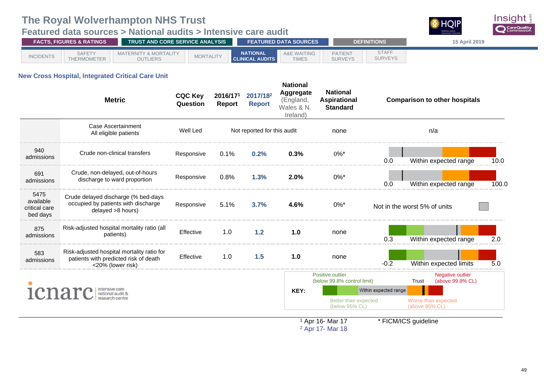## <span id="page-52-0"></span>**Featured data sources > National audits > Intensive care audit**



|                  | <b>TRUST AND CORE SERVICE ANALYSIS</b><br><b>FACTS. FIGURES &amp; RATINGS</b> |                                                     |                  |                                           | <b>FEATURED DATA SOURCES</b> |                                  | <b>DEFINITIONS</b>             | 15 April 2019 |
|------------------|-------------------------------------------------------------------------------|-----------------------------------------------------|------------------|-------------------------------------------|------------------------------|----------------------------------|--------------------------------|---------------|
| <b>INCIDENTS</b> | <b>SAFETY</b><br>THERMOMETER                                                  | <b>MATERNITY &amp; MORTALITY</b><br><b>OUTLIERS</b> | <b>MORTALITY</b> | <b>NATIONAL</b><br><b>CLINICAL AUDITS</b> | A&E WAITING<br><b>TIMES</b>  | <b>PATIENT</b><br><b>SURVEYS</b> | <b>STAFF</b><br><b>SURVEYS</b> |               |

### **New Cross Hospital, Integrated Critical Care Unit**

|                                                | <b>Metric</b>                                                                                            | <b>CQC Key</b><br>Question | 2016/171<br><b>Report</b> | 2017/18 <sup>2</sup><br><b>Report</b> | <b>National</b><br>Aggregate<br>(England,<br>Wales & N.<br>Ireland) | <b>National</b><br><b>Aspirational</b><br><b>Standard</b> |                                       | <b>Comparison to other hospitals</b>          |       |
|------------------------------------------------|----------------------------------------------------------------------------------------------------------|----------------------------|---------------------------|---------------------------------------|---------------------------------------------------------------------|-----------------------------------------------------------|---------------------------------------|-----------------------------------------------|-------|
|                                                | Case Ascertainment<br>All eligible patients                                                              | Well Led                   |                           | Not reported for this audit           |                                                                     | none                                                      |                                       | n/a                                           |       |
| 940<br>admissions                              | Crude non-clinical transfers                                                                             | Responsive                 | 0.1%                      | 0.2%                                  | 0.3%                                                                | $0\%$ *                                                   | 0.0                                   | Within expected range                         | 10.0  |
| 691<br>admissions                              | Crude, non-delayed, out-of-hours<br>discharge to ward proportion                                         | Responsive                 | 0.8%                      | 1.3%                                  | 2.0%                                                                | $0\%$ *                                                   | 0.0                                   | Within expected range                         | 100.0 |
| 5475<br>available<br>critical care<br>bed days | Crude delayed discharge (% bed-days<br>occupied by patients with discharge<br>delayed >8 hours)          | Responsive                 | 5.1%                      | 3.7%                                  | 4.6%                                                                | $0\%$ *                                                   |                                       | Not in the worst 5% of units                  |       |
| 875<br>admissions                              | Risk-adjusted hospital mortality ratio (all<br>patients)                                                 | Effective                  | 1.0                       | 1.2                                   | 1.0                                                                 | none                                                      | 0.3                                   | Within expected range                         | 2.0   |
| 583<br>admissions                              | Risk-adjusted hospital mortality ratio for<br>patients with predicted risk of death<br><20% (lower risk) | Effective                  | 1.0                       | 1.5                                   | 1.0                                                                 | none                                                      | $-0.2$                                | Within expected limits                        | 5.0   |
|                                                | <b>ICHATC</b> Inational audit &                                                                          |                            |                           |                                       | KEY:                                                                | Positive outlier<br>(below 99.8% control limit)           | Within expected range                 | Negative outlier<br>(above 99.8% CL)<br>Trust |       |
|                                                |                                                                                                          |                            |                           |                                       | Better than expected<br>(below 95% CL)                              |                                                           | Worse than expected<br>(above 95% CL) |                                               |       |

<sup>1</sup> Apr 16- Mar 17<br><sup>2</sup> Apr 17- Mar 18

\* FICM/ICS guideline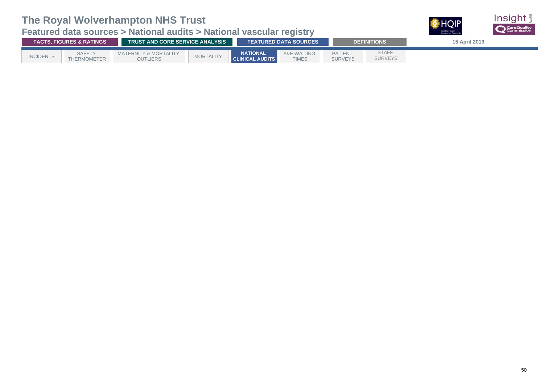## **Featured data sources > National audits > National vascular registry**



| <b>FACTS. FIGURES &amp; RATINGS</b> |                              |                                                     | <b>TRUST AND CORE SERVICE ANALYSIS</b> |                                           |                                        |                                  | <b>DEFINITIONS</b>             | 15 April 2019 |
|-------------------------------------|------------------------------|-----------------------------------------------------|----------------------------------------|-------------------------------------------|----------------------------------------|----------------------------------|--------------------------------|---------------|
| <b>INCIDENTS</b>                    | <b>SAFETY</b><br>THERMOMETER | <b>MATERNITY &amp; MORTALITY</b><br><b>OUTLIERS</b> | <b>MORTALITY</b>                       | <b>NATIONAL</b><br><b>CLINICAL AUDITS</b> | <b>A&amp;E WAITING</b><br><b>TIMES</b> | <b>PATIENT</b><br><b>SURVEYS</b> | <b>STAFF</b><br><b>SURVEYS</b> |               |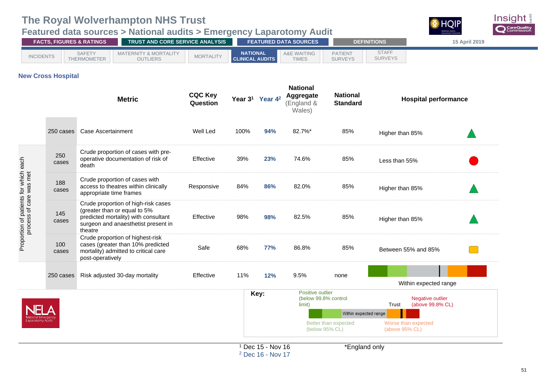### <span id="page-54-0"></span>**Featured data sources > National audits > Emergency Laparotomy Audit**



| <b>FACTS. FIGURES &amp; RATINGS</b> |                              |                                                     | <b>TRUST AND CORE SERVICE ANALYSIS</b> |                                           |                                    |                                  | <b>DEFINITIONS</b>             | <b>15 April 2019</b> |
|-------------------------------------|------------------------------|-----------------------------------------------------|----------------------------------------|-------------------------------------------|------------------------------------|----------------------------------|--------------------------------|----------------------|
| <b>INCIDENTS</b>                    | <b>SAFETY</b><br>THERMOMETER | <b>MATERNITY &amp; MORTALITY</b><br><b>OUTLIERS</b> | <b>MORTALITY</b>                       | <b>NATIONAL</b><br><b>CLINICAL AUDITS</b> | A&E \<br>E WAITING<br><b>TIMES</b> | <b>PATIENT</b><br><b>SURVEYS</b> | <b>STAFF</b><br><b>SURVEYS</b> |                      |

### **New Cross Hospital**

|                                                                  |              | <b>Metric</b>                                                                                                                                                 | <b>CQC Key</b><br>Question |      | Year 3 <sup>1</sup> Year 4 <sup>2</sup> | <b>National</b><br>Aggregate<br>(England &<br>Wales) | <b>National</b><br><b>Standard</b>     | <b>Hospital performance</b>                   |  |
|------------------------------------------------------------------|--------------|---------------------------------------------------------------------------------------------------------------------------------------------------------------|----------------------------|------|-----------------------------------------|------------------------------------------------------|----------------------------------------|-----------------------------------------------|--|
|                                                                  | 250 cases    | <b>Case Ascertainment</b>                                                                                                                                     | Well Led                   | 100% | 94%                                     | 82.7%*                                               | 85%                                    | Higher than 85%                               |  |
|                                                                  | 250<br>cases | Crude proportion of cases with pre-<br>operative documentation of risk of<br>death                                                                            | Effective                  | 39%  | 23%                                     | 74.6%                                                | 85%                                    | Less than 55%                                 |  |
|                                                                  | 188<br>cases | Crude proportion of cases with<br>access to theatres within clinically<br>appropriate time frames                                                             | Responsive                 | 84%  | 86%                                     | 82.0%                                                | 85%                                    | Higher than 85%                               |  |
| Proportion of patients for which each<br>process of care was met | 145<br>cases | Crude proportion of high-risk cases<br>(greater than or equal to 5%<br>predicted mortality) with consultant<br>surgeon and anaesthetist present in<br>theatre | Effective                  | 98%  | 98%                                     | 82.5%                                                | 85%                                    | Higher than 85%                               |  |
|                                                                  | 100<br>cases | Crude proportion of highest-risk<br>cases (greater than 10% predicted<br>mortality) admitted to critical care<br>post-operatively                             | Safe                       | 68%  | <b>77%</b>                              | 86.8%                                                | 85%                                    | Between 55% and 85%                           |  |
|                                                                  | 250 cases    | Risk adjusted 30-day mortality                                                                                                                                | Effective                  | 11%  | 12%                                     | 9.5%                                                 | none                                   | Within expected range                         |  |
|                                                                  |              |                                                                                                                                                               |                            |      | Key:                                    | Positive outlier<br>(below 99.8% control<br>limit)   |                                        | Negative outlier<br>Trust<br>(above 99.8% CL) |  |
|                                                                  |              |                                                                                                                                                               |                            |      |                                         |                                                      | Within expected range                  |                                               |  |
| Laparotomy Audi                                                  |              |                                                                                                                                                               |                            |      |                                         |                                                      | Better than expected<br>(below 95% CL) | Worse than expected<br>(above 95% CL)         |  |
|                                                                  |              |                                                                                                                                                               |                            |      | $1$ Dec 15 - Nov 16                     |                                                      | *England only                          |                                               |  |

<sup>2</sup> Dec 16 - Nov 17

igiand only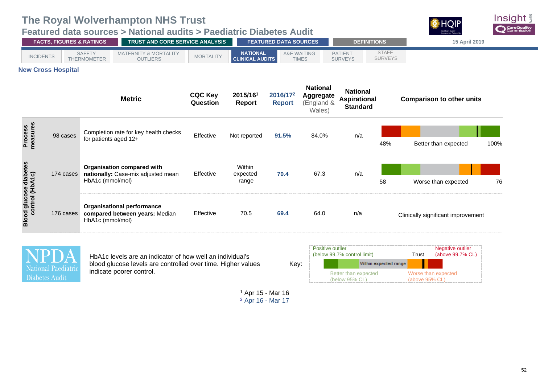### <span id="page-55-0"></span>**Featured data sources > National audits > Paediatric Diabetes Audit**



|                                                   | <b>FACTS, FIGURES &amp; RATINGS</b> | TRUST AND CORE SERVICE ANALYSIS                                                                                           |                            |                                           | <b>FEATURED DATA SOURCES</b> |                                                             | <b>DEFINITIONS</b>                                        |                                       | 15 April 2019                                 |
|---------------------------------------------------|-------------------------------------|---------------------------------------------------------------------------------------------------------------------------|----------------------------|-------------------------------------------|------------------------------|-------------------------------------------------------------|-----------------------------------------------------------|---------------------------------------|-----------------------------------------------|
| <b>INCIDENTS</b>                                  |                                     | <b>SAFETY</b><br><b>MATERNITY &amp; MORTALITY</b><br><b>THERMOMETER</b><br><b>OUTLIERS</b>                                | <b>MORTALITY</b>           | <b>NATIONAL</b><br><b>CLINICAL AUDITS</b> | A&E WAITING<br><b>TIMES</b>  |                                                             | <b>PATIENT</b><br><b>SURVEYS</b>                          | <b>STAFF</b><br><b>SURVEYS</b>        |                                               |
|                                                   | <b>New Cross Hospital</b>           |                                                                                                                           |                            |                                           |                              |                                                             |                                                           |                                       |                                               |
|                                                   |                                     | <b>Metric</b>                                                                                                             | <b>CQC Key</b><br>Question | 2015/161<br>Report                        | 2016/172<br><b>Report</b>    | <b>National</b><br><b>Aggregate</b><br>(England &<br>Wales) | <b>National</b><br><b>Aspirational</b><br><b>Standard</b> |                                       | <b>Comparison to other units</b>              |
| Process<br>measures                               | 98 cases                            | Completion rate for key health checks<br>for patients aged 12+                                                            | Effective                  | Not reported                              | 91.5%                        | 84.0%                                                       | n/a                                                       | 48%                                   | Better than expected<br>100%                  |
|                                                   | 174 cases                           | <b>Organisation compared with</b><br>nationally: Case-mix adjusted mean<br>HbA1c (mmol/mol)                               | Effective                  | Within<br>expected<br>range               | 70.4                         | 67.3                                                        | n/a                                                       | 58                                    | 76<br>Worse than expected                     |
| <b>Blood glucose diabetes<br/>control (HbA1c)</b> | 176 cases                           | <b>Organisational performance</b><br>compared between years: Median<br>HbA1c (mmol/mol)                                   | Effective                  | 70.5                                      | 69.4                         | 64.0                                                        | n/a                                                       |                                       | Clinically significant improvement            |
|                                                   |                                     | HbA1c levels are an indicator of how well an individual's<br>blood glucose levels are controlled over time. Higher values |                            |                                           | Key:                         | Positive outlier                                            | (below 99.7% control limit)                               | Within expected range                 | Negative outlier<br>(above 99.7% CL)<br>Trust |
| National Paediatric<br>Diabetes Audit             | indicate poorer control.            |                                                                                                                           |                            |                                           |                              | Better than expected<br>(below 95% CL)                      |                                                           | Worse than expected<br>(above 95% CL) |                                               |

<sup>1</sup> Apr 15 - Mar 16 <sup>2</sup> Apr 16 - Mar 17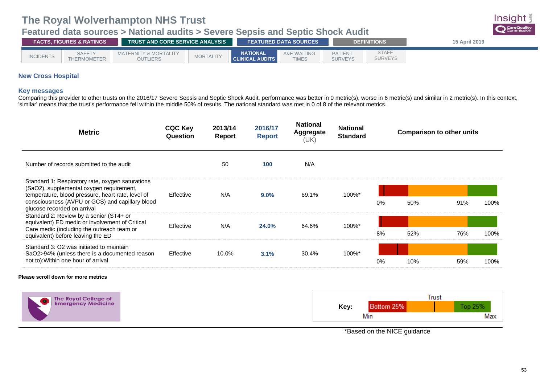[THERMOMETER](#page-44-0)

### <span id="page-56-0"></span>**Featured data sources > National audits > Severe Sepsis and Septic Shock Audit**



[SURVEYS](#page-68-0)

[SURVEYS](#page-73-0)

[TIMES](#page-67-0)

### **New Cross Hospital**

#### **Key messages**

Comparing this provider to other trusts on the 2016/17 Severe Sepsis and Septic Shock Audit, performance was better in 0 metric(s), worse in 6 metric(s) and similar in 2 metric(s). In this context, 'similar' means that the trust's performance fell within the middle 50% of results. The national standard was met in 0 of 8 of the relevant metrics.

| <b>Metric</b>                                                                                                                                                                                                                       | <b>CQC Key</b><br>Question | 2013/14<br>Report | 2016/17<br><b>Report</b> | <b>National</b><br><b>Aggregate</b><br>(UK) | <b>National</b><br><b>Standard</b> |    | <b>Comparison to other units</b> |     |      |
|-------------------------------------------------------------------------------------------------------------------------------------------------------------------------------------------------------------------------------------|----------------------------|-------------------|--------------------------|---------------------------------------------|------------------------------------|----|----------------------------------|-----|------|
| Number of records submitted to the audit                                                                                                                                                                                            |                            | 50                | 100                      | N/A                                         |                                    |    |                                  |     |      |
| Standard 1: Respiratory rate, oxygen saturations<br>(SaO2), supplemental oxygen requirement,<br>temperature, blood pressure, heart rate, level of<br>consciousness (AVPU or GCS) and capillary blood<br>glucose recorded on arrival | Effective                  | N/A               | $9.0\%$                  | 69.1%                                       | 100%*                              | 0% | 50%                              | 91% | 100% |
| Standard 2: Review by a senior (ST4+ or<br>equivalent) ED medic or involvement of Critical<br>Care medic (including the outreach team or<br>equivalent) before leaving the ED                                                       | Effective                  | N/A               | 24.0%                    | 64.6%                                       | 100%*                              | 8% | 52%                              | 76% | 100% |
| Standard 3: O2 was initiated to maintain<br>SaO2>94% (unless there is a documented reason<br>not to): Within one hour of arrival                                                                                                    | Effective                  | 10.0%             | 3.1%                     | 30.4%                                       | 100%*                              | 0% | 10%                              | 59% | 100% |

#### **Please scroll down for more metrics**



\*Based on the NICE guidance

Insiaht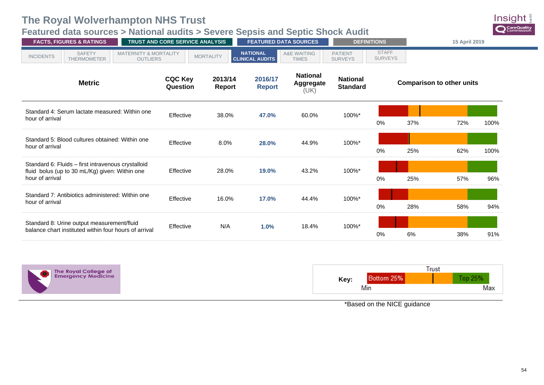## **Featured data sources > National audits > Severe Sepsis and Septic Shock Audit**



| <b>FACTS, FIGURES &amp; RATINGS</b>                                                                                     | TRUST AND CORE SERVICE ANALYSIS |                          |                                           | <b>FEATURED DATA SOURCES</b>                | <b>DEFINITIONS</b>                 |                                |     | 15 April 2019                    |      |
|-------------------------------------------------------------------------------------------------------------------------|---------------------------------|--------------------------|-------------------------------------------|---------------------------------------------|------------------------------------|--------------------------------|-----|----------------------------------|------|
| <b>SAFETY</b><br><b>MATERNITY &amp; MORTALITY</b><br><b>INCIDENTS</b><br><b>THERMOMETER</b><br><b>OUTLIERS</b>          |                                 | <b>MORTALITY</b>         | <b>NATIONAL</b><br><b>CLINICAL AUDITS</b> | <b>A&amp;E WAITING</b><br><b>TIMES</b>      | <b>PATIENT</b><br><b>SURVEYS</b>   | <b>STAFF</b><br><b>SURVEYS</b> |     |                                  |      |
| <b>Metric</b>                                                                                                           | <b>CQC Key</b><br>Question      | 2013/14<br><b>Report</b> | 2016/17<br><b>Report</b>                  | <b>National</b><br><b>Aggregate</b><br>(UK) | <b>National</b><br><b>Standard</b> |                                |     | <b>Comparison to other units</b> |      |
| Standard 4: Serum lactate measured: Within one<br>hour of arrival                                                       | Effective                       | 38.0%                    | 47.0%                                     | 60.0%                                       | 100%*                              | 0%                             | 37% | 72%                              | 100% |
| Standard 5: Blood cultures obtained: Within one<br>hour of arrival                                                      | Effective                       | 8.0%                     | 28.0%                                     | 44.9%                                       | 100%*                              | $0\%$                          | 25% | 62%                              | 100% |
| Standard 6: Fluids - first intravenous crystalloid<br>fluid bolus (up to 30 mL/Kg) given: Within one<br>hour of arrival | Effective                       | 28.0%                    | 19.0%                                     | 43.2%                                       | 100%*                              | $0\%$                          | 25% | 57%                              | 96%  |
| Standard 7: Antibiotics administered: Within one<br>hour of arrival                                                     | Effective                       | 16.0%                    | 17.0%                                     | 44.4%                                       | 100%*                              | $0\%$                          | 28% | 58%                              | 94%  |
| Standard 8: Urine output measurement/fluid<br>balance chart instituted within four hours of arrival                     | Effective                       | N/A                      | 1.0%                                      | 18.4%                                       | 100%*                              | 0%                             | 6%  | 38%                              | 91%  |



|      |            | Trust |         |  |
|------|------------|-------|---------|--|
| Key: | Bottom 25% |       | Top 25% |  |
|      | Min        |       | Max     |  |

\*Based on the NICE guidance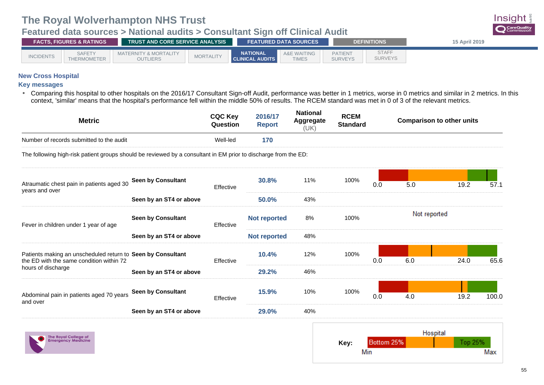[THERMOMETER](#page-44-0)

### <span id="page-58-0"></span>**Featured data sources > National audits > Consultant Sign off Clinical Audit**



[SURVEYS](#page-68-0)

[TIMES](#page-67-0)

### **New Cross Hospital**

#### **Key messages**

• Comparing this hospital to other hospitals on the 2016/17 Consultant Sign-off Audit, performance was better in 1 metrics, worse in 0 metrics and similar in 2 metrics. In this context, 'similar' means that the hospital's performance fell within the middle 50% of results. The RCEM standard was met in 0 of 3 of the relevant metrics.

| <b>Metric</b>                                                                                                   |                           | <b>CQC Key</b><br>Question | 2016/17<br><b>Report</b> | <b>National</b><br>Aggregate<br>(UK) | <b>RCEM</b><br><b>Standard</b> |     |              | <b>Comparison to other units</b> |       |
|-----------------------------------------------------------------------------------------------------------------|---------------------------|----------------------------|--------------------------|--------------------------------------|--------------------------------|-----|--------------|----------------------------------|-------|
| Number of records submitted to the audit                                                                        |                           | Well-led                   | 170                      |                                      |                                |     |              |                                  |       |
| The following high-risk patient groups should be reviewed by a consultant in EM prior to discharge from the ED: |                           |                            |                          |                                      |                                |     |              |                                  |       |
|                                                                                                                 | Seen by Consultant        |                            | 30.8%                    | 11%                                  | 100%                           |     |              |                                  |       |
| Atraumatic chest pain in patients aged 30<br>years and over                                                     |                           | Effective                  |                          |                                      |                                | 0.0 | 5.0          | 19.2                             | 57.1  |
|                                                                                                                 | Seen by an ST4 or above   |                            | 50.0%                    | 43%                                  |                                |     |              |                                  |       |
| Fever in children under 1 year of age                                                                           | <b>Seen by Consultant</b> | Effective                  | <b>Not reported</b>      | 8%                                   | 100%                           |     | Not reported |                                  |       |
|                                                                                                                 | Seen by an ST4 or above   |                            | <b>Not reported</b>      | 48%                                  |                                |     |              |                                  |       |
| Patients making an unscheduled return to Seen by Consultant<br>the ED with the same condition within 72         |                           | Effective                  | 10.4%                    | 12%                                  | 100%                           | 0.0 | 6.0          | 24.0                             | 65.6  |
| hours of discharge                                                                                              | Seen by an ST4 or above   |                            | 29.2%                    | 46%                                  |                                |     |              |                                  |       |
| Abdominal pain in patients aged 70 years<br>and over                                                            | Seen by Consultant        | Effective                  | 15.9%                    | 10%                                  | 100%                           | 0.0 | 4.0          | 19.2                             | 100.0 |
|                                                                                                                 | Seen by an ST4 or above   |                            | 29.0%                    | 40%                                  |                                |     |              |                                  |       |



|      |            | Hospital |         |  |
|------|------------|----------|---------|--|
| Key: | Bottom 25% |          | Top 25% |  |
|      | Min        |          | Max     |  |

Insiaht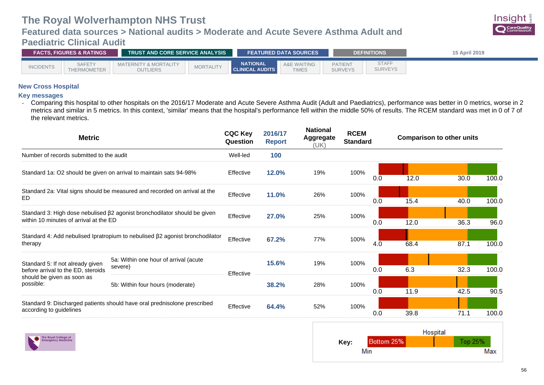### **Featured data sources > National audits > Moderate and Acute Severe Asthma Adult and Paediatric Clinical Audit**



<span id="page-59-0"></span>

| <b>FACTS. FIGURES &amp; RATINGS</b> |                              |                                                     | <b>TRUST AND CORE SERVICE ANALYSIS</b> |                                           |                               |                                  | <b>DEFINITIONS</b>             | 15 April 2019 |
|-------------------------------------|------------------------------|-----------------------------------------------------|----------------------------------------|-------------------------------------------|-------------------------------|----------------------------------|--------------------------------|---------------|
| <b>INCIDENTS</b>                    | <b>SAFETY</b><br>THERMOMETER | <b>MATERNITY &amp; MORTALITY</b><br><b>OUTLIERS</b> | <b>MORTALITY</b>                       | <b>NATIONAL</b><br><b>CLINICAL AUDITS</b> | A&E<br>AITING<br><b>TIMES</b> | <b>PATIENT</b><br><b>SURVEYS</b> | <b>STAFI</b><br><b>SURVEYS</b> |               |

### **New Cross Hospital**

#### **Key messages**

• Comparing this hospital to other hospitals on the 2016/17 Moderate and Acute Severe Asthma Audit (Adult and Paediatrics), performance was better in 0 metrics, worse in 2 metrics and similar in 5 metrics. In this context, 'similar' means that the hospital's performance fell within the middle 50% of results. The RCEM standard was met in 0 of 7 of the relevant metrics.

| <b>Metric</b>                                                                                                       |                                                                              |           |       | <b>National</b><br>2016/17<br><b>Aggregate</b><br><b>Report</b><br>(UK) |      | <b>Standard</b> |      | <b>Comparison to other units</b> |       |
|---------------------------------------------------------------------------------------------------------------------|------------------------------------------------------------------------------|-----------|-------|-------------------------------------------------------------------------|------|-----------------|------|----------------------------------|-------|
| Number of records submitted to the audit                                                                            |                                                                              | Well-led  | 100   |                                                                         |      |                 |      |                                  |       |
|                                                                                                                     | Standard 1a: O2 should be given on arrival to maintain sats 94-98%           | Effective | 12.0% | 19%                                                                     | 100% | 0.0             | 12.0 | 30.0                             | 100.0 |
| Standard 2a: Vital signs should be measured and recorded on arrival at the<br>ED.                                   | Effective                                                                    | 11.0%     | 26%   | 100%                                                                    | 0.0  | 15.4            | 40.0 | 100.0                            |       |
| Standard 3: High dose nebulised β2 agonist bronchodilator should be given<br>within 10 minutes of arrival at the ED |                                                                              |           | 27.0% | 25%                                                                     | 100% | 0.0             | 12.0 | 36.3                             | 96.0  |
| therapy                                                                                                             | Standard 4: Add nebulised Ipratropium to nebulised β2 agonist bronchodilator | Effective | 67.2% | 77%                                                                     | 100% | 4.0             | 68.4 | 87.1                             | 100.0 |
| Standard 5: If not already given<br>before arrival to the ED, steroids                                              | 5a: Within one hour of arrival (acute<br>severe)                             | Effective | 15.6% | 19%                                                                     | 100% | 0.0             | 6.3  | 32.3                             | 100.0 |
| should be given as soon as<br>possible:                                                                             | 5b: Within four hours (moderate)                                             |           | 38.2% | 28%                                                                     | 100% | 0.0             | 11.9 | 42.5                             | 90.5  |
| Standard 9: Discharged patients should have oral prednisolone prescribed<br>according to guidelines                 |                                                                              | Effective | 64.4% | 52%                                                                     | 100% | 0.0             | 39.8 | 71.1                             | 100.0 |

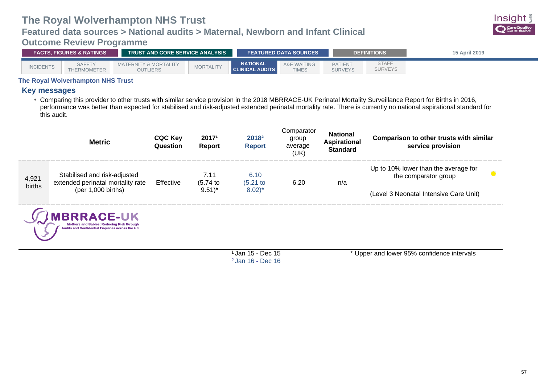### **Featured data sources > National audits > Maternal, Newborn and Infant Clinical**

### <span id="page-60-0"></span>**Outcome Review Programme**



| <b>FACTS. FIGURES &amp; RATINGS</b> |                              |                                                     | <b>TRUST AND CORE SERVICE ANALYSIS</b> |                                           |                                        | <b>DEFINITIONS</b>               |                                | <b>15 April 2019</b> |
|-------------------------------------|------------------------------|-----------------------------------------------------|----------------------------------------|-------------------------------------------|----------------------------------------|----------------------------------|--------------------------------|----------------------|
| <b>INCIDENTS</b>                    | <b>SAFETY</b><br>THERMOMETER | <b>MATERNITY &amp; MORTALITY</b><br><b>OUTLIERS</b> | <b>MORTALITY</b>                       | <b>NATIONAL</b><br><b>CLINICAL AUDITS</b> | <b>A&amp;E WAITING</b><br><b>TIMES</b> | <b>PATIENT</b><br><b>SURVEYS</b> | <b>STAFF</b><br><b>SURVEYS</b> |                      |

### **The Royal Wolverhampton NHS Trust**

### **Key messages**

• Comparing this provider to other trusts with similar service provision in the 2018 MBRRACE-UK Perinatal Mortality Surveillance Report for Births in 2016, performance was better than expected for stabilised and risk-adjusted extended perinatal mortality rate. There is currently no national aspirational standard for this audit.

|                 | <b>Metric</b>                                                     | <b>CQC Key</b><br>Question | 20171<br>Report     | 2018 <sup>2</sup><br><b>Report</b> | Comparator<br>group<br>average<br>(UK) | <b>National</b><br><b>Aspirational</b><br><b>Standard</b> | <b>Comparison to other trusts with similar</b><br>service provision |
|-----------------|-------------------------------------------------------------------|----------------------------|---------------------|------------------------------------|----------------------------------------|-----------------------------------------------------------|---------------------------------------------------------------------|
| 4,921<br>births | Stabilised and risk-adjusted<br>extended perinatal mortality rate | Effective                  | 7.11<br>(5.74)      | 6.10<br>$(5.21)$ to                | 6.20                                   | n/a                                                       | Up to 10% lower than the average for<br>the comparator group        |
|                 | $(per 1,000 \text{ births})$                                      |                            | $9.51$ <sup>*</sup> | $(8.02)^*$                         |                                        |                                                           | (Level 3 Neonatal Intensive Care Unit)                              |



<sup>1</sup>Jan 15 - Dec 15 <sup>2</sup>Jan 16 - Dec 16 \* Upper and lower 95% confidence intervals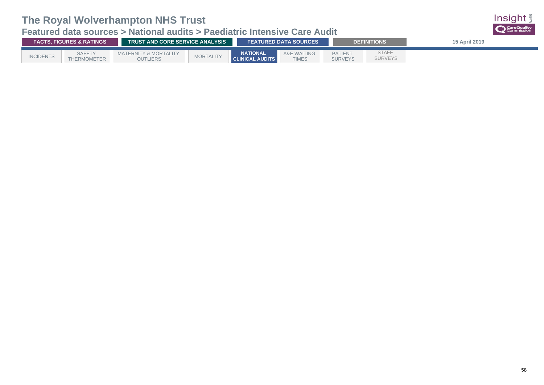## **Featured data sources > National audits > Paediatric Intensive Care Audit**

| <b>FACTS. FIGURES &amp; RATINGS</b> |                              | <b>TRUST AND CORE SERVICE ANALYSIS</b>       |                  | <b>FEATURED DATA SOURCES</b>              |                                        | <b>DEFINITIONS</b>               | 15 April 2019                  |  |
|-------------------------------------|------------------------------|----------------------------------------------|------------------|-------------------------------------------|----------------------------------------|----------------------------------|--------------------------------|--|
| <b>INCIDENTS</b>                    | <b>SAFETY</b><br>THERMOMETER | <b>MATERNITY &amp; MORTALITY</b><br>OUTLIERS | <b>MORTALITY</b> | <b>NATIONAL</b><br><b>CLINICAL AUDITS</b> | <b>A&amp;E WAITING</b><br><b>TIMES</b> | <b>PATIENT</b><br><b>SURVEYS</b> | <b>STAFF</b><br><b>SURVEYS</b> |  |

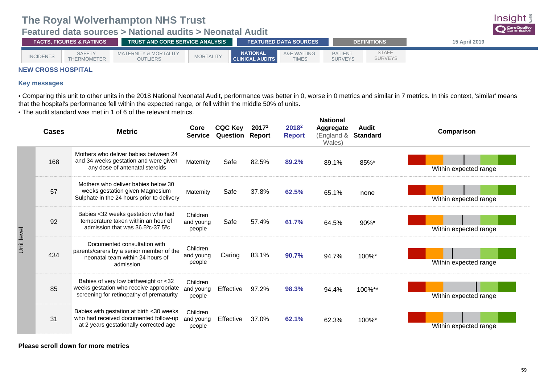### <span id="page-62-0"></span>**Featured data sources > National audits > Neonatal Audit**

| <b>FACTS. FIGURES &amp; RATINGS</b> |                              |                                                     | <b>TRUST AND CORE SERVICE ANALYSIS</b> |                                           |                                        | <b>FEATURED DATA SOURCES</b> |                                  |                                | 15 April 2019 |
|-------------------------------------|------------------------------|-----------------------------------------------------|----------------------------------------|-------------------------------------------|----------------------------------------|------------------------------|----------------------------------|--------------------------------|---------------|
| <b>INCIDENTS</b>                    | <b>SAFETY</b><br>THERMOMETER | <b>MATERNITY &amp; MORTALITY</b><br><b>OUTLIERS</b> | <b>MORTALITY</b>                       | <b>NATIONAL</b><br><b>CLINICAL AUDITS</b> | <b>A&amp;E WAITING</b><br><b>TIMES</b> |                              | <b>PATIENT</b><br><b>SURVEYS</b> | <b>STAFF</b><br><b>SURVEYS</b> |               |

### **NEW CROSS HOSPITAL**

### **Key messages**

• Comparing this unit to other units in the 2018 National Neonatal Audit, performance was better in 0, worse in 0 metrics and similar in 7 metrics. In this context, 'similar' means that the hospital's performance fell within the expected range, or fell within the middle 50% of units.

• The audit standard was met in 1 of 6 of the relevant metrics.

|            | <b>Cases</b> | <b>Metric</b>                                                                                                                | Core<br><b>Service</b>          | <b>CQC Key</b><br><b>Question Report</b> | 20171 | 2018 <sup>2</sup><br><b>Report</b> | <b>National</b><br>Aggregate<br>(England &<br>Wales) | Audit<br><b>Standard</b> | Comparison            |
|------------|--------------|------------------------------------------------------------------------------------------------------------------------------|---------------------------------|------------------------------------------|-------|------------------------------------|------------------------------------------------------|--------------------------|-----------------------|
|            | 168          | Mothers who deliver babies between 24<br>and 34 weeks gestation and were given<br>any dose of antenatal steroids             | Maternity                       | Safe                                     | 82.5% | 89.2%                              | 89.1%                                                | 85%*                     | Within expected range |
|            | 57           | Mothers who deliver babies below 30<br>weeks gestation given Magnesium<br>Sulphate in the 24 hours prior to delivery         | Maternity                       | Safe                                     | 37.8% | 62.5%                              | 65.1%                                                | none                     | Within expected range |
| Unit level | 92           | Babies <32 weeks gestation who had<br>temperature taken within an hour of<br>admission that was 36.5°c-37.5°c                | Children<br>and young<br>people | Safe                                     | 57.4% | 61.7%                              | 64.5%                                                | 90%*                     | Within expected range |
|            | 434          | Documented consultation with<br>parents/carers by a senior member of the<br>neonatal team within 24 hours of<br>admission    | Children<br>and young<br>people | Caring                                   | 83.1% | 90.7%                              | 94.7%                                                | 100%*                    | Within expected range |
|            | 85           | Babies of very low birthweight or <32<br>weeks gestation who receive appropriate<br>screening for retinopathy of prematurity | Children<br>and young<br>people | Effective                                | 97.2% | 98.3%                              | 94.4%                                                | 100%**                   | Within expected range |
|            | 31           | Babies with gestation at birth <30 weeks<br>who had received documented follow-up<br>at 2 years gestationally corrected age  | Children<br>and young<br>people | Effective                                | 37.0% | 62.1%                              | 62.3%                                                | 100%*                    | Within expected range |

**Please scroll down for more metrics**

Insight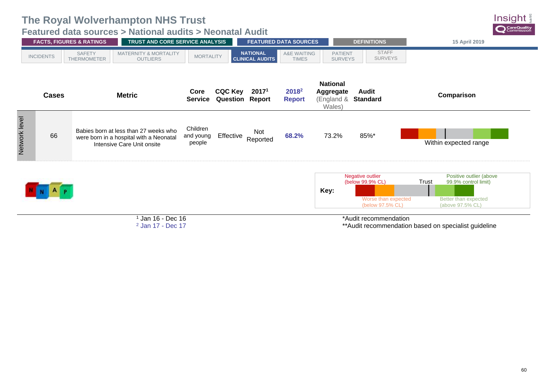**Featured data sources > National audits > Neonatal Audit**

|               |                  | <b>FACTS, FIGURES &amp; RATINGS</b>                                                                            | TRUST AND CORE SERVICE ANALYSIS |                                          |                                           | <b>FEATURED DATA SOURCES</b>       |                                                             | <b>DEFINITIONS</b>                                                              | 15 April 2019                                                                                        |
|---------------|------------------|----------------------------------------------------------------------------------------------------------------|---------------------------------|------------------------------------------|-------------------------------------------|------------------------------------|-------------------------------------------------------------|---------------------------------------------------------------------------------|------------------------------------------------------------------------------------------------------|
|               | <b>INCIDENTS</b> | <b>SAFETY</b><br><b>MATERNITY &amp; MORTALITY</b><br>THERMOMETER<br><b>OUTLIERS</b>                            | <b>MORTALITY</b>                |                                          | <b>NATIONAL</b><br><b>CLINICAL AUDITS</b> | A&E WAITING<br><b>TIMES</b>        | <b>PATIENT</b><br><b>SURVEYS</b>                            | <b>STAFF</b><br><b>SURVEYS</b>                                                  |                                                                                                      |
|               | <b>Cases</b>     | <b>Metric</b>                                                                                                  | Core<br><b>Service</b>          | <b>CQC Key</b><br><b>Question Report</b> | 2017 <sup>1</sup>                         | 2018 <sup>2</sup><br><b>Report</b> | <b>National</b><br><b>Aggregate</b><br>(England &<br>Wales) | Audit<br><b>Standard</b>                                                        | Comparison                                                                                           |
| Network level | 66               | Babies born at less than 27 weeks who<br>were born in a hospital with a Neonatal<br>Intensive Care Unit onsite | Children<br>and young<br>people | Effective                                | Not<br>Reported                           | 68.2%                              | 73.2%                                                       | 85%*                                                                            | Within expected range                                                                                |
|               |                  |                                                                                                                |                                 |                                          |                                           |                                    | Key:                                                        | Negative outlier<br>(below 99.9% CL)<br>Worse than expected<br>(below 97.5% CL) | Positive outlier (above<br>Trust<br>99.9% control limit)<br>Better than expected<br>(above 97.5% CL) |
|               |                  |                                                                                                                | $\Box$ an 16 - Dec 16           |                                          |                                           |                                    |                                                             | *Audit recommendation                                                           |                                                                                                      |

 Jan 16 - Dec 16 2 Jan 17 - Dec 17

\*Audit recommendation

\*\*Audit recommendation based on specialist guideline

Insight CareQuality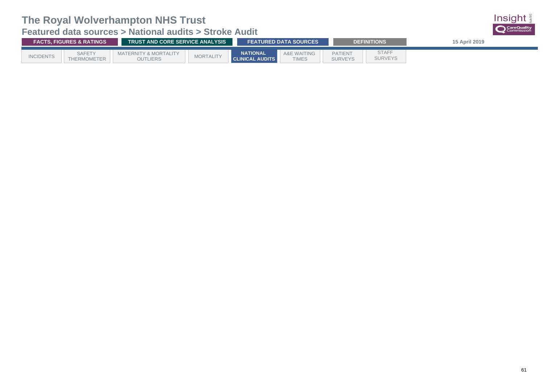<span id="page-64-0"></span>**Featured data sources > National audits > Stroke Audit**

| <b>FACTS, FIGURES &amp; RATINGS</b> |                                     |                                          | <b>TRUST AND CORE SERVICE ANALYSIS</b> |                                           |                                        |                                  | <b>DEFINITIONS</b>             | 15 April 2019 |
|-------------------------------------|-------------------------------------|------------------------------------------|----------------------------------------|-------------------------------------------|----------------------------------------|----------------------------------|--------------------------------|---------------|
| <b>INCIDENTS</b>                    | <b>SAFETY</b><br><b>THERMOMETER</b> | MATERNITY & MORTALITY<br><b>OUTLIERS</b> | <b>MORTALITY</b>                       | <b>NATIONAL</b><br><b>CLINICAL AUDITS</b> | <b>A&amp;E WAITING</b><br><b>TIMES</b> | <b>PATIENT</b><br><b>SURVEYS</b> | <b>STAFF</b><br><b>SURVEYS</b> |               |

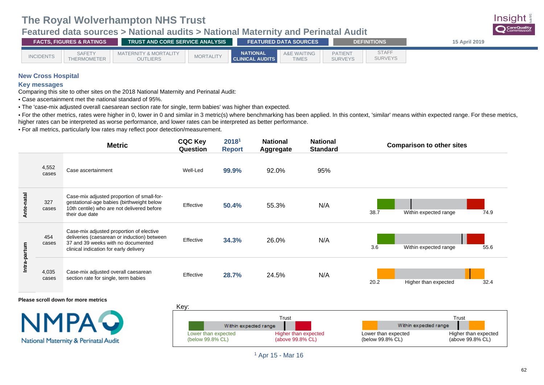**Featured data sources > National audits > National Maternity and Perinatal Audit**



| <b>FACTS, FIGURES &amp; RATINGS \</b> |                              | TRUST AND CORE SERVICE ANALYSIS                     |                  |                                           | <b>FEATURED DATA SOURCES</b>   |                                  | <b>DEFINITIONS</b>      | 15 April 2019 |  |  |  |
|---------------------------------------|------------------------------|-----------------------------------------------------|------------------|-------------------------------------------|--------------------------------|----------------------------------|-------------------------|---------------|--|--|--|
| <b>INCIDENTS</b>                      | <b>SAFETY</b><br>THERMOMETER | <b>MATERNITY &amp; MORTALITY</b><br><b>OUTLIERS</b> | <b>MORTALITY</b> | <b>NATIONAL</b><br><b>CLINICAL AUDITS</b> | <b>WAITING</b><br><b>TIMES</b> | <b>PATIENT</b><br><b>SURVEYS</b> | STAFF<br><b>SURVEYS</b> |               |  |  |  |

### **New Cross Hospital**

#### **Key messages**

Comparing this site to other sites on the 2018 National Maternity and Perinatal Audit:

• Case ascertainment met the national standard of 95%.

• The 'case-mix adjusted overall caesarean section rate for single, term babies' was higher than expected.

• For the other metrics, rates were higher in 0, lower in 0 and similar in 3 metric(s) where benchmarking has been applied. In this context, 'similar' means within expected range. For these metrics, higher rates can be interpreted as worse performance, and lower rates can be interpreted as better performance.

• For all metrics, particularly low rates may reflect poor detection/measurement.

|            | <b>Metric</b>  |                                                                                                                                                                         | <b>CQC Key</b><br>Question | 20181<br><b>Report</b> | <b>National</b><br>Aggregate | <b>National</b><br><b>Standard</b> | <b>Comparison to other sites</b>      |
|------------|----------------|-------------------------------------------------------------------------------------------------------------------------------------------------------------------------|----------------------------|------------------------|------------------------------|------------------------------------|---------------------------------------|
|            | 4,552<br>cases | Case ascertainment                                                                                                                                                      | Well-Led                   | 99.9%                  | 92.0%                        | 95%                                |                                       |
| Ante-natal | 327<br>cases   | Case-mix adjusted proportion of small-for-<br>gestational-age babies (birthweight below<br>10th centile) who are not delivered before<br>their due date                 | Effective                  | 50.4%                  | 55.3%                        | N/A                                | 38.7<br>Within expected range<br>74.9 |
|            | 454<br>cases   | Case-mix adjusted proportion of elective<br>deliveries (caesarean or induction) between<br>37 and 39 weeks with no documented<br>clinical indication for early delivery | Effective                  | 34.3%                  | 26.0%                        | N/A                                | 3.6<br>55.6<br>Within expected range  |
| Intra-pa   | 4,035<br>cases | Case-mix adjusted overall caesarean<br>section rate for single, term babies                                                                                             | Effective                  | 28.7%                  | 24.5%                        | N/A                                | 20.2<br>Higher than expected<br>32.4  |
|            |                |                                                                                                                                                                         |                            |                        |                              |                                    |                                       |

**Please scroll down for more metrics**





<sup>1</sup> Apr 15 - Mar 16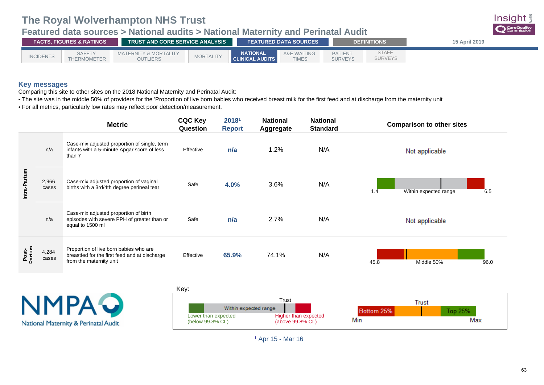## **Featured data sources > National audits > National Maternity and Perinatal Audit**



| <b>FACTS, FIGURES &amp; RATINGS</b> |                              | TRUST AND CORE SERVICE ANALYSIS                     |                  | <b>FEATURED DATA SOURCES</b>              |                                | <b>DEFINITIONS</b>               | 15 April 2019                  |  |  |  |
|-------------------------------------|------------------------------|-----------------------------------------------------|------------------|-------------------------------------------|--------------------------------|----------------------------------|--------------------------------|--|--|--|
| <b>INCIDENTS</b>                    | <b>SAFETY</b><br>THERMOMETER | <b>MATERNITY &amp; MORTALITY</b><br><b>OUTLIERS</b> | <b>MORTALITY</b> | <b>NATIONAL</b><br><b>CLINICAL AUDITS</b> | <b>WAITING</b><br><b>TIMES</b> | <b>PATIENT</b><br><b>SURVEYS</b> | <b>STAFF</b><br><b>SURVEYS</b> |  |  |  |

### **Key messages**

Comparing this site to other sites on the 2018 National Maternity and Perinatal Audit:

- The site was in the middle 50% of providers for the 'Proportion of live born babies who received breast milk for the first feed and at discharge from the maternity unit
- For all metrics, particularly low rates may reflect poor detection/measurement.

|                                                      |                | <b>Metric</b>                                                                                                      | <b>CQC Key</b><br>Question | 20181<br><b>Report</b>                            | <b>National</b><br><b>Aggregate</b> | <b>National</b><br><b>Standard</b>                  | <b>Comparison to other sites</b>    |
|------------------------------------------------------|----------------|--------------------------------------------------------------------------------------------------------------------|----------------------------|---------------------------------------------------|-------------------------------------|-----------------------------------------------------|-------------------------------------|
|                                                      | n/a            | Case-mix adjusted proportion of single, term<br>infants with a 5-minute Apgar score of less<br>than 7              | Effective                  | n/a                                               | 1.2%                                | N/A                                                 | Not applicable                      |
| Intra-Partum                                         | 2,966<br>cases | Case-mix adjusted proportion of vaginal<br>births with a 3rd/4th degree perineal tear                              | Safe                       | 4.0%                                              | 3.6%                                | N/A                                                 | 1.4<br>Within expected range<br>6.5 |
|                                                      | n/a            | Case-mix adjusted proportion of birth<br>episodes with severe PPH of greater than or<br>equal to 1500 ml           | Safe                       | n/a                                               | 2.7%                                | N/A                                                 | Not applicable                      |
|                                                      | 4,284<br>cases | Proportion of live born babies who are<br>breastfed for the first feed and at discharge<br>from the maternity unit | Effective                  | 65.9%                                             | 74.1%                               | N/A                                                 | Middle 50%<br>45.8<br>96.0          |
|                                                      |                |                                                                                                                    | Key:                       |                                                   |                                     |                                                     |                                     |
| <b>NMPAQ</b><br>National Maternity & Perinatal Audit |                | Lower than expected<br>(below 99.8% CL)                                                                            | Within expected range      | Trust<br>Higher than expected<br>(above 99.8% CL) |                                     | <b>Trust</b><br>Top 25%<br>Bottom 25%<br>Min<br>Max |                                     |

<sup>1</sup> Apr 15 - Mar 16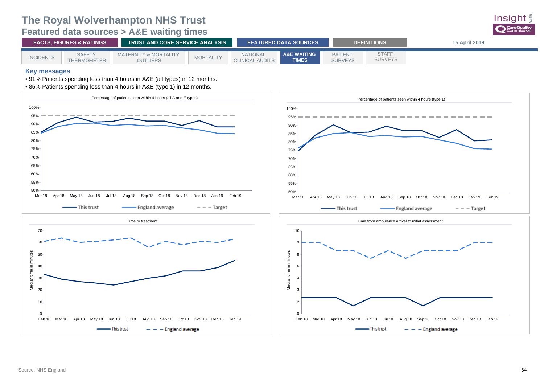### **The Royal Wolverhampton NHS Trust Featured data sources > A&E waiting times**

<span id="page-67-0"></span>

| <b>FACTS. FIGURES &amp; RATINGS</b> |                                     | <b>TRUST AND CORE SERVICE ANALYSIS</b>              |                  | <b>FEATURED DATA SOURCES</b>              |                                        | <b>DEFINITIONS</b>               | 15 April 2019                  |  |  |  |  |
|-------------------------------------|-------------------------------------|-----------------------------------------------------|------------------|-------------------------------------------|----------------------------------------|----------------------------------|--------------------------------|--|--|--|--|
| <b>INCIDENTS</b>                    | <b>SAFETY</b><br><b>THERMOMETER</b> | <b>MATERNITY &amp; MORTALITY</b><br><b>OUTLIERS</b> | <b>MORTALITY</b> | <b>NATIONAL</b><br><b>CLINICAL AUDITS</b> | <b>A&amp;E WAITING</b><br><b>TIMES</b> | <b>PATIENT</b><br><b>SURVEYS</b> | <b>STAFF</b><br><b>SURVEYS</b> |  |  |  |  |

#### **Key messages**

• 91% Patients spending less than 4 hours in A&E (all types) in 12 months.

• 85% Patients spending less than 4 hours in A&E (type 1) in 12 months.



**Insight**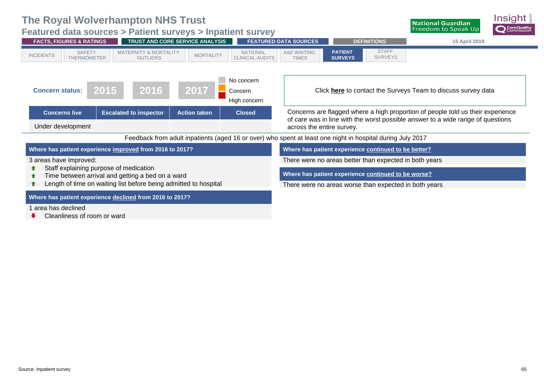<span id="page-68-0"></span>**Featured data sources > Patient surveys > Inpatient survey**



Cleanliness of room or ward

<u>nsight</u>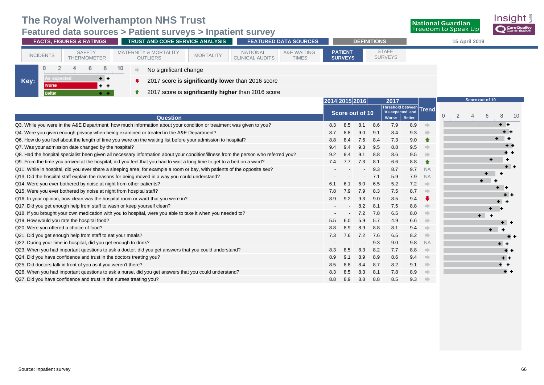### **Featured data sources > Patient surveys > Inpatient survey**

| TRUST AND CORE SERVICE ANALYSIS<br><b>FEATURED DATA SOURCES</b><br><b>FACTS, FIGURES &amp; RATINGS</b><br><b>DEFINITIONS</b>                                                                                                                                                             | 15 April 2019                              |
|------------------------------------------------------------------------------------------------------------------------------------------------------------------------------------------------------------------------------------------------------------------------------------------|--------------------------------------------|
| <b>STAFF</b><br><b>PATIENT</b><br><b>A&amp;E WAITING</b><br><b>SAFETY</b><br><b>MATERNITY &amp; MORTALITY</b><br><b>NATIONAL</b><br><b>MORTALITY</b><br><b>INCIDENTS</b><br><b>SURVEYS</b><br><b>SURVEYS</b><br><b>CLINICAL AUDITS</b><br>THERMOMETER<br><b>OUTLIERS</b><br><b>TIMES</b> |                                            |
| 10<br>8.<br>No significant change                                                                                                                                                                                                                                                        |                                            |
| As expected<br>$+ +$<br>Key:<br>2017 score is <b>significantly lower</b> than 2016 score<br>Worse<br>$+ +$                                                                                                                                                                               |                                            |
| 2017 score is significantly higher than 2016 score<br><b>Better</b><br>$\sim$ 10 $\pm$                                                                                                                                                                                                   |                                            |
| 2014 2015 2016<br>2017                                                                                                                                                                                                                                                                   | Score out of 10<br>Threshold between Trend |

|                                                                                                                                     |     | Score out of 10          |     |     | <b>IIII</b> CSIIUIU DELWEEII<br>'As expected' and |               | Trend     |          |                |    |   |       |     |
|-------------------------------------------------------------------------------------------------------------------------------------|-----|--------------------------|-----|-----|---------------------------------------------------|---------------|-----------|----------|----------------|----|---|-------|-----|
| <b>Question</b>                                                                                                                     |     |                          |     |     | <b>Worse</b>                                      | <b>Better</b> |           | $\theta$ | $\overline{2}$ | 4  | 6 | 8     | -10 |
| Q3. While you were in the A&E Department, how much information about your condition or treatment was given to you?                  | 8.3 | 8.5                      | 8.1 | 8.6 | 7.9                                               | 8.9           |           |          |                |    |   | $+ +$ |     |
| Q4. Were you given enough privacy when being examined or treated in the A&E Department?                                             | 8.7 | 8.8                      | 9.0 | 9.1 | 8.4                                               | 9.3           |           |          |                |    |   |       |     |
| Q6. How do you feel about the length of time you were on the waiting list before your admission to hospital?                        | 8.8 | 8.4                      | 7.6 | 8.4 | 7.3                                               | 9.0           | $\bullet$ |          |                |    |   |       |     |
| Q7. Was your admission date changed by the hospital?                                                                                | 9.4 | 9.4                      | 9.3 | 9.5 | 8.8                                               | 9.5           |           |          |                |    |   | $+ +$ |     |
| Q8. Had the hospital specialist been given all necessary information about your condition/illness from the person who referred you? | 9.2 | 9.4                      | 9.1 | 8.8 | 8.6                                               | 9.5           |           |          |                |    |   |       |     |
| Q9. From the time you arrived at the hospital, did you feel that you had to wait a long time to get to a bed on a ward?             | 7.4 | 7.7                      | 7.3 | 8.1 | 6.6                                               | 8.8           | $\bullet$ |          |                |    |   |       |     |
| Q11. While in hospital, did you ever share a sleeping area, for example a room or bay, with patients of the opposite sex?           |     |                          |     | 9.3 | 8.7                                               | 9.7           | <b>NA</b> |          |                |    |   |       |     |
| Q13. Did the hospital staff explain the reasons for being moved in a way you could understand?                                      |     |                          |     | 7.1 | 5.9                                               | 7.9           | <b>NA</b> |          |                |    |   |       |     |
| Q14. Were you ever bothered by noise at night from other patients?                                                                  | 6.1 | 6.1                      | 6.0 | 6.5 | 5.2                                               | 7.2           |           |          |                |    |   |       |     |
| Q15. Were you ever bothered by noise at night from hospital staff?                                                                  | 7.8 | 7.9                      | 7.9 | 8.3 | 7.5                                               | 8.7           |           |          |                |    |   |       |     |
| Q16. In your opinion, how clean was the hospital room or ward that you were in?                                                     | 8.9 | 9.2                      | 9.3 | 9.0 | 8.5                                               | 9.4           |           |          |                |    |   |       |     |
| Q17. Did you get enough help from staff to wash or keep yourself clean?                                                             |     | $\overline{\phantom{a}}$ | 8.2 | 8.1 | 7.5                                               | 8.8           |           |          |                |    |   |       |     |
| Q18. If you brought your own medication with you to hospital, were you able to take it when you needed to?                          |     |                          | 7.2 | 7.8 | 6.5                                               | 8.0           |           |          |                | ÷. |   |       |     |
| Q19. How would you rate the hospital food?                                                                                          | 5.5 | 6.0                      | 5.9 | 5.7 | 4.9                                               | 6.6           |           |          |                |    |   |       |     |
| Q20. Were you offered a choice of food?                                                                                             | 8.8 | 8.9                      | 8.9 | 8.8 | 8.1                                               | 9.4           |           |          |                |    |   |       |     |
| Q21. Did you get enough help from staff to eat your meals?                                                                          | 7.3 | 7.6                      | 7.2 | 7.6 | 6.5                                               | 8.2           |           |          |                |    |   | $+ +$ |     |
| Q22. During your time in hospital, did you get enough to drink?                                                                     |     |                          |     | 9.3 | 9.0                                               | 9.8           | <b>NA</b> |          |                |    |   | ٠     |     |
| Q23. When you had important questions to ask a doctor, did you get answers that you could understand?                               | 8.3 | 8.5                      | 8.3 | 8.2 | 7.7                                               | 8.8           |           |          |                |    |   | $+ +$ |     |
| Q24. Did you have confidence and trust in the doctors treating you?                                                                 | 8.9 | 9.1                      | 8.9 | 8.9 | 8.6                                               | 9.4           |           |          |                |    |   | $+ +$ |     |
| Q25. Did doctors talk in front of you as if you weren't there?                                                                      | 8.5 | 8.8                      | 8.4 | 8.7 | 8.2                                               | 9.1           |           |          |                |    |   |       |     |
| Q26. When you had important questions to ask a nurse, did you get answers that you could understand?                                | 8.3 | 8.5                      | 8.3 | 8.1 | 7.8                                               | 8.9           |           |          |                |    |   | $+ +$ |     |
| Q27. Did you have confidence and trust in the nurses treating you?                                                                  | 8.8 | 8.9                      | 8.8 | 8.8 | 8.5                                               | 9.3           |           |          |                |    |   |       |     |
|                                                                                                                                     |     |                          |     |     |                                                   |               |           |          |                |    |   |       |     |

Insight

CareQuality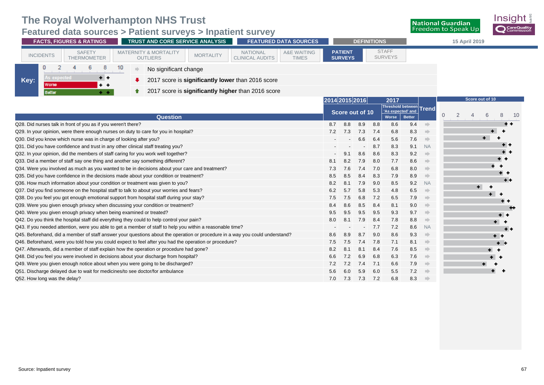**Featured data sources > Patient surveys > Inpatient survey**

| <b>FACTS, FIGURES &amp; RATINGS</b>                                                            | <b>TRUST AND CORE SERVICE ANALYSIS</b>                                  | <b>FEATURED DATA SOURCES</b>                                                        |                                  | <b>DEFINITIONS</b> |                                              |               |           | 15 April 2019                         |                 |       |
|------------------------------------------------------------------------------------------------|-------------------------------------------------------------------------|-------------------------------------------------------------------------------------|----------------------------------|--------------------|----------------------------------------------|---------------|-----------|---------------------------------------|-----------------|-------|
| <b>SAFETY</b><br><b>INCIDENTS</b><br><b>THERMOMETER</b>                                        | <b>MATERNITY &amp; MORTALITY</b><br><b>MORTALITY</b><br><b>OUTLIERS</b> | <b>A&amp;E WAITING</b><br><b>NATIONAL</b><br><b>CLINICAL AUDITS</b><br><b>TIMES</b> | <b>PATIENT</b><br><b>SURVEYS</b> |                    | <b>STAFF</b><br><b>SURVEYS</b>               |               |           |                                       |                 |       |
| 0<br>10<br>8                                                                                   | No significant change                                                   |                                                                                     |                                  |                    |                                              |               |           |                                       |                 |       |
| As expected<br>$+$ +<br>Key:<br><b>Worse</b><br>$+ +$                                          | 2017 score is significantly lower than 2016 score                       |                                                                                     |                                  |                    |                                              |               |           |                                       |                 |       |
| <b>Better</b><br>$\sim$ $-$                                                                    | 2017 score is significantly higher than 2016 score<br>↑                 |                                                                                     |                                  |                    |                                              |               |           |                                       |                 |       |
|                                                                                                |                                                                         |                                                                                     | 2014 2015 2016                   |                    | 2017                                         |               |           |                                       | Score out of 10 |       |
|                                                                                                |                                                                         |                                                                                     | Score out of 10                  |                    | Threshold between Trend<br>'As expected' and |               |           | 2<br>$\overline{0}$<br>$\overline{4}$ | 6               | 8     |
|                                                                                                | <b>Question</b>                                                         |                                                                                     |                                  |                    | Worse                                        | <b>Better</b> |           |                                       |                 |       |
| Q28. Did nurses talk in front of you as if you weren't there?                                  |                                                                         |                                                                                     | 8.7<br>8.8                       | 8.8<br>8.9         | 8.6                                          | 9.4           |           |                                       |                 | $+ +$ |
| Q29. In your opinion, were there enough nurses on duty to care for you in hospital?            |                                                                         |                                                                                     | 7.3<br>7.2                       | 7.3<br>7.4         | 6.8                                          | 8.3           |           |                                       |                 |       |
| Q30. Did you know which nurse was in charge of looking after you?                              |                                                                         |                                                                                     |                                  | 6.6<br>6.4         | 5.6                                          | 7.6           |           |                                       | ٠.              |       |
| Q31. Did you have confidence and trust in any other clinical staff treating you?               |                                                                         |                                                                                     |                                  | 8.7                | 8.3                                          | 9.1           | <b>NA</b> |                                       |                 | $+ +$ |
| Q32. In your opinion, did the members of staff caring for you work well together?              |                                                                         |                                                                                     | 9.1                              | 8.6<br>8.6         | 8.3                                          | 9.2           |           |                                       |                 | $+ +$ |
| Q33. Did a member of staff say one thing and another say something different?                  |                                                                         |                                                                                     | 8.2                              | 7.9<br>8.0         | 7.7                                          | 8.6           |           |                                       |                 | $+ +$ |
| Q34. Were you involved as much as you wanted to be in decisions about your care and treatment? |                                                                         |                                                                                     | 7.6<br>7.3                       | 7.4<br>7.0         | 6.8                                          | 8.0           |           |                                       |                 |       |
| Q35. Did you have confidence in the decisions made about your condition or treatment?          |                                                                         |                                                                                     | 8.5<br>8.5                       | 8.4<br>8.3         | 7.9                                          | 8.9           |           |                                       |                 | $+ +$ |
| Q36. How much information about your condition or treatment was given to you?                  |                                                                         |                                                                                     | 8.2<br>8.1                       | 7.9<br>9.0         | 8.5                                          | 9.2           | <b>NA</b> |                                       |                 | $+ +$ |
| Q37. Did you find someone on the hospital staff to talk to about your worries and fears?       |                                                                         |                                                                                     | 6.2<br>5.7                       | 5.3<br>5.8         | 4.8                                          | 6.5           |           |                                       |                 |       |
|                                                                                                |                                                                         |                                                                                     |                                  |                    |                                              |               |           |                                       |                 |       |

| Q36. How much information about your condition or treatment was given to you?                                                | 8.2 | 8.1  | 7.9           | 9.0 | 8.5 | 9.2 NA |      | .         |
|------------------------------------------------------------------------------------------------------------------------------|-----|------|---------------|-----|-----|--------|------|-----------|
| Q37. Did you find someone on the hospital staff to talk to about your worries and fears?                                     | 6.2 | 5.7  | 5.8           | 5.3 | 4.8 | 6.5    | - 10 |           |
| Q38. Do you feel you got enough emotional support from hospital staff during your stay?                                      | 7.5 | 7.5  | 6.8           | 7.2 | 6.5 | 7.9    |      | $+$ $-$   |
| Q39. Were you given enough privacy when discussing your condition or treatment?                                              | 8.4 | 8.6  | 8.5           | 8.4 | 8.1 | 9.0    | - 10 | * *<br>** |
| Q40. Were you given enough privacy when being examined or treated?                                                           | 9.5 | 9.5  | $9.5^{\circ}$ | 9.5 | 9.3 | 9.7    | - 10 | $+ +$     |
| Q42. Do you think the hospital staff did everything they could to help control your pain?                                    | 8.0 | -8.1 | 7.9           | 8.4 | 7.8 | 8.8    |      |           |
| Q43. If you needed attention, were you able to get a member of staff to help you within a reasonable time?                   |     |      |               | 7.7 | 7.2 | 8.6 NA |      | $+ +$     |
| Q45. Beforehand, did a member of staff answer your questions about the operation or procedure in a way you could understand? | 8.6 | 8.9  | 8.7           | 9.0 | 8.6 | 9.3    |      | $+ +$     |
| Q46. Beforehand, were you told how you could expect to feel after you had the operation or procedure?                        | 7.5 | 7.5  | 7.4           | 7.8 | 7.1 | 8.1    | - 10 | $+ -$     |
| Q47. Afterwards, did a member of staff explain how the operation or procedure had gone?                                      | 8.2 | 8.1  | 8.1           | 8.4 | 7.6 | 8.5    | - 10 | $+$ $+$   |
| Q48. Did you feel you were involved in decisions about your discharge from hospital?                                         | 6.6 | 7.2  | 6.9           | 6.8 | 6.3 | 7.6    | - 10 |           |
| Q49. Were you given enough notice about when you were going to be discharged?                                                | 7.2 | 7.2  | 7.4           | 7.1 | 6.6 | 7.9    | - 10 |           |
| Q51. Discharge delayed due to wait for medicines/to see doctor/for ambulance                                                 | 5.6 | -6.0 | 5.9           | 6.0 | 5.5 | 7.2    |      |           |
| Q52. How long was the delay?                                                                                                 | 7.0 | 7.3  | 7.3           | 7.2 | 6.8 | 8.3    |      |           |

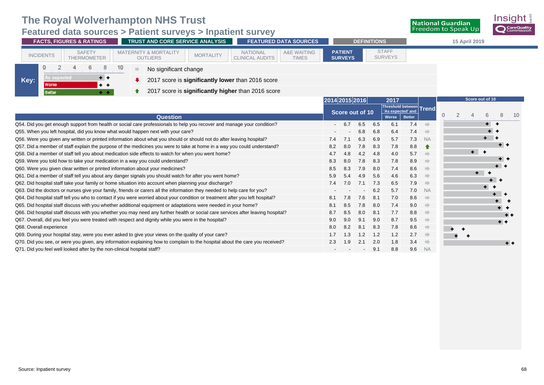**Featured data sources > Patient surveys > Inpatient survey**

| TRUST AND CORE SERVICE ANALYSIS<br><b>FACTS, FIGURES &amp; RATINGS</b>           |                                                                                                                                       | <b>FEATURED DATA SOURCES</b>                                                        | <b>DEFINITIONS</b>                |                          |     |                                                                                |     |                                 | 15 April 2019                    |                 |         |         |  |
|----------------------------------------------------------------------------------|---------------------------------------------------------------------------------------------------------------------------------------|-------------------------------------------------------------------------------------|-----------------------------------|--------------------------|-----|--------------------------------------------------------------------------------|-----|---------------------------------|----------------------------------|-----------------|---------|---------|--|
| <b>SAFETY</b><br><b>INCIDENTS</b><br><b>THERMOMETER</b>                          | <b>MATERNITY &amp; MORTALITY</b><br><b>MORTALITY</b><br><b>OUTLIERS</b>                                                               | <b>NATIONAL</b><br><b>A&amp;E WAITING</b><br><b>CLINICAL AUDITS</b><br><b>TIMES</b> | <b>PATIENT</b><br><b>SURVEYS</b>  |                          |     | <b>STAFF</b><br><b>SURVEYS</b>                                                 |     |                                 |                                  |                 |         |         |  |
| As expected<br>$+ +$<br>Key:<br><b>Worse</b><br>$+ +$<br><b>Better</b><br>$+ +$  | No significant change<br>2017 score is significantly lower than 2016 score<br>2017 score is significantly higher than 2016 score<br>♠ |                                                                                     |                                   |                          |     |                                                                                |     |                                 |                                  |                 |         |         |  |
|                                                                                  | <b>Question</b>                                                                                                                       |                                                                                     | 2014 2015 2016<br>Score out of 10 |                          |     | 2017<br>Threshold between Trend<br>'As expected' and<br><b>Better</b><br>Worse |     |                                 | $\overline{2}$<br>$\overline{0}$ | Score out of 10 | 6       | 8<br>10 |  |
|                                                                                  | Q54. Did you get enough support from health or social care professionals to help you recover and manage your condition?               |                                                                                     | 6.7                               | 6.5                      | 6.5 | 6.1                                                                            | 7.4 | nde e                           |                                  |                 | ÷       |         |  |
| Q55. When you left hospital, did you know what would happen next with your care? |                                                                                                                                       |                                                                                     |                                   | 6.8                      | 6.8 | 6.4                                                                            | 7.4 | ⇒                               |                                  |                 |         |         |  |
|                                                                                  | Q56. Were you given any written or printed information about what you should or should not do after leaving hospital?                 |                                                                                     | 7.1<br>7.4                        | 6.3                      | 6.9 | 5.7                                                                            | 7.3 | <b>NA</b>                       |                                  |                 |         |         |  |
|                                                                                  | Q57. Did a member of staff explain the purpose of the medicines you were to take at home in a way you could understand?               |                                                                                     | 8.2<br>8.0                        | 7.8                      | 8.3 | 7.8                                                                            | 8.8 |                                 |                                  |                 |         | $+ +$   |  |
|                                                                                  | Q58. Did a member of staff tell you about medication side effects to watch for when you went home?                                    |                                                                                     | 4.7<br>4.8                        | 4.2                      | 4.8 | 4.0                                                                            | 5.7 | $\Longrightarrow$               |                                  | $+$ $+$         |         |         |  |
| Q59. Were you told how to take your medication in a way you could understand?    |                                                                                                                                       |                                                                                     | 8.3<br>8.0                        | 7.8                      | 8.3 | 7.8                                                                            | 8.9 | ⇒                               |                                  |                 |         | . .     |  |
| Q60. Were you given clear written or printed information about your medicines?   |                                                                                                                                       |                                                                                     | 8.5<br>8.3                        | 7.9                      | 8.0 | 7.4                                                                            | 8.6 | $\Rightarrow$                   |                                  |                 | ٠       |         |  |
|                                                                                  | Q61. Did a member of staff tell you about any danger signals you should watch for after you went home?                                |                                                                                     | 5.9<br>5.4                        | 4.9                      | 5.6 | 4.6                                                                            | 6.3 | $\Rightarrow$                   |                                  | ۰.              |         |         |  |
|                                                                                  | Q62. Did hospital staff take your family or home situation into account when planning your discharge?                                 |                                                                                     | 7.4<br>7.0                        | 7.1                      | 7.3 | 6.5                                                                            | 7.9 | $\qquad \qquad \Longrightarrow$ |                                  |                 |         |         |  |
|                                                                                  | Q63. Did the doctors or nurses give your family, friends or carers all the information they needed to help care for you?              |                                                                                     |                                   |                          | 6.2 | 5.7                                                                            | 7.0 | <b>NA</b>                       |                                  |                 | $+$ $+$ |         |  |
|                                                                                  | Q64. Did hospital staff tell you who to contact if you were worried about your condition or treatment after you left hospital?        |                                                                                     | 8.1<br>7.8                        | 7.6                      | 8.1 | 7.0                                                                            | 8.6 | $\Rightarrow$                   |                                  |                 |         |         |  |
|                                                                                  | Q65. Did hospital staff discuss with you whether additional equipment or adaptations were needed in your home?                        |                                                                                     | 8.1<br>8.5                        | 7.8                      | 8.0 | 7.4                                                                            | 9.0 | $\Rightarrow$                   |                                  |                 |         |         |  |
|                                                                                  | Q66. Did hospital staff discuss with you whether you may need any further health or social care services after leaving hospital?      |                                                                                     | 8.7<br>8.5                        | 8.0                      | 8.1 | 7.7                                                                            | 8.8 | $\Rightarrow$                   |                                  |                 |         |         |  |
|                                                                                  | Q67. Overall, did you feel you were treated with respect and dignity while you were in the hospital?                                  |                                                                                     | 9.0<br>9.0                        | 9.1                      | 9.0 | 8.7                                                                            | 9.5 | $\Longrightarrow$               |                                  |                 |         | $+ +$   |  |
| Q68. Overall experience                                                          |                                                                                                                                       |                                                                                     | 8.2<br>8.0                        | 8.1                      | 8.3 | 7.8                                                                            | 8.6 |                                 |                                  |                 |         |         |  |
|                                                                                  | Q69. During your hospital stay, were you ever asked to give your views on the quality of your care?                                   |                                                                                     | 1.7<br>1.3                        | 1.2                      | 1.2 | 1.2                                                                            | 2.7 | n)                              |                                  |                 |         |         |  |
|                                                                                  | Q70. Did you see, or were you given, any information explaining how to complain to the hospital about the care you received?          |                                                                                     | 2.3<br>1.9                        | 2.1                      | 2.0 | 1.8                                                                            | 3.4 |                                 |                                  |                 |         | $+ +$   |  |
| Q71. Did you feel well looked after by the non-clinical hospital staff?          |                                                                                                                                       |                                                                                     |                                   | $\overline{\phantom{0}}$ | 9.1 | 8.8                                                                            | 9.6 | <b>NA</b>                       |                                  |                 |         |         |  |

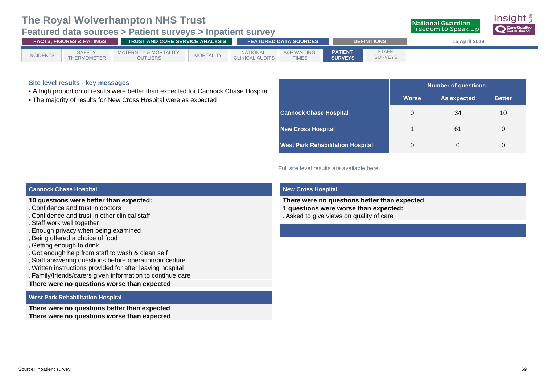### **Featured data sources > Patient surveys > Inpatient survey**

|                  | <b>FACTS. FIGURES &amp; RATINGS</b> |                                                     | TRUST AND CORE SERVICE ANALYSIS |                                           |                                        |                                  | <b>DEFINITIONS</b>             | <b>15 April 2019</b> |  |
|------------------|-------------------------------------|-----------------------------------------------------|---------------------------------|-------------------------------------------|----------------------------------------|----------------------------------|--------------------------------|----------------------|--|
| <b>INCIDENTS</b> | <b>SAFETY</b><br>THERMOMETER        | <b>MATERNITY &amp; MORTALITY</b><br><b>OUTLIERS</b> | <b>MORTALITY</b>                | <b>NATIONAL</b><br><b>CLINICAL AUDITS</b> | <b>A&amp;E WAITING</b><br><b>TIMES</b> | <b>PATIENT</b><br><b>SURVEYS</b> | <b>STAFF</b><br><b>SURVEYS</b> |                      |  |

#### **Site level results - key messages**

- A high proportion of results were better than expected for Cannock Chase Hospital
- The majority of results for New Cross Hospital were as expected

|                                          | Number of questions:                         |    |    |  |  |  |  |  |  |
|------------------------------------------|----------------------------------------------|----|----|--|--|--|--|--|--|
|                                          | <b>Worse</b><br>As expected<br><b>Better</b> |    |    |  |  |  |  |  |  |
| <b>Cannock Chase Hospital</b>            | 0                                            | 34 | 10 |  |  |  |  |  |  |
| <b>New Cross Hospital</b>                |                                              | 61 |    |  |  |  |  |  |  |
| <b>West Park Rehabilitation Hospital</b> | O                                            |    |    |  |  |  |  |  |  |

**National Guardian Freedom to Speak Up** 

#### Full site level results are available [here.](http://nhssurveys.org/surveys/1224)

#### **Cannock Chase Hospital**

#### **10 questions were better than expected:**

- Confidence and trust in doctors
- Confidence and trust in other clinical staff
- Staff work well together
- Enough privacy when being examined
- Being offered a choice of food
- Getting enough to drink
- Got enough help from staff to wash & clean self
- Staff answering questions before operation/procedure
- Written instructions provided for after leaving hospital
- Family/friends/carers given information to continue care

#### **There were no questions worse than expected**

#### **West Park Rehabilitation Hospital**

**There were no questions better than expected There were no questions worse than expected**

#### **New Cross Hospital**

**There were no questions better than expected 1 questions were worse than expected:** Asked to give views on quality of care

Insiaht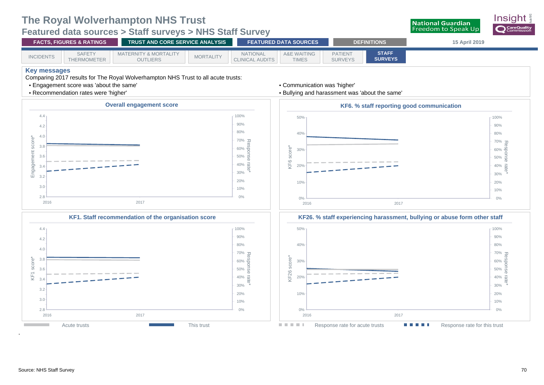

<span id="page-73-0"></span>**Featured data sources > Staff surveys > NHS Staff Survey**

| <b>FACTS, FIGURES &amp; RATINGS</b> |                              | LTRUST AND CORE SERVICE ANALYSIS I                  | <b>FEATURED DATA SOURCES</b> |                                           | <b>DEFINITIONS</b>                     |                                  | 15 April 2019                  |  |
|-------------------------------------|------------------------------|-----------------------------------------------------|------------------------------|-------------------------------------------|----------------------------------------|----------------------------------|--------------------------------|--|
| <b>INCIDENTS</b>                    | <b>SAFETY</b><br>THERMOMETER | <b>MATERNITY &amp; MORTALITY</b><br><b>OUTLIERS</b> | <b>MORTALITY</b>             | <b>NATIONAL</b><br><b>CLINICAL AUDITS</b> | <b>A&amp;E WAITING</b><br><b>TIMES</b> | <b>PATIENT</b><br><b>SURVEYS</b> | <b>STAFF</b><br><b>SURVEYS</b> |  |

**Key messages** 

Comparing 2017 results for The Royal Wolverhampton NHS Trust to all acute trusts:

- Engagement score was 'about the same'
- Recommendation rates were 'higher'



#### • Bullying and harassment was 'about the same'











.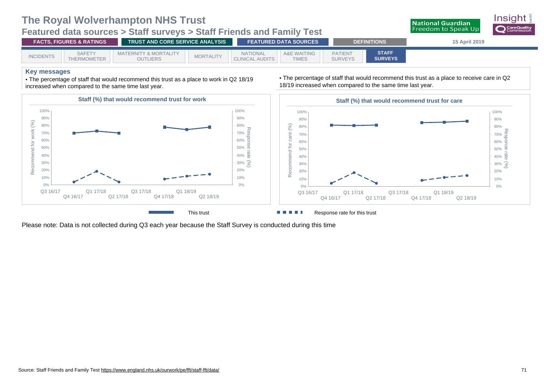### **Featured data sources > Staff surveys > Staff Friends and Family Test**



| <b>FACTS. FIGURES &amp; RATINGS</b> |                              | <b>TRUST AND CORE SERVICE ANALYSIS</b>              |                  | <b>FEATURED DATA SOURCES</b>              |                                        | <b>DEFINITIONS</b>               | 15 April 2019                  |  |
|-------------------------------------|------------------------------|-----------------------------------------------------|------------------|-------------------------------------------|----------------------------------------|----------------------------------|--------------------------------|--|
| <b>INCIDENTS</b>                    | <b>SAFETY</b><br>THERMOMETER | <b>MATERNITY &amp; MORTALITY</b><br><b>OUTLIERS</b> | <b>MORTALITY</b> | <b>NATIONAL</b><br><b>CLINICAL AUDITS</b> | <b>A&amp;E WAITING</b><br><b>TIMES</b> | <b>PATIENT</b><br><b>SURVEYS</b> | <b>STAFF</b><br><b>SURVEYS</b> |  |

#### **Key messages**

• The percentage of staff that would recommend this trust as a place to work in Q2 18/19 increased when compared to the same time last year.



• The percentage of staff that would recommend this trust as a place to receive care in Q2 18/19 increased when compared to the same time last year.



Please note: Data is not collected during Q3 each year because the Staff Survey is conducted during this time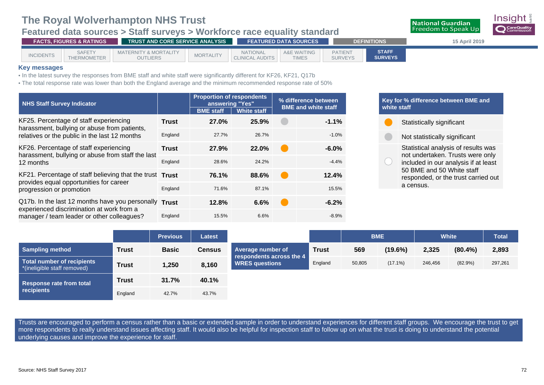### **Featured data sources > Staff surveys > Workforce race equality standard**



#### **Key messages**

• In the latest survey the responses from BME staff and white staff were significantly different for KF26, KF21, Q17b

• The total response rate was lower than both the England average and the minimum recommended response rate of 50%

| <b>NHS Staff Survey Indicator</b>                                                                   |              | <b>Proportion of respondents</b><br>answering "Yes" |                    | % difference between<br><b>BME and white staff</b> |         |  |
|-----------------------------------------------------------------------------------------------------|--------------|-----------------------------------------------------|--------------------|----------------------------------------------------|---------|--|
|                                                                                                     |              | <b>BME</b> staff                                    | <b>White staff</b> |                                                    |         |  |
| KF25. Percentage of staff experiencing<br>harassment, bullying or abuse from patients,              | <b>Trust</b> | 27.0%                                               | 25.9%              |                                                    | $-1.1%$ |  |
| relatives or the public in the last 12 months                                                       | England      | 27.7%                                               | 26.7%              |                                                    | $-1.0%$ |  |
| KF26. Percentage of staff experiencing<br>harassment, bullying or abuse from staff the last         | <b>Trust</b> | 27.9%                                               | 22.0%              |                                                    | $-6.0%$ |  |
| 12 months                                                                                           | England      | 28.6%                                               | 24.2%              |                                                    | $-4.4%$ |  |
| KF21. Percentage of staff believing that the trust Trust<br>provides equal opportunities for career |              | 76.1%                                               | 88.6%              |                                                    | 12.4%   |  |
| progression or promotion                                                                            | England      | 71.6%                                               | 87.1%              |                                                    | 15.5%   |  |
| Q17b. In the last 12 months have you personally Trust<br>experienced discrimination at work from a  |              | 12.8%                                               | 6.6%               |                                                    | $-6.2%$ |  |
| manager / team leader or other colleagues?                                                          | England      | 15.5%                                               | 6.6%               |                                                    | $-8.9%$ |  |

### **Key for % difference between BME and white staff** Statistically significant Not statistically significant Statistical analysis of results was not undertaken. Trusts were only included in our analysis if at least 50 BME and 50 White staff responded, or the trust carried out a census.

**National Guardian Freedom to Speak Up** 

|                                                           |              | <b>Previous</b> | <b>Latest</b> |                                                   |              | <b>BME</b> |            | <b>White</b> |            | <b>Total</b> |
|-----------------------------------------------------------|--------------|-----------------|---------------|---------------------------------------------------|--------------|------------|------------|--------------|------------|--------------|
| <b>Sampling method</b>                                    | <b>Trust</b> | <b>Basic</b>    | <b>Census</b> | Average number of                                 | <b>Trust</b> | 569        | $(19.6\%)$ | 2,325        | $(80.4\%)$ | 2,893        |
| Total number of recipients<br>*(ineligible staff removed) | <b>Trust</b> | 1,250           | 8,160         | respondents across the 4<br><b>WRES questions</b> | England      | 50,805     | $(17.1\%)$ | 246,456      | (82.9%)    | 297,261      |
| <b>Response rate from total</b>                           | <b>Trust</b> | 31.7%           | 40.1%         |                                                   |              |            |            |              |            |              |
| recipients                                                | England      | 42.7%           | 43.7%         |                                                   |              |            |            |              |            |              |

Trusts are encouraged to perform a census rather than a basic or extended sample in order to understand experiences for different staff groups. We encourage the trust to get more respondents to really understand issues affecting staff. It would also be helpful for inspection staff to follow up on what the trust is doing to understand the potential underlying causes and improve the experience for staff.

Insiaht